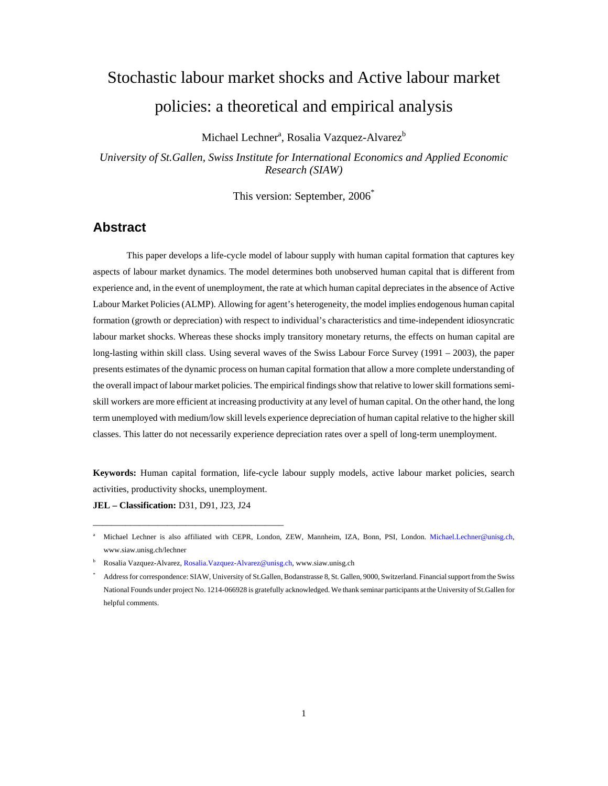# Stochastic labour market shocks and Active labour market policies: a theoretical and empirical analysis

Michael Lechner<sup>a</sup>, Rosalia Vazquez-Alvarez<sup>b</sup>

*University of St.Gallen, Swiss Institute for International Economics and Applied Economic Research (SIAW)* 

This version: September, 2006<sup>\*</sup>

# **Abstract**

This paper develops a life-cycle model of labour supply with human capital formation that captures key aspects of labour market dynamics. The model determines both unobserved human capital that is different from experience and, in the event of unemployment, the rate at which human capital depreciates in the absence of Active Labour Market Policies (ALMP). Allowing for agent's heterogeneity, the model implies endogenous human capital formation (growth or depreciation) with respect to individual's characteristics and time-independent idiosyncratic labour market shocks. Whereas these shocks imply transitory monetary returns, the effects on human capital are long-lasting within skill class. Using several waves of the Swiss Labour Force Survey (1991 – 2003), the paper presents estimates of the dynamic process on human capital formation that allow a more complete understanding of the overall impact of labour market policies. The empirical findings show that relative to lower skill formations semiskill workers are more efficient at increasing productivity at any level of human capital. On the other hand, the long term unemployed with medium/low skill levels experience depreciation of human capital relative to the higher skill classes. This latter do not necessarily experience depreciation rates over a spell of long-term unemployment.

**Keywords:** Human capital formation, life-cycle labour supply models, active labour market policies, search activities, productivity shocks, unemployment.

**JEL – Classification:** D31, D91, J23, J24

\_\_\_\_\_\_\_\_\_\_\_\_\_\_\_\_\_\_\_\_\_\_\_\_\_\_\_\_\_\_\_\_\_\_\_\_\_\_\_\_\_

a Michael Lechner is also affiliated with CEPR, London, ZEW, Mannheim, IZA, Bonn, PSI, London. Michael.Lechner@unisg.ch, www.siaw.unisg.ch/lechner

<sup>&</sup>lt;sup>b</sup> Rosalia Vazquez-Alvarez, Rosalia. Vazquez-Alvarez@unisg.ch, www.siaw.unisg.ch

<sup>\*</sup> Address for correspondence: SIAW, University of St.Gallen, Bodanstrasse 8, St. Gallen, 9000, Switzerland. Financial support from the Swiss National Founds under project No. 1214-066928 is gratefully acknowledged. We thank seminar participants at the University of St.Gallen for helpful comments.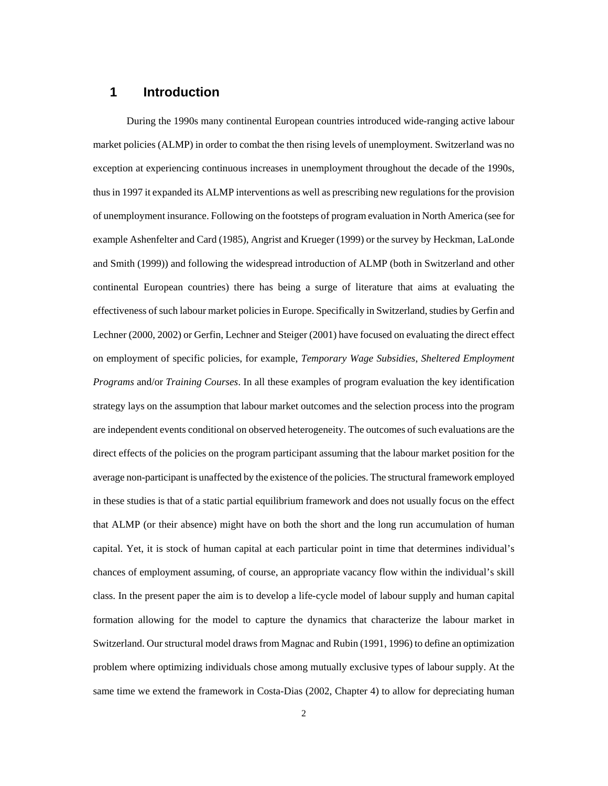## **1 Introduction**

During the 1990s many continental European countries introduced wide-ranging active labour market policies (ALMP) in order to combat the then rising levels of unemployment. Switzerland was no exception at experiencing continuous increases in unemployment throughout the decade of the 1990s, thus in 1997 it expanded its ALMP interventions as well as prescribing new regulations for the provision of unemployment insurance. Following on the footsteps of program evaluation in North America (see for example Ashenfelter and Card (1985), Angrist and Krueger (1999) or the survey by Heckman, LaLonde and Smith (1999)) and following the widespread introduction of ALMP (both in Switzerland and other continental European countries) there has being a surge of literature that aims at evaluating the effectiveness of such labour market policies in Europe. Specifically in Switzerland, studies by Gerfin and Lechner (2000, 2002) or Gerfin, Lechner and Steiger (2001) have focused on evaluating the direct effect on employment of specific policies, for example, *Temporary Wage Subsidies*, *Sheltered Employment Programs* and/or *Training Courses*. In all these examples of program evaluation the key identification strategy lays on the assumption that labour market outcomes and the selection process into the program are independent events conditional on observed heterogeneity. The outcomes of such evaluations are the direct effects of the policies on the program participant assuming that the labour market position for the average non-participant is unaffected by the existence of the policies. The structural framework employed in these studies is that of a static partial equilibrium framework and does not usually focus on the effect that ALMP (or their absence) might have on both the short and the long run accumulation of human capital. Yet, it is stock of human capital at each particular point in time that determines individual's chances of employment assuming, of course, an appropriate vacancy flow within the individual's skill class. In the present paper the aim is to develop a life-cycle model of labour supply and human capital formation allowing for the model to capture the dynamics that characterize the labour market in Switzerland. Our structural model draws from Magnac and Rubin (1991, 1996) to define an optimization problem where optimizing individuals chose among mutually exclusive types of labour supply. At the same time we extend the framework in Costa-Dias (2002, Chapter 4) to allow for depreciating human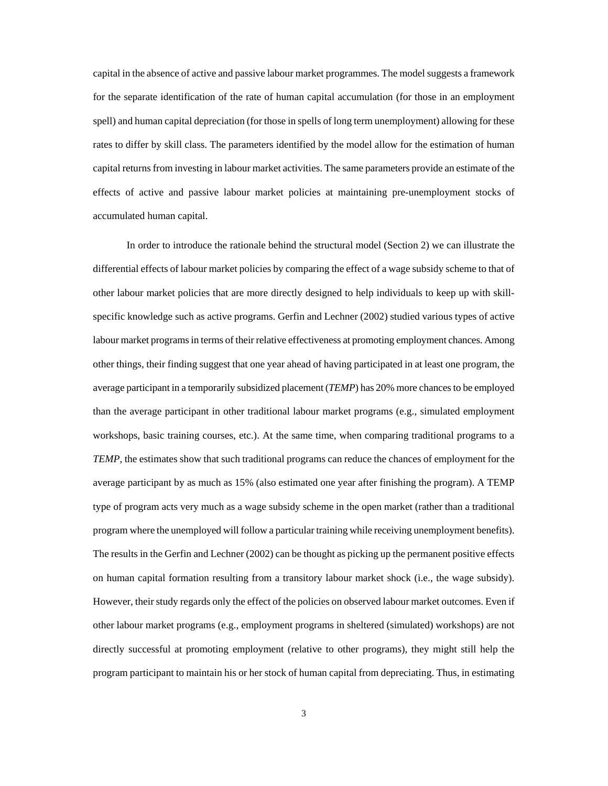capital in the absence of active and passive labour market programmes. The model suggests a framework for the separate identification of the rate of human capital accumulation (for those in an employment spell) and human capital depreciation (for those in spells of long term unemployment) allowing for these rates to differ by skill class. The parameters identified by the model allow for the estimation of human capital returns from investing in labour market activities. The same parameters provide an estimate of the effects of active and passive labour market policies at maintaining pre-unemployment stocks of accumulated human capital.

In order to introduce the rationale behind the structural model (Section 2) we can illustrate the differential effects of labour market policies by comparing the effect of a wage subsidy scheme to that of other labour market policies that are more directly designed to help individuals to keep up with skillspecific knowledge such as active programs. Gerfin and Lechner (2002) studied various types of active labour market programs in terms of their relative effectiveness at promoting employment chances. Among other things, their finding suggest that one year ahead of having participated in at least one program, the average participant in a temporarily subsidized placement (*TEMP*) has 20% more chances to be employed than the average participant in other traditional labour market programs (e.g., simulated employment workshops, basic training courses, etc.). At the same time, when comparing traditional programs to a *TEMP*, the estimates show that such traditional programs can reduce the chances of employment for the average participant by as much as 15% (also estimated one year after finishing the program). A TEMP type of program acts very much as a wage subsidy scheme in the open market (rather than a traditional program where the unemployed will follow a particular training while receiving unemployment benefits). The results in the Gerfin and Lechner (2002) can be thought as picking up the permanent positive effects on human capital formation resulting from a transitory labour market shock (i.e., the wage subsidy). However, their study regards only the effect of the policies on observed labour market outcomes. Even if other labour market programs (e.g., employment programs in sheltered (simulated) workshops) are not directly successful at promoting employment (relative to other programs), they might still help the program participant to maintain his or her stock of human capital from depreciating. Thus, in estimating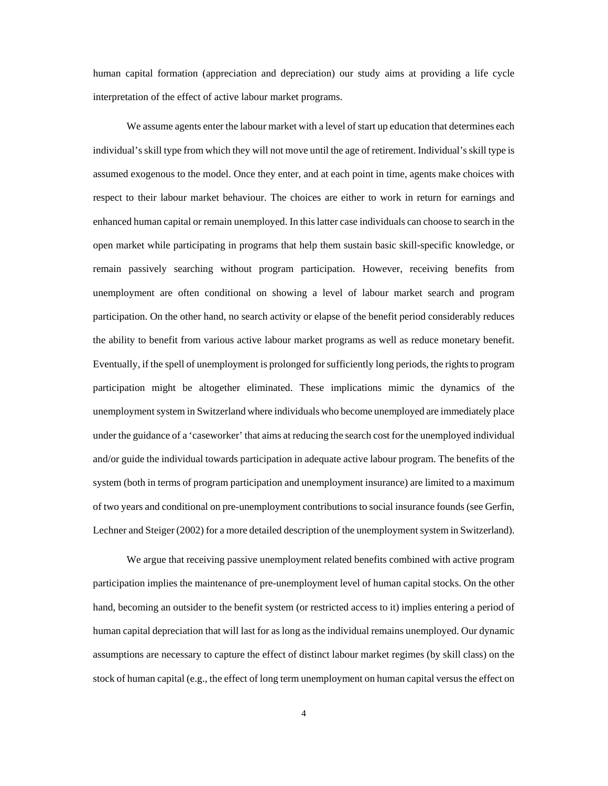human capital formation (appreciation and depreciation) our study aims at providing a life cycle interpretation of the effect of active labour market programs.

We assume agents enter the labour market with a level of start up education that determines each individual's skill type from which they will not move until the age of retirement. Individual's skill type is assumed exogenous to the model. Once they enter, and at each point in time, agents make choices with respect to their labour market behaviour. The choices are either to work in return for earnings and enhanced human capital or remain unemployed. In this latter case individuals can choose to search in the open market while participating in programs that help them sustain basic skill-specific knowledge, or remain passively searching without program participation. However, receiving benefits from unemployment are often conditional on showing a level of labour market search and program participation. On the other hand, no search activity or elapse of the benefit period considerably reduces the ability to benefit from various active labour market programs as well as reduce monetary benefit. Eventually, if the spell of unemployment is prolonged for sufficiently long periods, the rights to program participation might be altogether eliminated. These implications mimic the dynamics of the unemployment system in Switzerland where individuals who become unemployed are immediately place under the guidance of a 'caseworker' that aims at reducing the search cost for the unemployed individual and/or guide the individual towards participation in adequate active labour program. The benefits of the system (both in terms of program participation and unemployment insurance) are limited to a maximum of two years and conditional on pre-unemployment contributions to social insurance founds (see Gerfin, Lechner and Steiger (2002) for a more detailed description of the unemployment system in Switzerland).

We argue that receiving passive unemployment related benefits combined with active program participation implies the maintenance of pre-unemployment level of human capital stocks. On the other hand, becoming an outsider to the benefit system (or restricted access to it) implies entering a period of human capital depreciation that will last for as long as the individual remains unemployed. Our dynamic assumptions are necessary to capture the effect of distinct labour market regimes (by skill class) on the stock of human capital (e.g., the effect of long term unemployment on human capital versus the effect on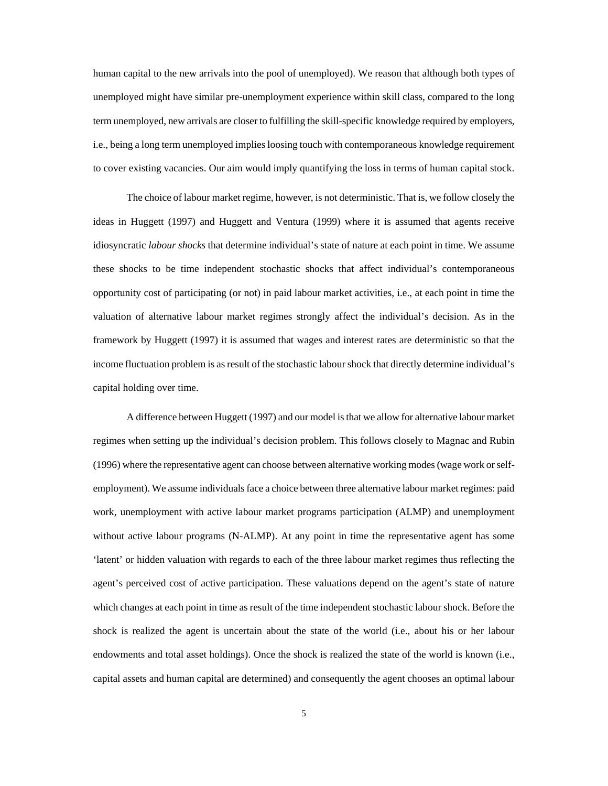human capital to the new arrivals into the pool of unemployed). We reason that although both types of unemployed might have similar pre-unemployment experience within skill class, compared to the long term unemployed, new arrivals are closer to fulfilling the skill-specific knowledge required by employers, i.e., being a long term unemployed implies loosing touch with contemporaneous knowledge requirement to cover existing vacancies. Our aim would imply quantifying the loss in terms of human capital stock.

The choice of labour market regime, however, is not deterministic. That is, we follow closely the ideas in Huggett (1997) and Huggett and Ventura (1999) where it is assumed that agents receive idiosyncratic *labour shocks* that determine individual's state of nature at each point in time. We assume these shocks to be time independent stochastic shocks that affect individual's contemporaneous opportunity cost of participating (or not) in paid labour market activities, i.e., at each point in time the valuation of alternative labour market regimes strongly affect the individual's decision. As in the framework by Huggett (1997) it is assumed that wages and interest rates are deterministic so that the income fluctuation problem is as result of the stochastic labour shock that directly determine individual's capital holding over time.

A difference between Huggett (1997) and our model is that we allow for alternative labour market regimes when setting up the individual's decision problem. This follows closely to Magnac and Rubin (1996) where the representative agent can choose between alternative working modes (wage work or selfemployment). We assume individuals face a choice between three alternative labour market regimes: paid work, unemployment with active labour market programs participation (ALMP) and unemployment without active labour programs (N-ALMP). At any point in time the representative agent has some 'latent' or hidden valuation with regards to each of the three labour market regimes thus reflecting the agent's perceived cost of active participation. These valuations depend on the agent's state of nature which changes at each point in time as result of the time independent stochastic labour shock. Before the shock is realized the agent is uncertain about the state of the world (i.e., about his or her labour endowments and total asset holdings). Once the shock is realized the state of the world is known (i.e., capital assets and human capital are determined) and consequently the agent chooses an optimal labour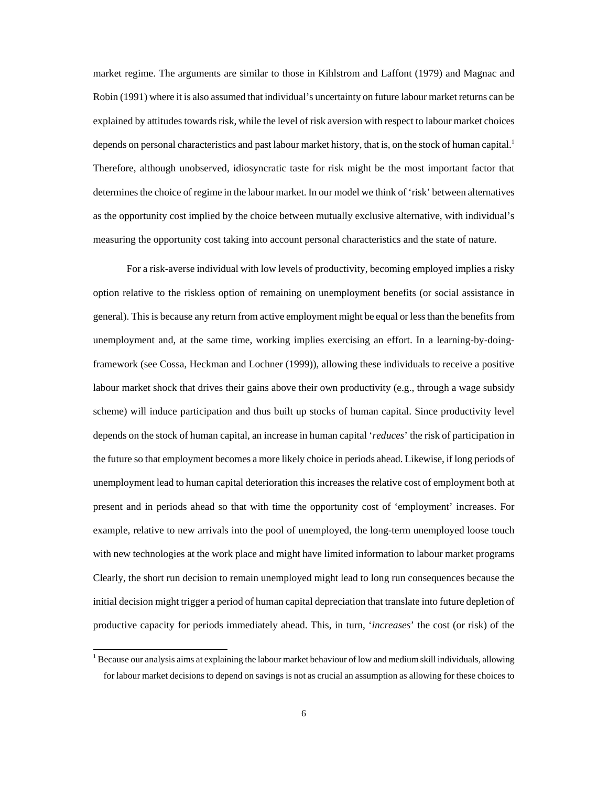market regime. The arguments are similar to those in Kihlstrom and Laffont (1979) and Magnac and Robin (1991) where it is also assumed that individual's uncertainty on future labour market returns can be explained by attitudes towards risk, while the level of risk aversion with respect to labour market choices depends on personal characteristics and past labour market history, that is, on the stock of human capital.<sup>1</sup> Therefore, although unobserved, idiosyncratic taste for risk might be the most important factor that determines the choice of regime in the labour market. In our model we think of 'risk' between alternatives as the opportunity cost implied by the choice between mutually exclusive alternative, with individual's measuring the opportunity cost taking into account personal characteristics and the state of nature.

For a risk-averse individual with low levels of productivity, becoming employed implies a risky option relative to the riskless option of remaining on unemployment benefits (or social assistance in general). This is because any return from active employment might be equal or less than the benefits from unemployment and, at the same time, working implies exercising an effort. In a learning-by-doingframework (see Cossa, Heckman and Lochner (1999)), allowing these individuals to receive a positive labour market shock that drives their gains above their own productivity (e.g., through a wage subsidy scheme) will induce participation and thus built up stocks of human capital. Since productivity level depends on the stock of human capital, an increase in human capital '*reduces*' the risk of participation in the future so that employment becomes a more likely choice in periods ahead. Likewise, if long periods of unemployment lead to human capital deterioration this increases the relative cost of employment both at present and in periods ahead so that with time the opportunity cost of 'employment' increases. For example, relative to new arrivals into the pool of unemployed, the long-term unemployed loose touch with new technologies at the work place and might have limited information to labour market programs Clearly, the short run decision to remain unemployed might lead to long run consequences because the initial decision might trigger a period of human capital depreciation that translate into future depletion of productive capacity for periods immediately ahead. This, in turn, '*increases*' the cost (or risk) of the

-

 $1$  Because our analysis aims at explaining the labour market behaviour of low and medium skill individuals, allowing for labour market decisions to depend on savings is not as crucial an assumption as allowing for these choices to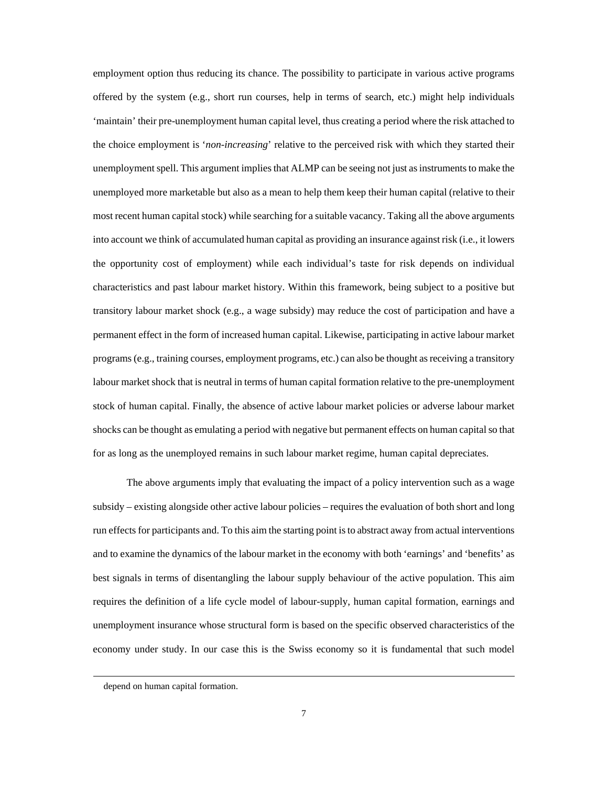employment option thus reducing its chance. The possibility to participate in various active programs offered by the system (e.g., short run courses, help in terms of search, etc.) might help individuals 'maintain' their pre-unemployment human capital level, thus creating a period where the risk attached to the choice employment is '*non-increasing*' relative to the perceived risk with which they started their unemployment spell. This argument implies that ALMP can be seeing not just as instruments to make the unemployed more marketable but also as a mean to help them keep their human capital (relative to their most recent human capital stock) while searching for a suitable vacancy. Taking all the above arguments into account we think of accumulated human capital as providing an insurance against risk (i.e., it lowers the opportunity cost of employment) while each individual's taste for risk depends on individual characteristics and past labour market history. Within this framework, being subject to a positive but transitory labour market shock (e.g., a wage subsidy) may reduce the cost of participation and have a permanent effect in the form of increased human capital. Likewise, participating in active labour market programs (e.g., training courses, employment programs, etc.) can also be thought as receiving a transitory labour market shock that is neutral in terms of human capital formation relative to the pre-unemployment stock of human capital. Finally, the absence of active labour market policies or adverse labour market shocks can be thought as emulating a period with negative but permanent effects on human capital so that for as long as the unemployed remains in such labour market regime, human capital depreciates.

The above arguments imply that evaluating the impact of a policy intervention such as a wage subsidy – existing alongside other active labour policies – requires the evaluation of both short and long run effects for participants and. To this aim the starting point is to abstract away from actual interventions and to examine the dynamics of the labour market in the economy with both 'earnings' and 'benefits' as best signals in terms of disentangling the labour supply behaviour of the active population. This aim requires the definition of a life cycle model of labour-supply, human capital formation, earnings and unemployment insurance whose structural form is based on the specific observed characteristics of the economy under study. In our case this is the Swiss economy so it is fundamental that such model

-

depend on human capital formation.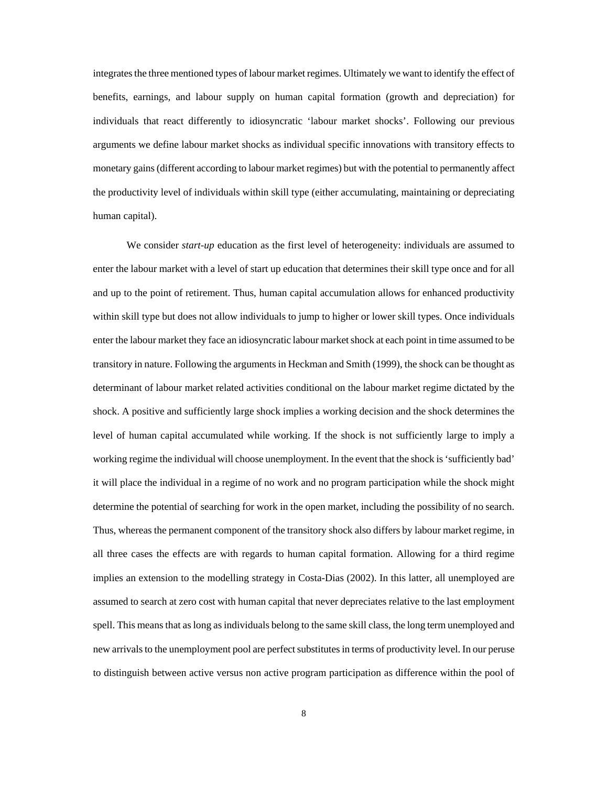integrates the three mentioned types of labour market regimes. Ultimately we want to identify the effect of benefits, earnings, and labour supply on human capital formation (growth and depreciation) for individuals that react differently to idiosyncratic 'labour market shocks'. Following our previous arguments we define labour market shocks as individual specific innovations with transitory effects to monetary gains (different according to labour market regimes) but with the potential to permanently affect the productivity level of individuals within skill type (either accumulating, maintaining or depreciating human capital).

We consider *start-up* education as the first level of heterogeneity: individuals are assumed to enter the labour market with a level of start up education that determines their skill type once and for all and up to the point of retirement. Thus, human capital accumulation allows for enhanced productivity within skill type but does not allow individuals to jump to higher or lower skill types. Once individuals enter the labour market they face an idiosyncratic labour market shock at each point in time assumed to be transitory in nature. Following the arguments in Heckman and Smith (1999), the shock can be thought as determinant of labour market related activities conditional on the labour market regime dictated by the shock. A positive and sufficiently large shock implies a working decision and the shock determines the level of human capital accumulated while working. If the shock is not sufficiently large to imply a working regime the individual will choose unemployment. In the event that the shock is 'sufficiently bad' it will place the individual in a regime of no work and no program participation while the shock might determine the potential of searching for work in the open market, including the possibility of no search. Thus, whereas the permanent component of the transitory shock also differs by labour market regime, in all three cases the effects are with regards to human capital formation. Allowing for a third regime implies an extension to the modelling strategy in Costa-Dias (2002). In this latter, all unemployed are assumed to search at zero cost with human capital that never depreciates relative to the last employment spell. This means that as long as individuals belong to the same skill class, the long term unemployed and new arrivals to the unemployment pool are perfect substitutes in terms of productivity level. In our peruse to distinguish between active versus non active program participation as difference within the pool of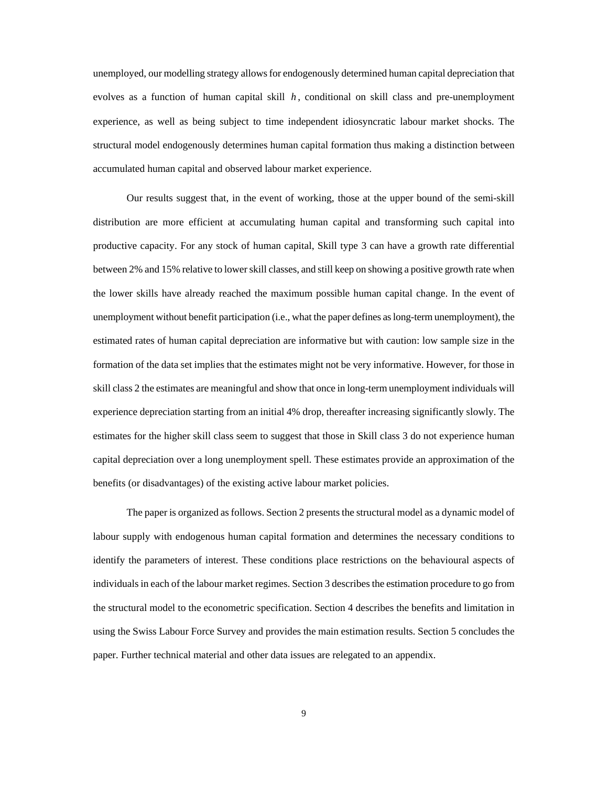unemployed, our modelling strategy allows for endogenously determined human capital depreciation that evolves as a function of human capital skill  $h$ , conditional on skill class and pre-unemployment experience, as well as being subject to time independent idiosyncratic labour market shocks. The structural model endogenously determines human capital formation thus making a distinction between accumulated human capital and observed labour market experience.

Our results suggest that, in the event of working, those at the upper bound of the semi-skill distribution are more efficient at accumulating human capital and transforming such capital into productive capacity. For any stock of human capital, Skill type 3 can have a growth rate differential between 2% and 15% relative to lower skill classes, and still keep on showing a positive growth rate when the lower skills have already reached the maximum possible human capital change. In the event of unemployment without benefit participation (i.e., what the paper defines as long-term unemployment), the estimated rates of human capital depreciation are informative but with caution: low sample size in the formation of the data set implies that the estimates might not be very informative. However, for those in skill class 2 the estimates are meaningful and show that once in long-term unemployment individuals will experience depreciation starting from an initial 4% drop, thereafter increasing significantly slowly. The estimates for the higher skill class seem to suggest that those in Skill class 3 do not experience human capital depreciation over a long unemployment spell. These estimates provide an approximation of the benefits (or disadvantages) of the existing active labour market policies.

The paper is organized as follows. Section 2 presents the structural model as a dynamic model of labour supply with endogenous human capital formation and determines the necessary conditions to identify the parameters of interest. These conditions place restrictions on the behavioural aspects of individuals in each of the labour market regimes. Section 3 describes the estimation procedure to go from the structural model to the econometric specification. Section 4 describes the benefits and limitation in using the Swiss Labour Force Survey and provides the main estimation results. Section 5 concludes the paper. Further technical material and other data issues are relegated to an appendix.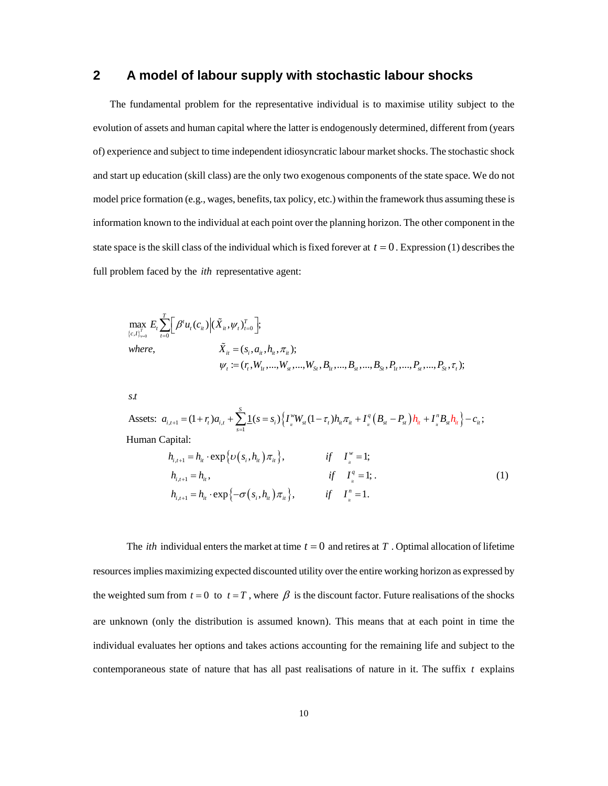# **2 A model of labour supply with stochastic labour shocks**

The fundamental problem for the representative individual is to maximise utility subject to the evolution of assets and human capital where the latter is endogenously determined, different from (years of) experience and subject to time independent idiosyncratic labour market shocks. The stochastic shock and start up education (skill class) are the only two exogenous components of the state space. We do not model price formation (e.g., wages, benefits, tax policy, etc.) within the framework thus assuming these is information known to the individual at each point over the planning horizon. The other component in the state space is the skill class of the individual which is fixed forever at  $t = 0$ . Expression (1) describes the full problem faced by the *ith* representative agent:

$$
\max_{\{c,l\}_{i=0}^T} E_i \sum_{t=0}^T \Bigg[ \beta^t u_t(c_{it}) \Big| (\tilde{X}_{it}, \psi_t)_{t=0}^T \Bigg];
$$
\nwhere,  
\n
$$
\tilde{X}_{it} = (s_i, a_{it}, h_{it}, \pi_{it});
$$
\n
$$
\psi_t := (r_t, W_{1t}, ..., W_{st}, ..., W_{St}, B_{1t}, ..., B_{st}, ..., B_{St}, P_{1t}, ..., P_{st}, ..., P_{St}, \tau_t);
$$

. *s t*

Assets: 
$$
a_{i,t+1} = (1 + r_t)a_{i,t} + \sum_{s=1}^{S} \underline{1}(s = s_i) \Big\{ I_i^w W_{st} (1 - \tau_t) h_{it} \pi_{it} + I_i^q (B_{st} - P_{st}) h_{it} + I_i^m B_{st} h_{it} \Big\} - c_{it};
$$
  
Human Capital:

$$
h_{i,i+1} = h_{ii} \cdot \exp\{ \nu(s_i, h_{ii}) \pi_{ii} \}, \qquad \text{if} \quad I_i^w = 1; h_{i,i+1} = h_{ii}, \qquad \text{if} \quad I_i^q = 1; h_{i,i+1} = h_{ii} \cdot \exp\{-\sigma(s_i, h_{ii}) \pi_{ii} \}, \qquad \text{if} \quad I_i^n = 1.
$$
 (1)

The *ith* individual enters the market at time  $t = 0$  and retires at  $T$ . Optimal allocation of lifetime resources implies maximizing expected discounted utility over the entire working horizon as expressed by the weighted sum from  $t = 0$  to  $t = T$ , where  $\beta$  is the discount factor. Future realisations of the shocks are unknown (only the distribution is assumed known). This means that at each point in time the individual evaluates her options and takes actions accounting for the remaining life and subject to the contemporaneous state of nature that has all past realisations of nature in it. The suffix *t* explains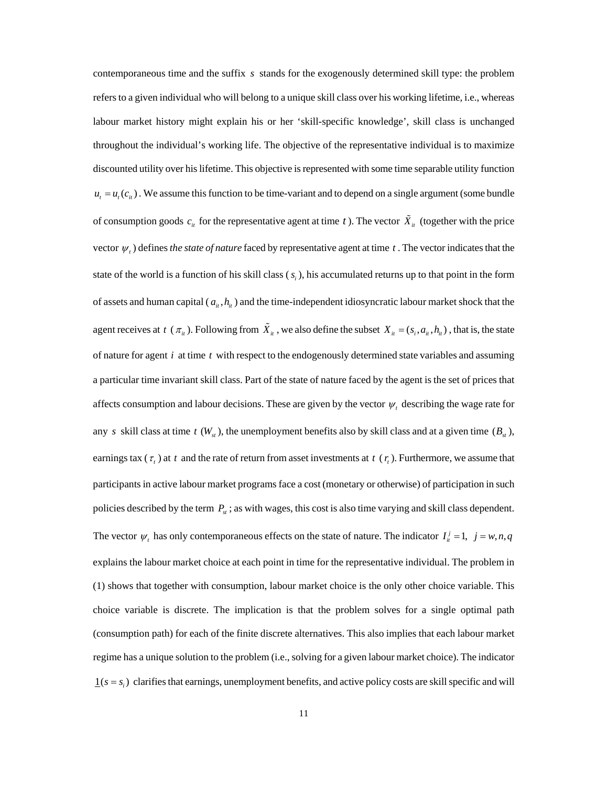contemporaneous time and the suffix *s* stands for the exogenously determined skill type: the problem refers to a given individual who will belong to a unique skill class over his working lifetime, i.e., whereas labour market history might explain his or her 'skill-specific knowledge', skill class is unchanged throughout the individual's working life. The objective of the representative individual is to maximize discounted utility over his lifetime. This objective is represented with some time separable utility function  $u_i = u_i(c_{ii})$ . We assume this function to be time-variant and to depend on a single argument (some bundle of consumption goods  $c_{it}$  for the representative agent at time t ). The vector  $\tilde{X}_{it}$  (together with the price vector  $\psi$ , ) defines *the state of nature* faced by representative agent at time  $t$ . The vector indicates that the state of the world is a function of his skill class  $(s_i)$ , his accumulated returns up to that point in the form of assets and human capital ( $a_{it}$ ,  $h_{it}$ ) and the time-independent idiosyncratic labour market shock that the agent receives at  $t \, (\pi_{it})$ . Following from  $\tilde{X}_{it}$ , we also define the subset  $X_{it} = (s_i, a_{it}, h_{it})$ , that is, the state of nature for agent *i* at time *t* with respect to the endogenously determined state variables and assuming a particular time invariant skill class. Part of the state of nature faced by the agent is the set of prices that affects consumption and labour decisions. These are given by the vector  $\psi$ , describing the wage rate for any *s* skill class at time *t* ( $W_{st}$ ), the unemployment benefits also by skill class and at a given time  $(B_{st})$ , earnings tax  $(\tau)$  at *t* and the rate of return from asset investments at  $t(\tau)$ . Furthermore, we assume that participants in active labour market programs face a cost (monetary or otherwise) of participation in such policies described by the term  $P_{st}$ ; as with wages, this cost is also time varying and skill class dependent. The vector  $\psi_t$  has only contemporaneous effects on the state of nature. The indicator  $I^j_u = 1$ ,  $j = w, n, q$ explains the labour market choice at each point in time for the representative individual. The problem in (1) shows that together with consumption, labour market choice is the only other choice variable. This choice variable is discrete. The implication is that the problem solves for a single optimal path (consumption path) for each of the finite discrete alternatives. This also implies that each labour market regime has a unique solution to the problem (i.e., solving for a given labour market choice). The indicator  $\underline{1}(s = s_i)$  clarifies that earnings, unemployment benefits, and active policy costs are skill specific and will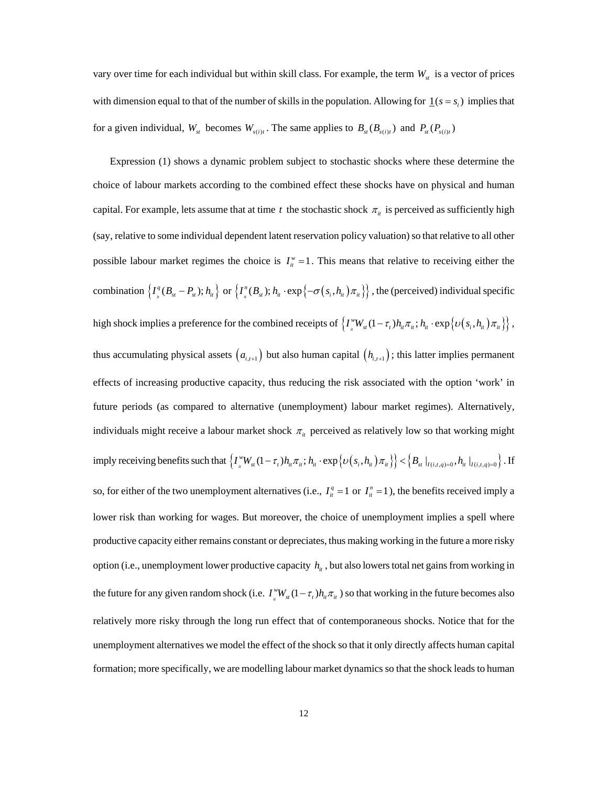vary over time for each individual but within skill class. For example, the term  $W_{st}$  is a vector of prices with dimension equal to that of the number of skills in the population. Allowing for  $\underline{1}(s = s_i)$  implies that for a given individual,  $W_{st}$  becomes  $W_{s(i)t}$ . The same applies to  $B_{st}(B_{s(i)t})$  and  $P_{st}(P_{s(i)t})$ 

Expression (1) shows a dynamic problem subject to stochastic shocks where these determine the choice of labour markets according to the combined effect these shocks have on physical and human capital. For example, lets assume that at time *t* the stochastic shock  $\pi_{it}$  is perceived as sufficiently high (say, relative to some individual dependent latent reservation policy valuation) so that relative to all other possible labour market regimes the choice is  $I_{ii}^{\nu} = 1$ . This means that relative to receiving either the combination  $\left\{I^q_i(B_{st} - P_{st}); h_{it}\right\}$  or  $\left\{I^n_i(B_{st}); h_{it} \cdot \exp\left\{-\sigma(s_i, h_{it})\pi_{it}\right\}\right\}$ , the (perceived) individual specific high shock implies a preference for the combined receipts of  $\left\{I_{i}^{\text{w}}W_{st}(1-\tau_{i})h_{i}^{\text{w}}\pi_{i};h_{i}^{\text{w}}\cdot\exp\big\{\upsilon(s_{i},h_{i}^{\text{w}})\pi_{i}\big\}\right\},$ thus accumulating physical assets  $(a_{i,t+1})$  but also human capital  $(h_{i,t+1})$ ; this latter implies permanent effects of increasing productive capacity, thus reducing the risk associated with the option 'work' in future periods (as compared to alternative (unemployment) labour market regimes). Alternatively, individuals might receive a labour market shock  $\pi_{i}$  perceived as relatively low so that working might  $\sup \{ v \in \mathcal{E} \}$  imply receiving benefits such that  $\left\{ I_{\frac{w}{u}}^w W_{st} (1-\tau_t) h_u \pi_{it}; h_{it} \cdot \exp \big\{ \nu \big( s_i, h_{it} \big) \pi_{it} \big\} \right\} \leq \left\{ B_{st} \big|_{I(i,t,q)=0}, h_{it} \big|_{I(i,t,q)=0} \right\}.$  If so, for either of the two unemployment alternatives (i.e.,  $I_{it}^q = 1$  or  $I_{it}^n = 1$ ), the benefits received imply a lower risk than working for wages. But moreover, the choice of unemployment implies a spell where productive capacity either remains constant or depreciates, thus making working in the future a more risky option (i.e., unemployment lower productive capacity  $h_{it}$ , but also lowers total net gains from working in the future for any given random shock (i.e.  $I_i^w W_{st} (1 - \tau_i) h_i \pi_i$ ) so that working in the future becomes also relatively more risky through the long run effect that of contemporaneous shocks. Notice that for the unemployment alternatives we model the effect of the shock so that it only directly affects human capital formation; more specifically, we are modelling labour market dynamics so that the shock leads to human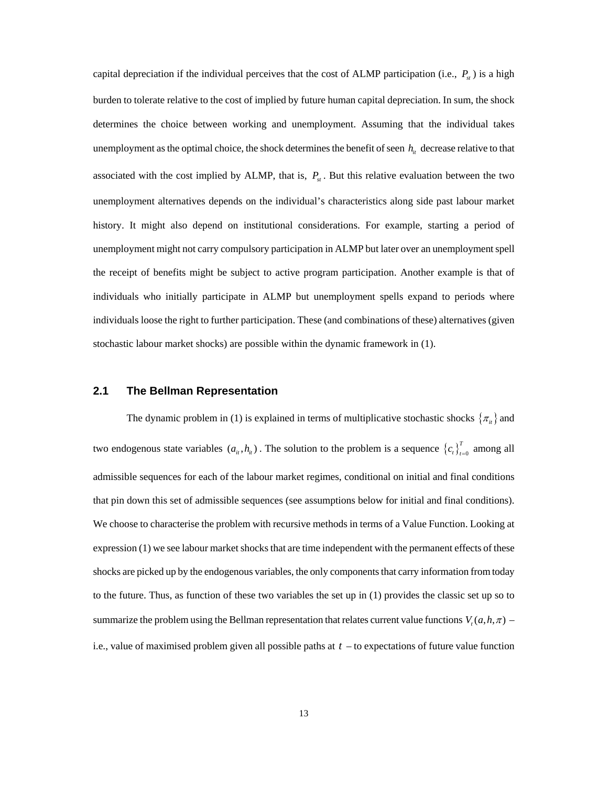capital depreciation if the individual perceives that the cost of ALMP participation (i.e.,  $P_{st}$ ) is a high burden to tolerate relative to the cost of implied by future human capital depreciation. In sum, the shock determines the choice between working and unemployment. Assuming that the individual takes unemployment as the optimal choice, the shock determines the benefit of seen  $h_{it}$  decrease relative to that associated with the cost implied by ALMP, that is,  $P_{st}$ . But this relative evaluation between the two unemployment alternatives depends on the individual's characteristics along side past labour market history. It might also depend on institutional considerations. For example, starting a period of unemployment might not carry compulsory participation in ALMP but later over an unemployment spell the receipt of benefits might be subject to active program participation. Another example is that of individuals who initially participate in ALMP but unemployment spells expand to periods where individuals loose the right to further participation. These (and combinations of these) alternatives (given stochastic labour market shocks) are possible within the dynamic framework in (1).

#### **2.1 The Bellman Representation**

The dynamic problem in (1) is explained in terms of multiplicative stochastic shocks  $\{\pi_{i}\}\$ and two endogenous state variables  $(a_i, h_i)$ . The solution to the problem is a sequence  ${c_i}_{t=0}^T$  among all admissible sequences for each of the labour market regimes, conditional on initial and final conditions that pin down this set of admissible sequences (see assumptions below for initial and final conditions). We choose to characterise the problem with recursive methods in terms of a Value Function. Looking at expression (1) we see labour market shocks that are time independent with the permanent effects of these shocks are picked up by the endogenous variables, the only components that carry information from today to the future. Thus, as function of these two variables the set up in (1) provides the classic set up so to summarize the problem using the Bellman representation that relates current value functions  $V_t(a, h, \pi)$  – i.e., value of maximised problem given all possible paths at *t* – to expectations of future value function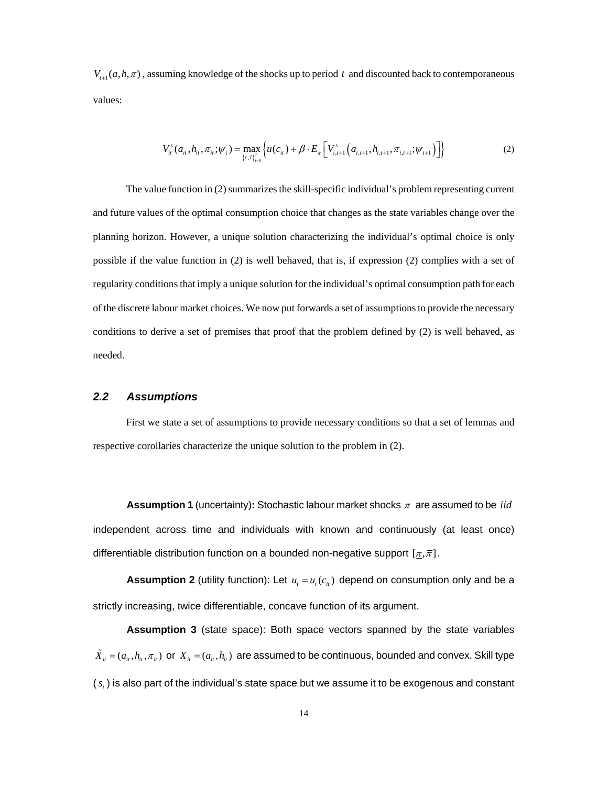$V_{t+1}(a, h, \pi)$ , assuming knowledge of the shocks up to period t and discounted back to contemporaneous values:

$$
V_{ii}^{s}(a_{it}, h_{it}, \pi_{it}; \psi_{t}) = \max_{\{c, l\}_{t=0}^{T}} \left\{ u(c_{it}) + \beta \cdot E_{\pi} \left[ V_{i,t+1}^{s}(a_{i,t+1}, h_{i,t+1}, \pi_{i,t+1}; \psi_{t+1}) \right] \right\}
$$
(2)

The value function in (2) summarizes the skill-specific individual's problem representing current and future values of the optimal consumption choice that changes as the state variables change over the planning horizon. However, a unique solution characterizing the individual's optimal choice is only possible if the value function in (2) is well behaved, that is, if expression (2) complies with a set of regularity conditions that imply a unique solution for the individual's optimal consumption path for each of the discrete labour market choices. We now put forwards a set of assumptions to provide the necessary conditions to derive a set of premises that proof that the problem defined by (2) is well behaved, as needed.

#### *2.2 Assumptions*

First we state a set of assumptions to provide necessary conditions so that a set of lemmas and respective corollaries characterize the unique solution to the problem in (2).

**Assumption 1** (uncertainty)**:** Stochastic labour market shocks π are assumed to be *iid* independent across time and individuals with known and continuously (at least once) differentiable distribution function on a bounded non-negative support  $[\pi,\bar{\pi}]$ .

**Assumption 2** (utility function): Let  $u_t = u_t(c_{it})$  depend on consumption only and be a strictly increasing, twice differentiable, concave function of its argument.

**Assumption 3** (state space): Both space vectors spanned by the state variables  ${\tilde X}_{\dot u}$  =  $(a_{\dot u}, h_{\dot u}, \pi_{\dot u})\,$  or  $\,X_{\dot u}$  =  $(a_{\dot u}, h_{\dot u})\,$  are assumed to be continuous, bounded and convex. Skill type ( *<sup>i</sup> s* ) is also part of the individual's state space but we assume it to be exogenous and constant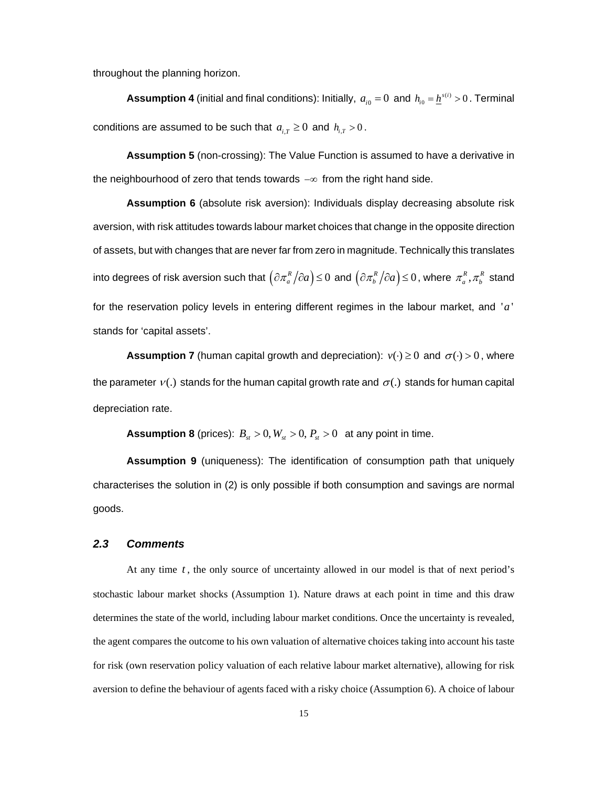throughout the planning horizon.

**Assumption 4** (initial and final conditions): Initially,  $a_{i0} = 0$  and  $h_{i0} = \underline{h}^{s(i)} > 0$ . Terminal conditions are assumed to be such that  $a_{i,T} \geq 0$  and  $h_{i,T} > 0$ .

**Assumption 5** (non-crossing): The Value Function is assumed to have a derivative in the neighbourhood of zero that tends towards −∞ from the right hand side.

**Assumption 6** (absolute risk aversion): Individuals display decreasing absolute risk aversion, with risk attitudes towards labour market choices that change in the opposite direction of assets, but with changes that are never far from zero in magnitude. Technically this translates into degrees of risk aversion such that  $\left(\partial\pi_a^R/\partial a\right)\leq 0$  and  $\left(\partial\pi_b^R/\partial a\right)\leq 0$  , where  $\pi_a^R,\pi_b^R$  stand for the reservation policy levels in entering different regimes in the labour market, and 'a' stands for 'capital assets'.

**Assumption 7** (human capital growth and depreciation):  $v(\cdot) \ge 0$  and  $\sigma(\cdot) > 0$ , where the parameter  $v(.)$  stands for the human capital growth rate and  $\sigma(.)$  stands for human capital depreciation rate.

**Assumption 8** (prices):  $B_{st} > 0$ ,  $W_{st} > 0$ ,  $P_{st} > 0$  at any point in time.

**Assumption 9** (uniqueness): The identification of consumption path that uniquely characterises the solution in (2) is only possible if both consumption and savings are normal goods.

#### *2.3 Comments*

At any time *t* , the only source of uncertainty allowed in our model is that of next period's stochastic labour market shocks (Assumption 1). Nature draws at each point in time and this draw determines the state of the world, including labour market conditions. Once the uncertainty is revealed, the agent compares the outcome to his own valuation of alternative choices taking into account his taste for risk (own reservation policy valuation of each relative labour market alternative), allowing for risk aversion to define the behaviour of agents faced with a risky choice (Assumption 6). A choice of labour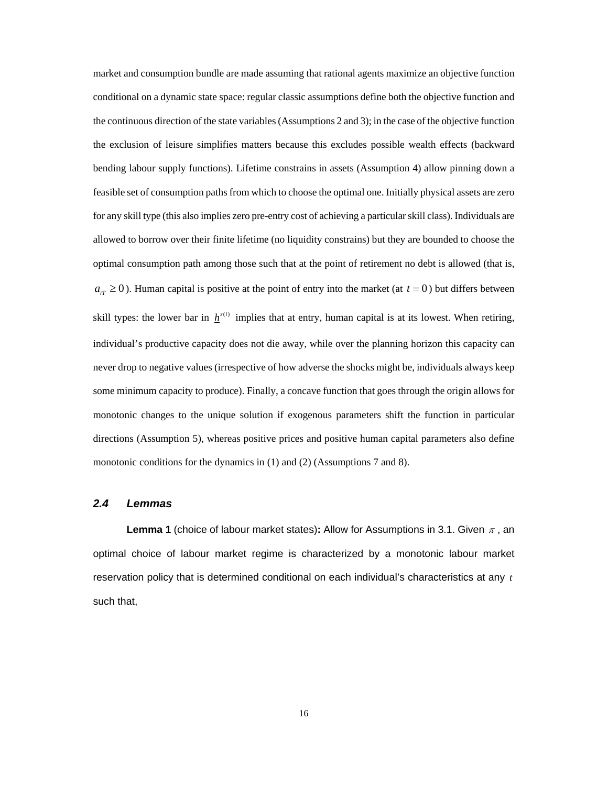market and consumption bundle are made assuming that rational agents maximize an objective function conditional on a dynamic state space: regular classic assumptions define both the objective function and the continuous direction of the state variables (Assumptions 2 and 3); in the case of the objective function the exclusion of leisure simplifies matters because this excludes possible wealth effects (backward bending labour supply functions). Lifetime constrains in assets (Assumption 4) allow pinning down a feasible set of consumption paths from which to choose the optimal one. Initially physical assets are zero for any skill type (this also implies zero pre-entry cost of achieving a particular skill class). Individuals are allowed to borrow over their finite lifetime (no liquidity constrains) but they are bounded to choose the optimal consumption path among those such that at the point of retirement no debt is allowed (that is,  $a_{i\tau} \ge 0$ ). Human capital is positive at the point of entry into the market (at  $t = 0$ ) but differs between skill types: the lower bar in  $h^{(i)}$  implies that at entry, human capital is at its lowest. When retiring, individual's productive capacity does not die away, while over the planning horizon this capacity can never drop to negative values (irrespective of how adverse the shocks might be, individuals always keep some minimum capacity to produce). Finally, a concave function that goes through the origin allows for monotonic changes to the unique solution if exogenous parameters shift the function in particular directions (Assumption 5), whereas positive prices and positive human capital parameters also define monotonic conditions for the dynamics in (1) and (2) (Assumptions 7 and 8).

#### *2.4 Lemmas*

**Lemma 1** (choice of labour market states): Allow for Assumptions in 3.1. Given π, an optimal choice of labour market regime is characterized by a monotonic labour market reservation policy that is determined conditional on each individual's characteristics at any *t* such that,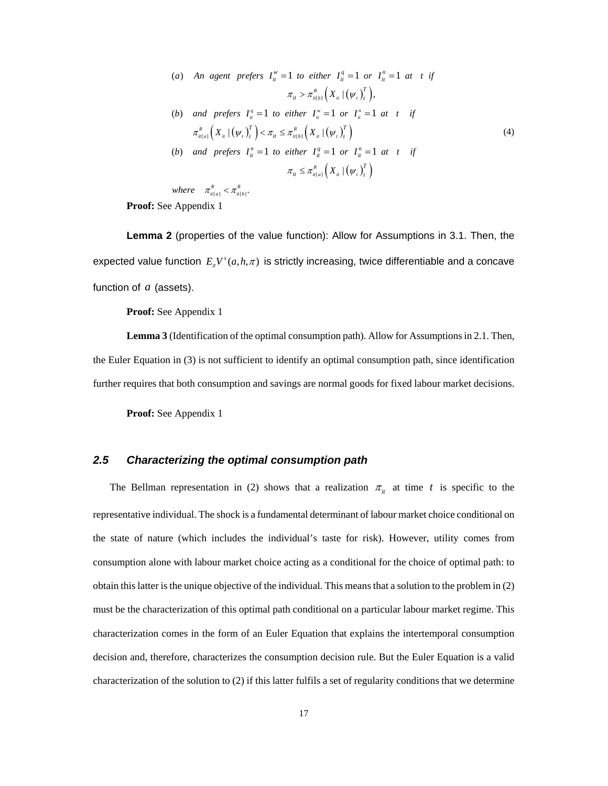$\frac{R}{\ln[b]} \left( X_{i t} | (\psi_{t})^T_t \right),$  $\left( \frac{R}{\mu\left[a\right]} \left( X_{i t} \right] \left(\psi_{t}\right)_{t}^{T} \right) < \pi_{i t} \leq \pi_{i\left[b\right]}^{R} \left( X_{i t} \right] \left(\psi_{t}\right)_{t}^{T} \right)$ (a) An agent prefers  $I_{it}^w = 1$  to either  $I_{it}^q = 1$  or  $I_{it}^n = 1$  at t if (b) and prefers  $I_{ii}^q = 1$  to either  $I_{ii}^w = 1$  or  $I_{ii}^n = 1$  at t if (b) and prefers  $I_{it}^{n} = 1$  to either  $I_{it}^{q} = 1$  or  $I_{it}^{n} = 1$  at t if *T*  $\pi_{it} > \pi_{it[b]}^{R} (X_{it} | (\psi_{t})_{t}^{t})$  $T \cup \{K \mid \mathbf{v} \in \mathbb{R}^T \mid \mathbf{v} \in \mathbb{R}^T\}$  $\pi^{\scriptscriptstyle R}_{u\left\{a\right\}}\left(X_{\scriptscriptstyle H} \mid \left(\overline{\psi}_{\scriptscriptstyle T}\right)^{\scriptscriptstyle I}_{\scriptscriptstyle T}\right) < \pi_{\scriptscriptstyle it} \leq \pi^{\scriptscriptstyle R}_{\scriptscriptstyle it\left\{b\right\}}\left(X_{\scriptscriptstyle H} \mid \left(\overline{\psi}_{\scriptscriptstyle T}\right)^{\scriptscriptstyle I}_{\scriptscriptstyle T}\right)$  $\pi_{it} \leq \pi_{it[a]}^R \left( X_{it} \right) \left( \psi_t \right)_{t}^T$ |  $\leq \pi_{u[a]}^R \left( X_{u} \mid (\psi_{t}) \right)_{t}^T$ 

(4)

where  $\pi_{\mu[a]}^R < \pi_{\mu[b]}^R$ .

**Proof:** See Appendix 1

**Lemma 2** (properties of the value function): Allow for Assumptions in 3.1. Then, the expected value function  $E_x V^s(a, h, \pi)$  is strictly increasing, twice differentiable and a concave function of *a* (assets).

**Proof:** See Appendix 1

**Lemma 3** (Identification of the optimal consumption path). Allow for Assumptions in 2.1. Then, the Euler Equation in (3) is not sufficient to identify an optimal consumption path, since identification further requires that both consumption and savings are normal goods for fixed labour market decisions.

**Proof:** See Appendix 1

#### *2.5 Characterizing the optimal consumption path*

The Bellman representation in (2) shows that a realization  $\pi_{ii}$  at time *t* is specific to the representative individual. The shock is a fundamental determinant of labour market choice conditional on the state of nature (which includes the individual's taste for risk). However, utility comes from consumption alone with labour market choice acting as a conditional for the choice of optimal path: to obtain this latter is the unique objective of the individual. This means that a solution to the problem in (2) must be the characterization of this optimal path conditional on a particular labour market regime. This characterization comes in the form of an Euler Equation that explains the intertemporal consumption decision and, therefore, characterizes the consumption decision rule. But the Euler Equation is a valid characterization of the solution to (2) if this latter fulfils a set of regularity conditions that we determine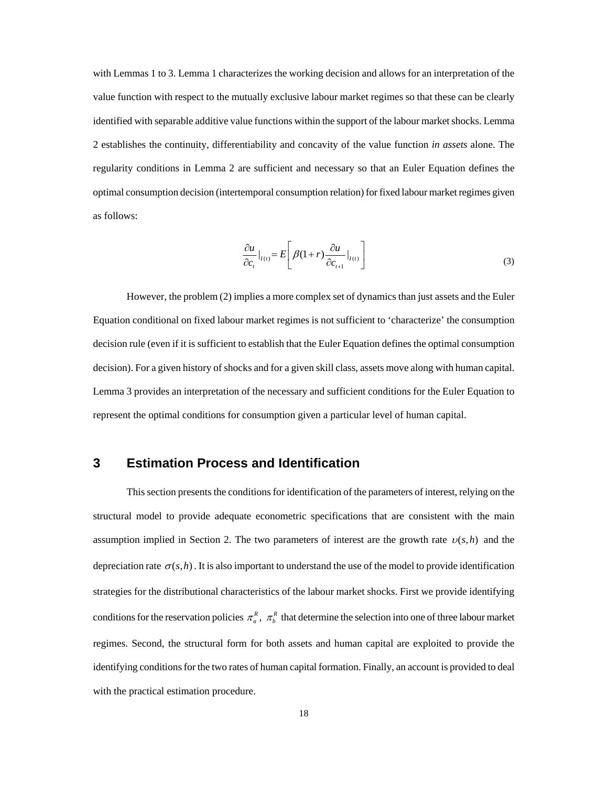with Lemmas 1 to 3. Lemma 1 characterizes the working decision and allows for an interpretation of the value function with respect to the mutually exclusive labour market regimes so that these can be clearly identified with separable additive value functions within the support of the labour market shocks. Lemma 2 establishes the continuity, differentiability and concavity of the value function *in assets* alone. The regularity conditions in Lemma 2 are sufficient and necessary so that an Euler Equation defines the optimal consumption decision (intertemporal consumption relation) for fixed labour market regimes given as follows:

$$
\frac{\partial u}{\partial c_t}\big|_{I(t)} = E\left[\beta(1+r)\frac{\partial u}{\partial c_{t+1}}\big|_{I(t)}\right]
$$
\n(3)

However, the problem (2) implies a more complex set of dynamics than just assets and the Euler Equation conditional on fixed labour market regimes is not sufficient to 'characterize' the consumption decision rule (even if it is sufficient to establish that the Euler Equation defines the optimal consumption decision). For a given history of shocks and for a given skill class, assets move along with human capital. Lemma 3 provides an interpretation of the necessary and sufficient conditions for the Euler Equation to represent the optimal conditions for consumption given a particular level of human capital.

## **3 Estimation Process and Identification**

This section presents the conditions for identification of the parameters of interest, relying on the structural model to provide adequate econometric specifications that are consistent with the main assumption implied in Section 2. The two parameters of interest are the growth rate  $v(s, h)$  and the depreciation rate  $\sigma(s, h)$ . It is also important to understand the use of the model to provide identification strategies for the distributional characteristics of the labour market shocks. First we provide identifying conditions for the reservation policies  $\pi_a^R$ ,  $\pi_b^R$  that determine the selection into one of three labour market regimes. Second, the structural form for both assets and human capital are exploited to provide the identifying conditions for the two rates of human capital formation. Finally, an account is provided to deal with the practical estimation procedure.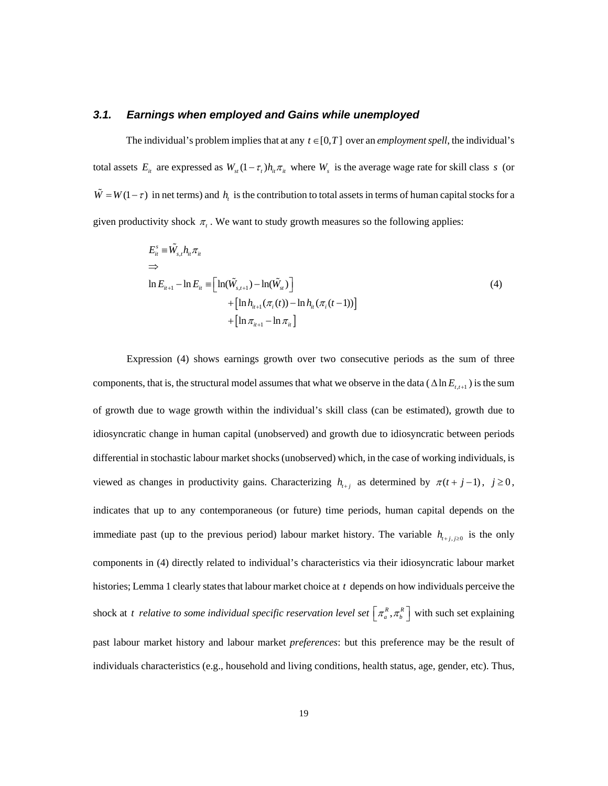#### *3.1. Earnings when employed and Gains while unemployed*

The individual's problem implies that at any  $t \in [0, T]$  over an *employment spell*, the individual's total assets  $E_{it}$  are expressed as  $W_{st} (1 - \tau_t) h_{it} \pi_{it}$  where  $W_s$  is the average wage rate for skill class *s* (or  $\tilde{W} = W(1 - \tau)$  in net terms) and  $h_t$  is the contribution to total assets in terms of human capital stocks for a given productivity shock  $\pi$ <sub>t</sub>. We want to study growth measures so the following applies:

$$
E_{it}^{s} = \tilde{W}_{s,t} h_{it} \pi_{it}
$$
  
\n
$$
\Rightarrow
$$
  
\n
$$
\ln E_{it+1} - \ln E_{it} = \left[ \ln(\tilde{W}_{s,t+1}) - \ln(\tilde{W}_{st}) \right]
$$
  
\n
$$
+ \left[ \ln h_{it+1}(\pi_i(t)) - \ln h_{it}(\pi_i(t-1)) \right]
$$
  
\n
$$
+ \left[ \ln \pi_{it+1} - \ln \pi_{it} \right]
$$
\n(4)

Expression (4) shows earnings growth over two consecutive periods as the sum of three components, that is, the structural model assumes that what we observe in the data ( $\Delta \ln E_{t,t+1}$ ) is the sum of growth due to wage growth within the individual's skill class (can be estimated), growth due to idiosyncratic change in human capital (unobserved) and growth due to idiosyncratic between periods differential in stochastic labour market shocks (unobserved) which, in the case of working individuals, is viewed as changes in productivity gains. Characterizing  $h_{i+j}$  as determined by  $\pi(t+j-1)$ ,  $j \ge 0$ , indicates that up to any contemporaneous (or future) time periods, human capital depends on the immediate past (up to the previous period) labour market history. The variable  $h_{i+j,j\geq 0}$  is the only components in (4) directly related to individual's characteristics via their idiosyncratic labour market histories; Lemma 1 clearly states that labour market choice at t depends on how individuals perceive the shock at *t relative to some individual specific reservation level set*  $\left[\pi_a^R, \pi_b^R\right]$  with such set explaining past labour market history and labour market *preferences*: but this preference may be the result of individuals characteristics (e.g., household and living conditions, health status, age, gender, etc). Thus,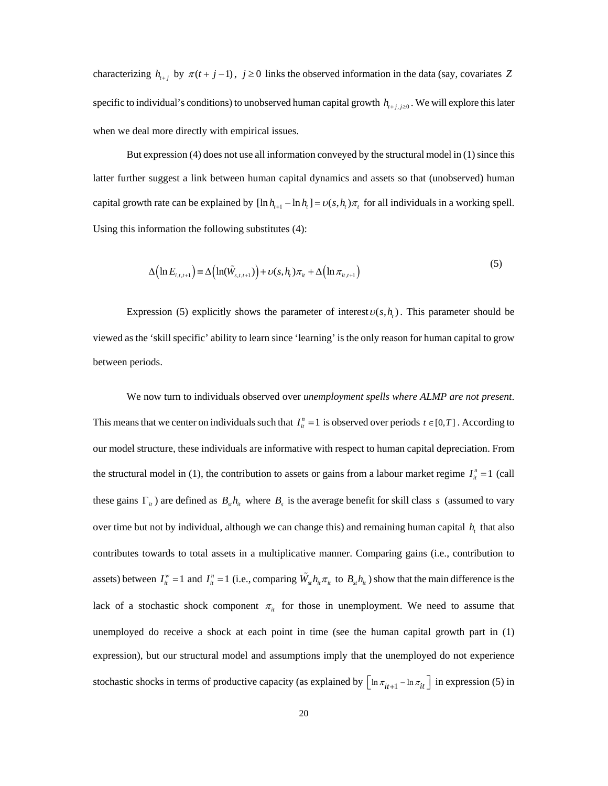characterizing  $h_{i+j}$  by  $\pi(t+j-1)$ ,  $j \ge 0$  links the observed information in the data (say, covariates *Z* specific to individual's conditions) to unobserved human capital growth  $h_{i+j, j\geq 0}$ . We will explore this later when we deal more directly with empirical issues.

 But expression (4) does not use all information conveyed by the structural model in (1) since this latter further suggest a link between human capital dynamics and assets so that (unobserved) human capital growth rate can be explained by  $[\ln h_{t+1} - \ln h_t] = v(s, h_t)\pi_t$  for all individuals in a working spell. Using this information the following substitutes (4):

$$
\Delta\left(\ln E_{i,t,t+1}\right) = \Delta\left(\ln(\tilde{W}_{s,t,t+1})\right) + \nu(s,h_t)\pi_{it} + \Delta\left(\ln \pi_{it,t+1}\right) \tag{5}
$$

Expression (5) explicitly shows the parameter of interest  $v(s, h<sub>i</sub>)$ . This parameter should be viewed as the 'skill specific' ability to learn since 'learning' is the only reason for human capital to grow between periods.

We now turn to individuals observed over *unemployment spells where ALMP are not present*. This means that we center on individuals such that  $I_{ii}^n = 1$  is observed over periods  $t \in [0, T]$ . According to our model structure, these individuals are informative with respect to human capital depreciation. From the structural model in (1), the contribution to assets or gains from a labour market regime  $I_n^n = 1$  (call these gains  $\Gamma_{it}$ ) are defined as  $B_{st}h_{it}$  where  $B_s$  is the average benefit for skill class *s* (assumed to vary over time but not by individual, although we can change this) and remaining human capital  $h_t$  that also contributes towards to total assets in a multiplicative manner. Comparing gains (i.e., contribution to assets) between  $I_{it}^w = 1$  and  $I_{it}^n = 1$  (i.e., comparing  $\tilde{W}_{st} h_{it} \pi_{it}$  to  $B_{st} h_{it}$ ) show that the main difference is the lack of a stochastic shock component  $\pi_{it}$  for those in unemployment. We need to assume that unemployed do receive a shock at each point in time (see the human capital growth part in (1) expression), but our structural model and assumptions imply that the unemployed do not experience stochastic shocks in terms of productive capacity (as explained by  $\left[\ln \pi_{it+1} - \ln \pi_{it}\right]$  in expression (5) in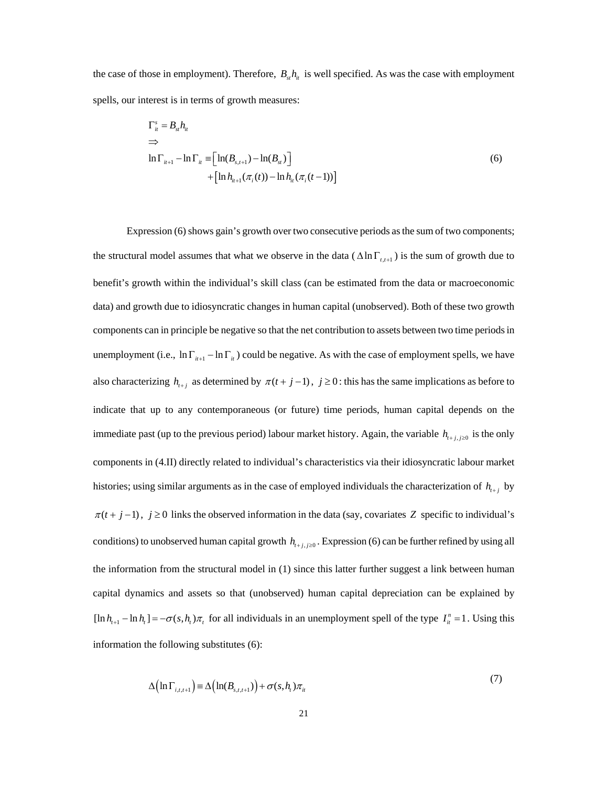the case of those in employment). Therefore,  $B_{st}h_i$  is well specified. As was the case with employment spells, our interest is in terms of growth measures:

$$
\Gamma_{ii}^{s} = B_{st} h_{ii}
$$
\n
$$
\Rightarrow
$$
\n
$$
\ln \Gamma_{i+1} - \ln \Gamma_{i} \equiv \left[ \ln(B_{s,t+1}) - \ln(B_{st}) \right]
$$
\n
$$
+ \left[ \ln h_{i+1}(\pi_i(t)) - \ln h_{i}(\pi_i(t-1)) \right]
$$
\n(6)

Expression (6) shows gain's growth over two consecutive periods as the sum of two components; the structural model assumes that what we observe in the data ( $\Delta \ln \Gamma_{t,t+1}$ ) is the sum of growth due to benefit's growth within the individual's skill class (can be estimated from the data or macroeconomic data) and growth due to idiosyncratic changes in human capital (unobserved). Both of these two growth components can in principle be negative so that the net contribution to assets between two time periods in unemployment (i.e.,  $\ln \Gamma_{i+1} - \ln \Gamma_{i}$ ) could be negative. As with the case of employment spells, we have also characterizing  $h_{i+j}$  as determined by  $\pi(t+j-1)$ ,  $j \ge 0$ : this has the same implications as before to indicate that up to any contemporaneous (or future) time periods, human capital depends on the immediate past (up to the previous period) labour market history. Again, the variable  $h_{i+j,j\geq 0}$  is the only components in (4.II) directly related to individual's characteristics via their idiosyncratic labour market histories; using similar arguments as in the case of employed individuals the characterization of  $h_{i+j}$  by  $\pi(t + j - 1)$ ,  $j \ge 0$  links the observed information in the data (say, covariates *Z* specific to individual's conditions) to unobserved human capital growth  $h_{i+j, j \geq 0}$ . Expression (6) can be further refined by using all the information from the structural model in (1) since this latter further suggest a link between human capital dynamics and assets so that (unobserved) human capital depreciation can be explained by  $[\ln h_{t+1} - \ln h_t] = -\sigma(s, h_t)\pi_t$  for all individuals in an unemployment spell of the type  $I^n_i = 1$ . Using this information the following substitutes (6):

$$
\Delta\left(\ln\Gamma_{i,t,t+1}\right) \equiv \Delta\left(\ln(B_{s,t,t+1})\right) + \sigma(s,h_t)\pi_{it}
$$
\n(7)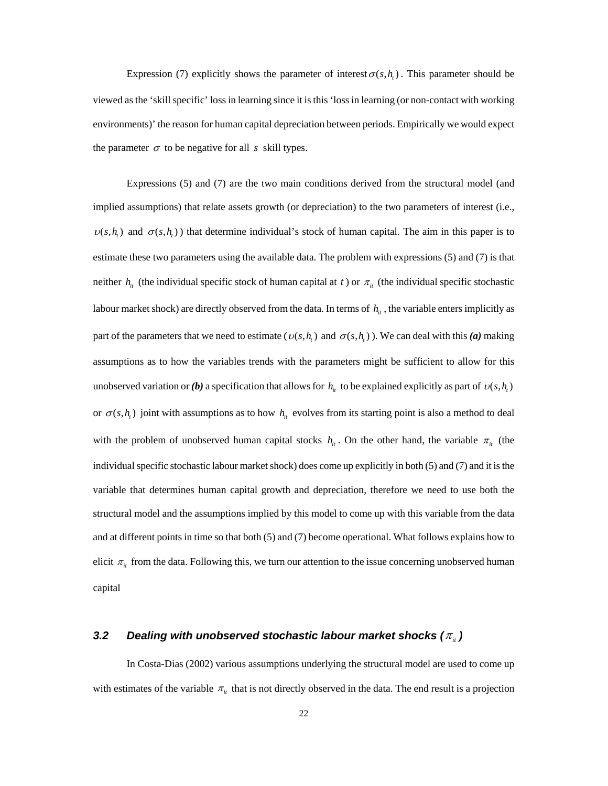Expression (7) explicitly shows the parameter of interest  $\sigma(s, h_i)$ . This parameter should be viewed as the 'skill specific' loss in learning since it is this 'loss in learning (or non-contact with working environments)' the reason for human capital depreciation between periods. Empirically we would expect the parameter  $\sigma$  to be negative for all *s* skill types.

Expressions (5) and (7) are the two main conditions derived from the structural model (and implied assumptions) that relate assets growth (or depreciation) to the two parameters of interest (i.e.,  $v(s, h)$  and  $\sigma(s, h)$  that determine individual's stock of human capital. The aim in this paper is to estimate these two parameters using the available data. The problem with expressions (5) and (7) is that neither  $h_{it}$  (the individual specific stock of human capital at *t*) or  $\pi_{it}$  (the individual specific stochastic labour market shock) are directly observed from the data. In terms of  $h<sub>i</sub>$ , the variable enters implicitly as part of the parameters that we need to estimate ( $v(s, h)$  and  $\sigma(s, h)$ ). We can deal with this (*a*) making assumptions as to how the variables trends with the parameters might be sufficient to allow for this unobserved variation or *(b)* a specification that allows for  $h<sub>i</sub>$  to be explained explicitly as part of  $v(s, h<sub>i</sub>)$ or  $\sigma(s, h_t)$  joint with assumptions as to how  $h_t$  evolves from its starting point is also a method to deal with the problem of unobserved human capital stocks  $h<sub>i</sub>$ . On the other hand, the variable  $\pi<sub>i</sub>$  (the individual specific stochastic labour market shock) does come up explicitly in both (5) and (7) and it is the variable that determines human capital growth and depreciation, therefore we need to use both the structural model and the assumptions implied by this model to come up with this variable from the data and at different points in time so that both (5) and (7) become operational. What follows explains how to elicit  $\pi_{it}$  from the data. Following this, we turn our attention to the issue concerning unobserved human capital

# *3.2 Dealing with unobserved stochastic labour market shocks (* $\pi_{ir}$ *)*

In Costa-Dias (2002) various assumptions underlying the structural model are used to come up with estimates of the variable  $\pi_{i}$  that is not directly observed in the data. The end result is a projection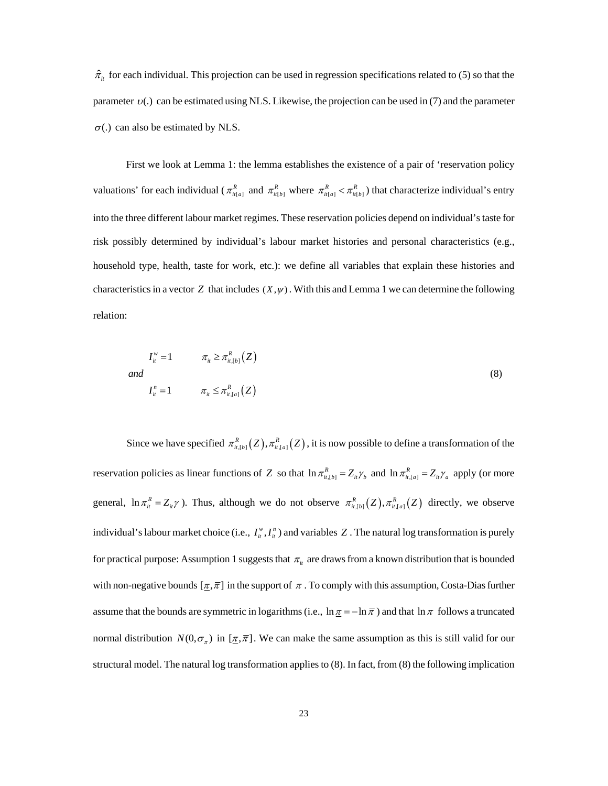$\hat{\pi}_{it}$  for each individual. This projection can be used in regression specifications related to (5) so that the parameter  $v(.)$  can be estimated using NLS. Likewise, the projection can be used in (7) and the parameter  $\sigma$ (.) can also be estimated by NLS.

First we look at Lemma 1: the lemma establishes the existence of a pair of 'reservation policy valuations' for each individual ( $\pi_{i\{a\}}^R$  and  $\pi_{i\{b\}}^R$  where  $\pi_{i\{a\}}^R < \pi_{i\{b\}}^R$ ) that characterize individual's entry into the three different labour market regimes. These reservation policies depend on individual's taste for risk possibly determined by individual's labour market histories and personal characteristics (e.g., household type, health, taste for work, etc.): we define all variables that explain these histories and characteristics in a vector *Z* that includes  $(X, \psi)$ . With this and Lemma 1 we can determine the following relation:

$$
I_{ii}^w = 1 \qquad \pi_{ii} \ge \pi_{ii,[b]}^R(Z)
$$
  
and  

$$
I_{ii}^n = 1 \qquad \pi_{ii} \le \pi_{ii,[a]}^R(Z)
$$
 (8)

Since we have specified  $\pi_{i,[b]}^R(Z)$ ,  $\pi_{i,[a]}^R(Z)$ , it is now possible to define a transformation of the reservation policies as linear functions of *Z* so that  $\ln \pi_{i,[b]}^R = Z_i \gamma_b$  and  $\ln \pi_{i,[a]}^R = Z_i \gamma_a$  apply (or more general,  $\ln \pi_i^R = Z_i \gamma$ ). Thus, although we do not observe  $\pi_{i,[b]}^R(Z), \pi_{i,[a]}^R(Z)$  directly, we observe individual's labour market choice (i.e.,  $I^w_{it}$ ,  $I^n_u$ ) and variables Z. The natural log transformation is purely for practical purpose: Assumption 1 suggests that  $\pi$ <sub>*it*</sub> are draws from a known distribution that is bounded with non-negative bounds  $[\pi, \bar{\pi}]$  in the support of  $\pi$ . To comply with this assumption, Costa-Dias further assume that the bounds are symmetric in logarithms (i.e.,  $\ln \pi = -\ln \overline{\pi}$ ) and that  $\ln \pi$  follows a truncated normal distribution  $N(0, \sigma_{\pi})$  in  $[\underline{\pi}, \overline{\pi}]$ . We can make the same assumption as this is still valid for our structural model. The natural log transformation applies to (8). In fact, from (8) the following implication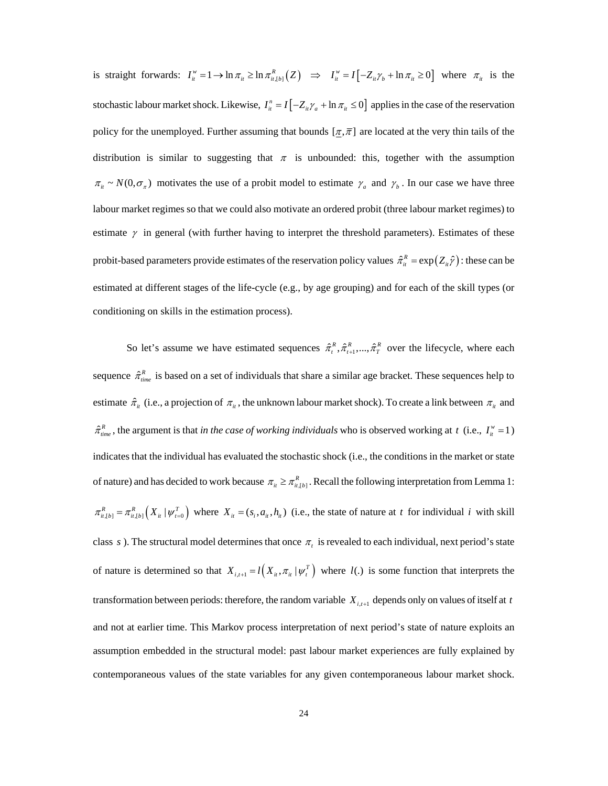is straight forwards:  $I_{ii}^w = 1 \rightarrow \ln \pi_{ii} \ge \ln \pi_{ii,[b]}^R(Z) \Rightarrow I_{ii}^w = I[-Z_{ii}\gamma_b + \ln \pi_{ii} \ge 0]$  where  $\pi_{ii}$  is the stochastic labour market shock. Likewise,  $I_{\mu}^n = I[-Z_{\mu} \gamma_a + \ln \pi_{\mu} \le 0]$  applies in the case of the reservation policy for the unemployed. Further assuming that bounds  $[\pi, \bar{\pi}]$  are located at the very thin tails of the distribution is similar to suggesting that  $\pi$  is unbounded: this, together with the assumption  $\pi_{ii} \sim N(0, \sigma_{\pi})$  motivates the use of a probit model to estimate  $\gamma_a$  and  $\gamma_b$ . In our case we have three labour market regimes so that we could also motivate an ordered probit (three labour market regimes) to estimate  $\gamma$  in general (with further having to interpret the threshold parameters). Estimates of these probit-based parameters provide estimates of the reservation policy values  $\hat{\pi}_{i}^{R} = \exp(Z_{i} \hat{\gamma})$ : these can be estimated at different stages of the life-cycle (e.g., by age grouping) and for each of the skill types (or conditioning on skills in the estimation process).

So let's assume we have estimated sequences  $\hat{\pi}_t^R$ ,  $\hat{\pi}_{t+1}^R$ ,  $\hat{\pi}_t^R$  over the lifecycle, where each sequence  $\hat{\pi}_{time}^R$  is based on a set of individuals that share a similar age bracket. These sequences help to estimate  $\hat{\pi}_{it}$  (i.e., a projection of  $\pi_{it}$ , the unknown labour market shock). To create a link between  $\pi_{it}$  and  $\hat{\tau}_{time}^R$ , the argument is that *in the case of working individuals* who is observed working at *t* (i.e.,  $I_u^w = 1$ ) indicates that the individual has evaluated the stochastic shock (i.e., the conditions in the market or state of nature) and has decided to work because  $\pi_{i} \geq \pi_{i,[b]}^R$ . Recall the following interpretation from Lemma 1:  $\pi_{u,[b]}^R = \pi_{u,[b]}^R (X_u | \psi_{t=0}^T)$  where  $X_u = (s_i, a_u, h_u)$  (i.e., the state of nature at *t* for individual *i* with skill class *s*). The structural model determines that once  $\pi$ , is revealed to each individual, next period's state of nature is determined so that  $X_{i,t+1} = l(X_i, \pi_i | \psi_i^T)$  where  $l(.)$  is some function that interprets the transformation between periods: therefore, the random variable  $X_{i,t+1}$  depends only on values of itself at *t* and not at earlier time. This Markov process interpretation of next period's state of nature exploits an assumption embedded in the structural model: past labour market experiences are fully explained by contemporaneous values of the state variables for any given contemporaneous labour market shock.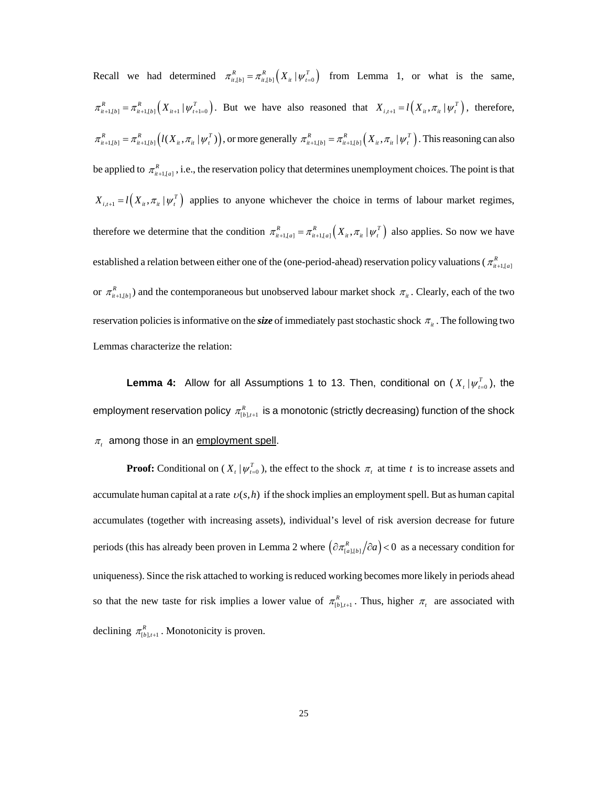Recall we had determined  $\pi_{i,[b]}^R = \pi_{i,[b]}^R(X_{i} | \psi_{i=0}^T)$  from Lemma 1, or what is the same,  $\pi_{i+1,[b]}^R = \pi_{i+1,[b]}^R(X_{i+1} | \psi_{i+1=0}^T)$ . But we have also reasoned that  $X_{i,i+1} = l(X_{i}, \pi_{i} | \psi_i^T)$ , therefore,  $\pi_{i,i}[b]$  =  $\pi_{i,i}[b]$   $\left(\mathcal{U}(X_{i},\pi_{i}\,|\,\psi_{i}^{T})\right)$ , or more generally  $\pi_{i,i}[b]$  =  $\pi_{i,i}[b]$   $\left(X_{i},\pi_{i}\,|\,\psi_{i}^{T}\right)$ . This reasoning can also be applied to  $\pi_{i+1,[a]}^R$ , i.e., the reservation policy that determines unemployment choices. The point is that  $X_{i,t+1} = l(X_{i}, \pi_{i}, |\psi_{i}^{T})$  applies to anyone whichever the choice in terms of labour market regimes, therefore we determine that the condition  $\pi_{i+1,[a]}^R = \pi_{i+1,[a]}^R (X_{i}, \pi_{i}, \mid \psi_i^T)$  also applies. So now we have established a relation between either one of the (one-period-ahead) reservation policy valuations ( $\pi^R_{it+1,[a]}$ or  $\pi_{i+1,[b]}^R$  and the contemporaneous but unobserved labour market shock  $\pi_{i}$ . Clearly, each of the two reservation policies is informative on the *size* of immediately past stochastic shock  $\pi_{it}$ . The following two Lemmas characterize the relation:

**Lemma 4:** Allow for all Assumptions 1 to 13. Then, conditional on  $(X_t | y_{t=0}^T)$ , the employment reservation policy  $\pi_{\scriptscriptstyle [b], t+1}^{\scriptscriptstyle R}$  is a monotonic (strictly decreasing) function of the shock  $\pi$ , among those in an employment spell.

**Proof:** Conditional on  $(X_t | \psi_{t=0}^T)$ , the effect to the shock  $\pi_t$  at time t is to increase assets and accumulate human capital at a rate  $v(s, h)$  if the shock implies an employment spell. But as human capital accumulates (together with increasing assets), individual's level of risk aversion decrease for future periods (this has already been proven in Lemma 2 where  $(\partial \pi_{[a],[b]}^R/\partial a)$  < 0 as a necessary condition for uniqueness). Since the risk attached to working is reduced working becomes more likely in periods ahead so that the new taste for risk implies a lower value of  $\pi_{[b], t+1}^R$ . Thus, higher  $\pi_t$  are associated with declining  $\pi_{\{b\}, t+1}^R$ . Monotonicity is proven.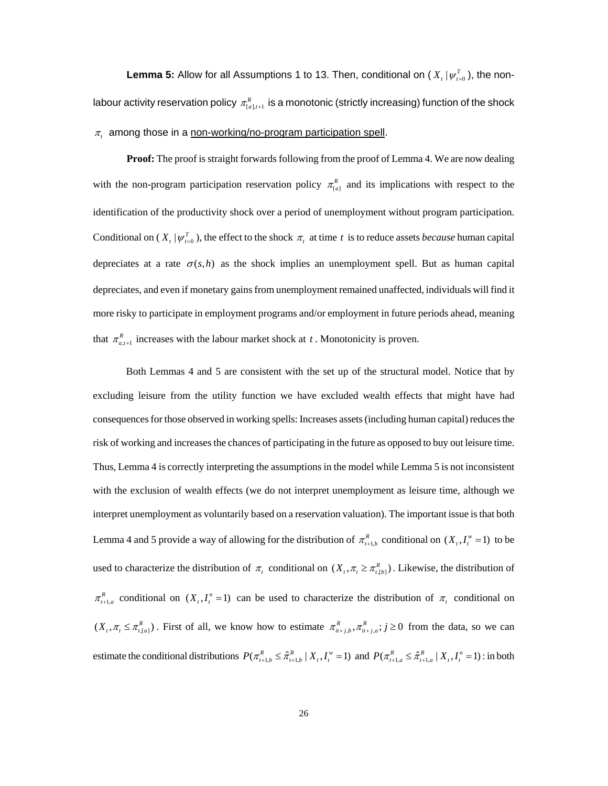**Lemma 5:** Allow for all Assumptions 1 to 13. Then, conditional on  $(X_t | \psi_{t=0}^T)$ , the nonlabour activity reservation policy  $\pi^R_{[a],t+1}$  is a monotonic (strictly increasing) function of the shock  $\pi$ , among those in a non-working/no-program participation spell.

**Proof:** The proof is straight forwards following from the proof of Lemma 4. We are now dealing with the non-program participation reservation policy  $\pi_{[a]}^R$  and its implications with respect to the identification of the productivity shock over a period of unemployment without program participation. Conditional on  $(X_t | \psi_{t=0}^T)$ , the effect to the shock  $\pi_t$  at time t is to reduce assets *because* human capital depreciates at a rate  $\sigma(s, h)$  as the shock implies an unemployment spell. But as human capital depreciates, and even if monetary gains from unemployment remained unaffected, individuals will find it more risky to participate in employment programs and/or employment in future periods ahead, meaning that  $\pi_{a,t+1}^R$  increases with the labour market shock at *t*. Monotonicity is proven.

Both Lemmas 4 and 5 are consistent with the set up of the structural model. Notice that by excluding leisure from the utility function we have excluded wealth effects that might have had consequences for those observed in working spells: Increases assets (including human capital) reduces the risk of working and increases the chances of participating in the future as opposed to buy out leisure time. Thus, Lemma 4 is correctly interpreting the assumptions in the model while Lemma 5 is not inconsistent with the exclusion of wealth effects (we do not interpret unemployment as leisure time, although we interpret unemployment as voluntarily based on a reservation valuation). The important issue is that both Lemma 4 and 5 provide a way of allowing for the distribution of  $\pi_{t+1,b}^R$  conditional on  $(X_t, I_t^w = 1)$  to be used to characterize the distribution of  $\pi_t$  conditional on  $(X_t, \pi_t \geq \pi_{t,b}^R)$ . Likewise, the distribution of  $\pi_{t+1,a}^R$  conditional on  $(X_t, I_t^n = 1)$  can be used to characterize the distribution of  $\pi_t$  conditional on  $(X_t, \pi_t \leq \pi_{t,a}^R)$ . First of all, we know how to estimate  $\pi_{u+j,b}^R$ ,  $\pi_{u+j,a}^R$ ;  $j \geq 0$  from the data, so we can estimate the conditional distributions  $P(\pi_{t+1,b}^R \leq \hat{\pi}_{t+1,b}^R \mid X_t, I_t^w = 1)$  and  $P(\pi_{t+1,a}^R \leq \hat{\pi}_{t+1,a}^R \mid X_t, I_t^w = 1)$ : in both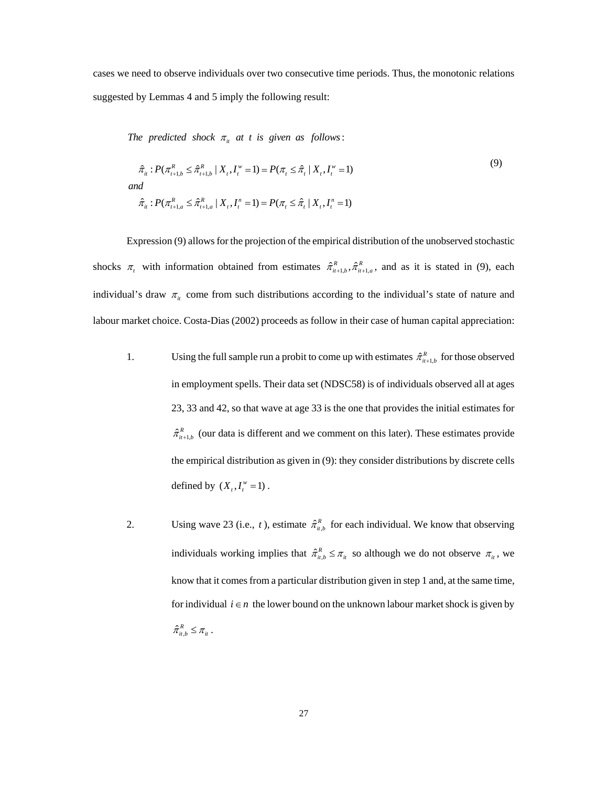cases we need to observe individuals over two consecutive time periods. Thus, the monotonic relations suggested by Lemmas 4 and 5 imply the following result:

The predicted shock  $\pi_{\scriptscriptstyle{it}}$  at t is given as follows:

$$
\hat{\pi}_{i} : P(\pi_{t+1,b}^{R} \leq \hat{\pi}_{t+1,b}^{R} \mid X_{t}, I_{t}^{w} = 1) = P(\pi_{t} \leq \hat{\pi}_{t} \mid X_{t}, I_{t}^{w} = 1)
$$
\n
$$
\text{and}
$$
\n
$$
\hat{\pi}_{i} : P(\pi_{t+1,a}^{R} \leq \hat{\pi}_{t+1,a}^{R} \mid X_{t}, I_{t}^{n} = 1) = P(\pi_{t} \leq \hat{\pi}_{t} \mid X_{t}, I_{t}^{n} = 1)
$$
\n
$$
(9)
$$

Expression (9) allows for the projection of the empirical distribution of the unobserved stochastic shocks  $\pi$ <sub>*t*</sub> with information obtained from estimates  $\hat{\pi}^R_{i}(\hat{\pi}^R_{i+1}, \hat{\pi}^R_{i+1}, \hat{\pi}^R_{i+1})$  and as it is stated in (9), each individual's draw  $\pi_{it}$  come from such distributions according to the individual's state of nature and labour market choice. Costa-Dias (2002) proceeds as follow in their case of human capital appreciation:

- 1. Using the full sample run a probit to come up with estimates  $\hat{\pi}_{i+1,b}^R$  for those observed in employment spells. Their data set (NDSC58) is of individuals observed all at ages 23, 33 and 42, so that wave at age 33 is the one that provides the initial estimates for  $\hat{\tau}_{i+1,b}^{R}$  (our data is different and we comment on this later). These estimates provide the empirical distribution as given in (9): they consider distributions by discrete cells defined by  $(X_t, I_t^w = 1)$ .
- 2. Using wave 23 (i.e., *t*), estimate  $\hat{\pi}_{i,b}^R$  for each individual. We know that observing individuals working implies that  $\hat{\pi}_{i}^{R} \leq \pi_{i}$  so although we do not observe  $\pi_{i}$ , we know that it comes from a particular distribution given in step 1 and, at the same time, for individual  $i \in n$  the lower bound on the unknown labour market shock is given by  $\hat{\pi}_{it,b}^R \leq \pi_{it}$ .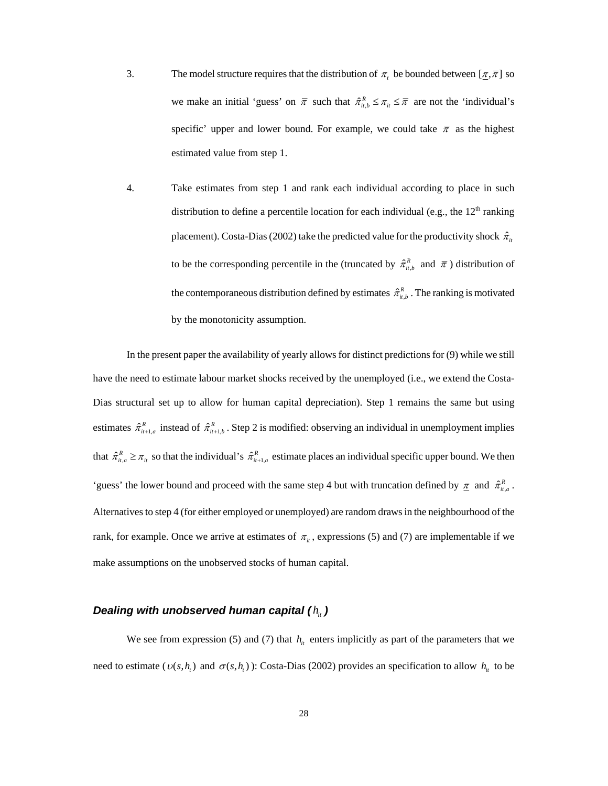- 3. The model structure requires that the distribution of  $\pi_t$  be bounded between  $[\pi, \bar{\pi}]$  so we make an initial 'guess' on  $\bar{\pi}$  such that  $\hat{\pi}_{i,b}^R \leq \pi_i \leq \bar{\pi}$  are not the 'individual's specific' upper and lower bound. For example, we could take  $\bar{\pi}$  as the highest estimated value from step 1.
- 4. Take estimates from step 1 and rank each individual according to place in such distribution to define a percentile location for each individual (e.g., the  $12<sup>th</sup>$  ranking placement). Costa-Dias (2002) take the predicted value for the productivity shock  $\hat{\pi}_{it}$ to be the corresponding percentile in the (truncated by  $\hat{\pi}_{i,b}^R$  and  $\bar{\pi}$ ) distribution of the contemporaneous distribution defined by estimates  $\hat{\pi}_{i,b}^R$ . The ranking is motivated by the monotonicity assumption.

In the present paper the availability of yearly allows for distinct predictions for (9) while we still have the need to estimate labour market shocks received by the unemployed (i.e., we extend the Costa-Dias structural set up to allow for human capital depreciation). Step 1 remains the same but using estimates  $\hat{\pi}_{i+1,a}^R$  instead of  $\hat{\pi}_{i+1,b}^R$ . Step 2 is modified: observing an individual in unemployment implies that  $\hat{\pi}_{i,a}^R \geq \pi_{i}$  so that the individual's  $\hat{\pi}_{i+1,a}^R$  estimate places an individual specific upper bound. We then 'guess' the lower bound and proceed with the same step 4 but with truncation defined by  $\pi$  and  $\hat{\pi}_{i,a}^R$ . Alternatives to step 4 (for either employed or unemployed) are random draws in the neighbourhood of the rank, for example. Once we arrive at estimates of  $\pi_{i}$ , expressions (5) and (7) are implementable if we make assumptions on the unobserved stocks of human capital.

#### *Dealing with unobserved human capital (* $h<sub>i</sub>$ *)*

We see from expression (5) and (7) that  $h<sub>i</sub>$  enters implicitly as part of the parameters that we need to estimate ( $v(s, h_t)$ ) and  $\sigma(s, h_t)$ ): Costa-Dias (2002) provides an specification to allow  $h_t$  to be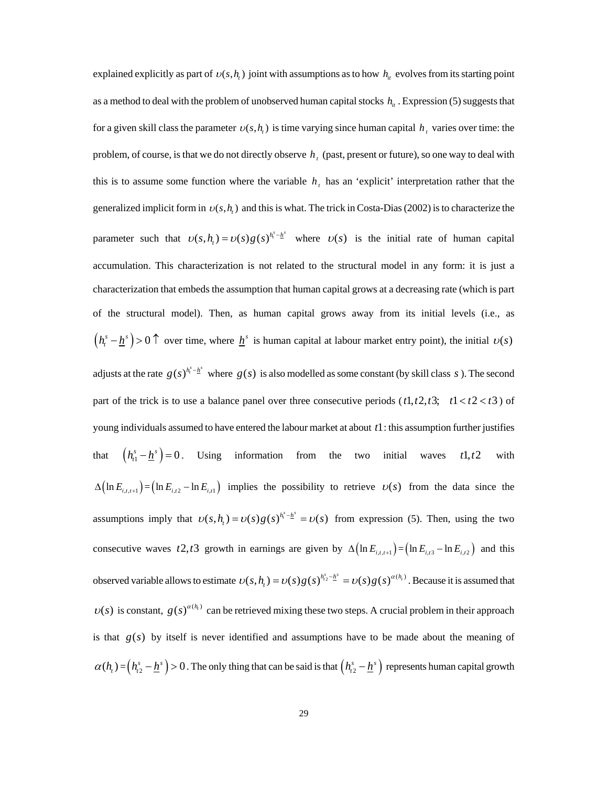explained explicitly as part of  $v(s, h_t)$  joint with assumptions as to how  $h_t$  evolves from its starting point as a method to deal with the problem of unobserved human capital stocks  $h_i$ . Expression (5) suggests that for a given skill class the parameter  $v(s, h_i)$  is time varying since human capital  $h_i$  varies over time: the problem, of course, is that we do not directly observe *h*<sub>*i*</sub> (past, present or future), so one way to deal with this is to assume some function where the variable  $h_t$ , has an 'explicit' interpretation rather that the generalized implicit form in  $v(s, h)$  and this is what. The trick in Costa-Dias (2002) is to characterize the parameter such that  $v(s, h) = v(s)g(s)^{h_s^s - h_s^s}$  where  $v(s)$  is the initial rate of human capital accumulation. This characterization is not related to the structural model in any form: it is just a characterization that embeds the assumption that human capital grows at a decreasing rate (which is part of the structural model). Then, as human capital grows away from its initial levels (i.e., as  $h_i^s - \underline{h}^s$  > 0  $\uparrow$  over time, where  $\underline{h}^s$  is human capital at labour market entry point), the initial  $\nu(s)$ adjusts at the rate  $g(s)$   $h_i^s - h_i^s$  where  $g(s)$  is also modelled as some constant (by skill class *s*). The second part of the trick is to use a balance panel over three consecutive periods  $(t_1, t_2, t_3; t_1 < t_2 < t_3)$  of young individuals assumed to have entered the labour market at about *t*1: this assumption further justifies that  $(h_{i1}^s - \underline{h}^s) = 0$ . Using information from the two initial waves *t*1, *t*2 with  $\Delta(\ln E_{i,t,t+1}) = (\ln E_{i,t} - \ln E_{i,t})$  implies the possibility to retrieve  $U(s)$  from the data since the assumptions imply that  $v(s, h) = v(s)g(s)^{h_s^s - h_s^s} = v(s)$  from expression (5). Then, using the two consecutive waves *t* 2, *t* 3 growth in earnings are given by  $\Delta(\ln E_{i,t+1}) = (\ln E_{i,t-1} - \ln E_{i,t-2})$  and this observed variable allows to estimate  $v(s, h) = v(s)g(s)^{h_1^s - h_s^s} = v(s)g(s)^{\alpha(h_1)}$ . Because it is assumed that  $v(s)$  is constant,  $g(s)^{\alpha(h_i)}$  can be retrieved mixing these two steps. A crucial problem in their approach is that  $g(s)$  by itself is never identified and assumptions have to be made about the meaning of  $\alpha(h_t) = (h_{t2}^s - \underline{h}^s) > 0$ . The only thing that can be said is that  $(h_{t2}^s - \underline{h}^s)$  represents human capital growth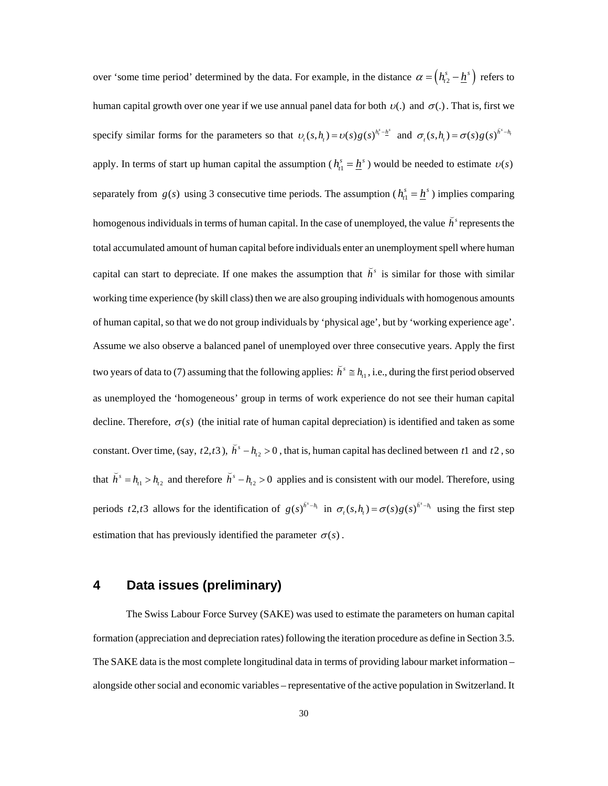over 'some time period' determined by the data. For example, in the distance  $\alpha = (h_{i2}^s - \underline{h}^s)$  refers to human capital growth over one year if we use annual panel data for both  $\nu(.)$  and  $\sigma(.)$ . That is, first we specify similar forms for the parameters so that  $v_t(s, h_t) = v(s)g(s)^{h_t^s - h_t^s}$  and  $\sigma_t(s, h_t) = \sigma(s)g(s)^{\bar{h}^s - h_t^s}$ apply. In terms of start up human capital the assumption ( $h_{i1}^{s} = \underline{h}^{s}$ ) would be needed to estimate  $v(s)$ separately from  $g(s)$  using 3 consecutive time periods. The assumption ( $h_{i1}^{s} = \underline{h}^{s}$ ) implies comparing homogenous individuals in terms of human capital. In the case of unemployed, the value  $\bar{h}^s$  represents the total accumulated amount of human capital before individuals enter an unemployment spell where human capital can start to depreciate. If one makes the assumption that  $\bar{h}^s$  is similar for those with similar working time experience (by skill class) then we are also grouping individuals with homogenous amounts of human capital, so that we do not group individuals by 'physical age', but by 'working experience age'. Assume we also observe a balanced panel of unemployed over three consecutive years. Apply the first two years of data to (7) assuming that the following applies:  $\breve{h}^s \cong h_{i1}$ , i.e., during the first period observed as unemployed the 'homogeneous' group in terms of work experience do not see their human capital decline. Therefore,  $\sigma(s)$  (the initial rate of human capital depreciation) is identified and taken as some constant. Over time, (say, *t* 2, *t*3),  $\bar{h}^s - h_{t_2} > 0$ , that is, human capital has declined between *t*1 and *t* 2, so that  $\bar{h}^s = h_{t_1} > h_{t_2}$  and therefore  $\bar{h}^s - h_{t_2} > 0$  applies and is consistent with our model. Therefore, using periods  $t^2$ ,  $t^3$  allows for the identification of  $g(s)^{\bar{h}^s - h_t}$  in  $\sigma_t(s, h_t) = \sigma(s)g(s)^{\bar{h}^s - h_t}$  using the first step estimation that has previously identified the parameter  $\sigma(s)$ .

# **4 Data issues (preliminary)**

The Swiss Labour Force Survey (SAKE) was used to estimate the parameters on human capital formation (appreciation and depreciation rates) following the iteration procedure as define in Section 3.5. The SAKE data is the most complete longitudinal data in terms of providing labour market information – alongside other social and economic variables – representative of the active population in Switzerland. It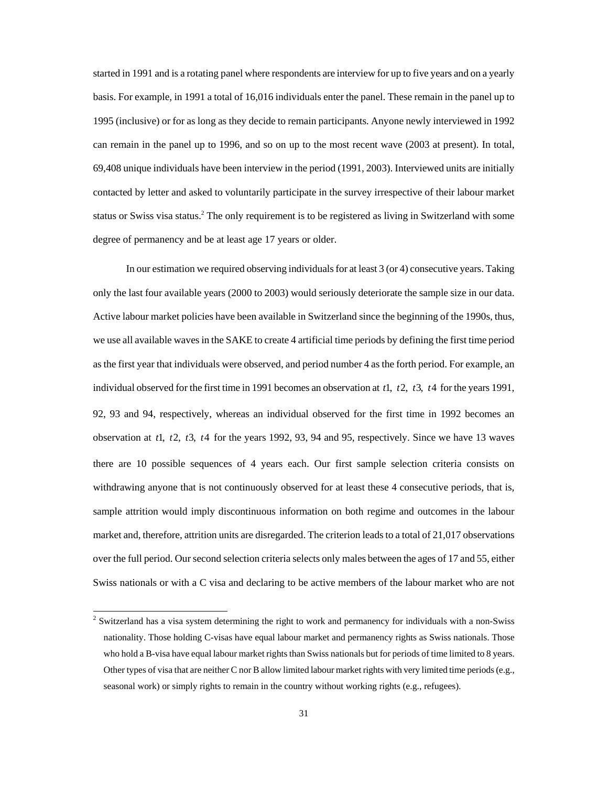started in 1991 and is a rotating panel where respondents are interview for up to five years and on a yearly basis. For example, in 1991 a total of 16,016 individuals enter the panel. These remain in the panel up to 1995 (inclusive) or for as long as they decide to remain participants. Anyone newly interviewed in 1992 can remain in the panel up to 1996, and so on up to the most recent wave (2003 at present). In total, 69,408 unique individuals have been interview in the period (1991, 2003). Interviewed units are initially contacted by letter and asked to voluntarily participate in the survey irrespective of their labour market status or Swiss visa status.<sup>2</sup> The only requirement is to be registered as living in Switzerland with some degree of permanency and be at least age 17 years or older.

In our estimation we required observing individuals for at least 3 (or 4) consecutive years. Taking only the last four available years (2000 to 2003) would seriously deteriorate the sample size in our data. Active labour market policies have been available in Switzerland since the beginning of the 1990s, thus, we use all available waves in the SAKE to create 4 artificial time periods by defining the first time period as the first year that individuals were observed, and period number 4 as the forth period. For example, an individual observed for the first time in 1991 becomes an observation at  $t_1$ ,  $t_2$ ,  $t_3$ ,  $t_4$  for the years 1991, 92, 93 and 94, respectively, whereas an individual observed for the first time in 1992 becomes an observation at t1, t2, t3, t4 for the years 1992, 93, 94 and 95, respectively. Since we have 13 waves there are 10 possible sequences of 4 years each. Our first sample selection criteria consists on withdrawing anyone that is not continuously observed for at least these 4 consecutive periods, that is, sample attrition would imply discontinuous information on both regime and outcomes in the labour market and, therefore, attrition units are disregarded. The criterion leads to a total of 21,017 observations over the full period. Our second selection criteria selects only males between the ages of 17 and 55, either Swiss nationals or with a C visa and declaring to be active members of the labour market who are not

-

 $2$  Switzerland has a visa system determining the right to work and permanency for individuals with a non-Swiss nationality. Those holding C-visas have equal labour market and permanency rights as Swiss nationals. Those who hold a B-visa have equal labour market rights than Swiss nationals but for periods of time limited to 8 years. Other types of visa that are neither C nor B allow limited labour market rights with very limited time periods (e.g., seasonal work) or simply rights to remain in the country without working rights (e.g., refugees).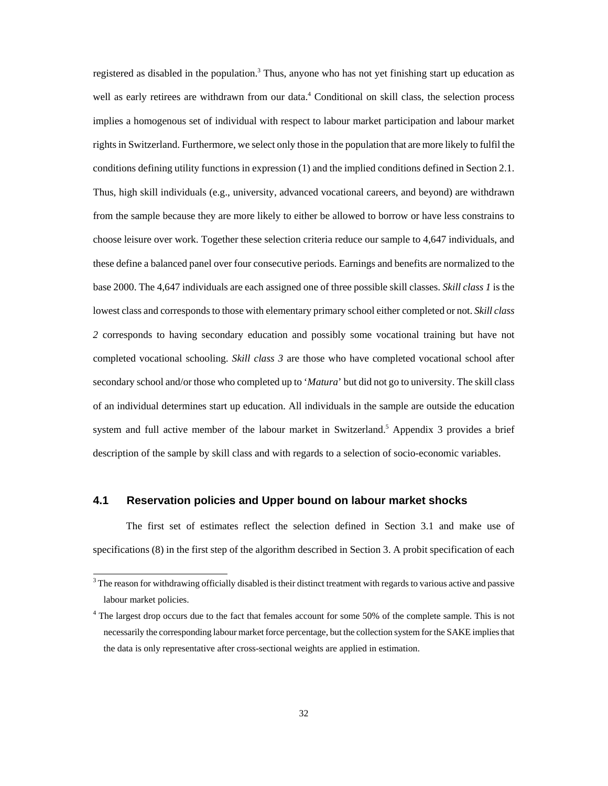registered as disabled in the population.<sup>3</sup> Thus, anyone who has not yet finishing start up education as well as early retirees are withdrawn from our data.<sup>4</sup> Conditional on skill class, the selection process implies a homogenous set of individual with respect to labour market participation and labour market rights in Switzerland. Furthermore, we select only those in the population that are more likely to fulfil the conditions defining utility functions in expression (1) and the implied conditions defined in Section 2.1. Thus, high skill individuals (e.g., university, advanced vocational careers, and beyond) are withdrawn from the sample because they are more likely to either be allowed to borrow or have less constrains to choose leisure over work. Together these selection criteria reduce our sample to 4,647 individuals, and these define a balanced panel over four consecutive periods. Earnings and benefits are normalized to the base 2000. The 4,647 individuals are each assigned one of three possible skill classes. *Skill class 1* is the lowest class and corresponds to those with elementary primary school either completed or not. *Skill class 2* corresponds to having secondary education and possibly some vocational training but have not completed vocational schooling. *Skill class 3* are those who have completed vocational school after secondary school and/or those who completed up to '*Matura*' but did not go to university. The skill class of an individual determines start up education. All individuals in the sample are outside the education system and full active member of the labour market in Switzerland.<sup>5</sup> Appendix 3 provides a brief description of the sample by skill class and with regards to a selection of socio-economic variables.

## **4.1 Reservation policies and Upper bound on labour market shocks**

-

The first set of estimates reflect the selection defined in Section 3.1 and make use of specifications (8) in the first step of the algorithm described in Section 3. A probit specification of each

 $3$  The reason for withdrawing officially disabled is their distinct treatment with regards to various active and passive labour market policies.

<sup>&</sup>lt;sup>4</sup> The largest drop occurs due to the fact that females account for some 50% of the complete sample. This is not necessarily the corresponding labour market force percentage, but the collection system for the SAKE implies that the data is only representative after cross-sectional weights are applied in estimation.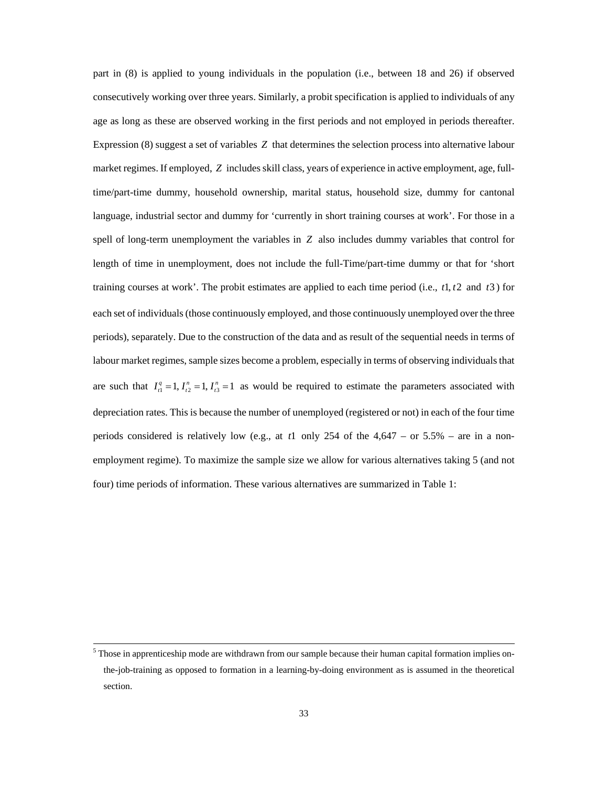part in (8) is applied to young individuals in the population (i.e., between 18 and 26) if observed consecutively working over three years. Similarly, a probit specification is applied to individuals of any age as long as these are observed working in the first periods and not employed in periods thereafter. Expression (8) suggest a set of variables *Z* that determines the selection process into alternative labour market regimes. If employed, *Z* includes skill class, years of experience in active employment, age, fulltime/part-time dummy, household ownership, marital status, household size, dummy for cantonal language, industrial sector and dummy for 'currently in short training courses at work'. For those in a spell of long-term unemployment the variables in *Z* also includes dummy variables that control for length of time in unemployment, does not include the full-Time/part-time dummy or that for 'short training courses at work'. The probit estimates are applied to each time period (i.e.,  $t_1, t_2$  and  $t_3$ ) for each set of individuals (those continuously employed, and those continuously unemployed over the three periods), separately. Due to the construction of the data and as result of the sequential needs in terms of labour market regimes, sample sizes become a problem, especially in terms of observing individuals that are such that  $I_{1}^{q} = 1$ ,  $I_{12}^{n} = 1$ ,  $I_{13}^{n} = 1$  as would be required to estimate the parameters associated with depreciation rates. This is because the number of unemployed (registered or not) in each of the four time periods considered is relatively low (e.g., at *t*1 only 254 of the 4,647 – or 5.5% – are in a nonemployment regime). To maximize the sample size we allow for various alternatives taking 5 (and not four) time periods of information. These various alternatives are summarized in Table 1:

 <sup>5</sup> <sup>5</sup> Those in apprenticeship mode are withdrawn from our sample because their human capital formation implies onthe-job-training as opposed to formation in a learning-by-doing environment as is assumed in the theoretical section.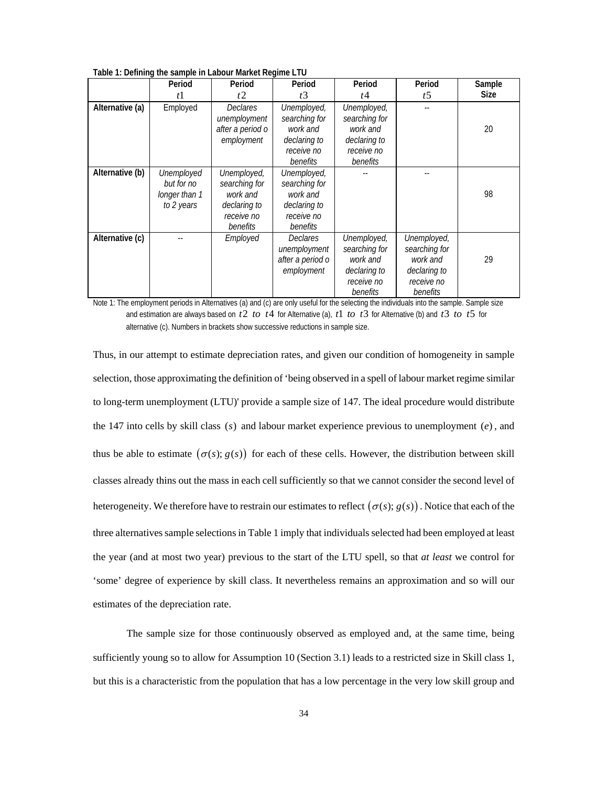**Table 1: Defining the sample in Labour Market Regime LTU** 

|                 | Period        | Period           | Period           | Period        | Period        | Sample      |
|-----------------|---------------|------------------|------------------|---------------|---------------|-------------|
|                 | t1            | t2               | t <sub>3</sub>   | t4            | t5            | <b>Size</b> |
| Alternative (a) | Employed      | <b>Declares</b>  | Unemployed,      | Unemployed,   |               |             |
|                 |               | unemployment     | searching for    | searching for |               |             |
|                 |               | after a period o | work and         | work and      |               | 20          |
|                 |               | employment       | declaring to     | declaring to  |               |             |
|                 |               |                  | receive no       | receive no    |               |             |
|                 |               |                  | benefits         | benefits      |               |             |
| Alternative (b) | Unemployed    | Unemployed,      | Unemployed,      |               |               |             |
|                 | but for no    | searching for    | searching for    |               |               |             |
|                 | longer than 1 | work and         | work and         |               |               | 98          |
|                 | to 2 years    | declaring to     | declaring to     |               |               |             |
|                 |               | receive no       | receive no       |               |               |             |
|                 |               | benefits         | benefits         |               |               |             |
| Alternative (c) |               | Employed         | <b>Declares</b>  | Unemployed,   | Unemployed,   |             |
|                 |               |                  | unemployment     | searching for | searching for |             |
|                 |               |                  | after a period o | work and      | work and      | 29          |
|                 |               |                  | employment       | declaring to  | declaring to  |             |
|                 |               |                  |                  | receive no    | receive no    |             |
|                 |               |                  |                  | benefits      | benefits      |             |

Note 1: The employment periods in Alternatives (a) and (c) are only useful for the selecting the individuals into the sample. Sample size and estimation are always based on  $t2$  to  $t4$  for Alternative (a),  $t1$  to  $t3$  for Alternative (b) and  $t3$  to  $t5$  for alternative (c). Numbers in brackets show successive reductions in sample size.

Thus, in our attempt to estimate depreciation rates, and given our condition of homogeneity in sample selection, those approximating the definition of 'being observed in a spell of labour market regime similar to long-term unemployment (LTU)' provide a sample size of 147. The ideal procedure would distribute the 147 into cells by skill class  $(s)$  and labour market experience previous to unemployment  $(e)$ , and thus be able to estimate  $(\sigma(s); g(s))$  for each of these cells. However, the distribution between skill classes already thins out the mass in each cell sufficiently so that we cannot consider the second level of heterogeneity. We therefore have to restrain our estimates to reflect  $(\sigma(s); g(s))$ . Notice that each of the three alternatives sample selections in Table 1 imply that individuals selected had been employed at least the year (and at most two year) previous to the start of the LTU spell, so that *at least* we control for 'some' degree of experience by skill class. It nevertheless remains an approximation and so will our estimates of the depreciation rate.

The sample size for those continuously observed as employed and, at the same time, being sufficiently young so to allow for Assumption 10 (Section 3.1) leads to a restricted size in Skill class 1, but this is a characteristic from the population that has a low percentage in the very low skill group and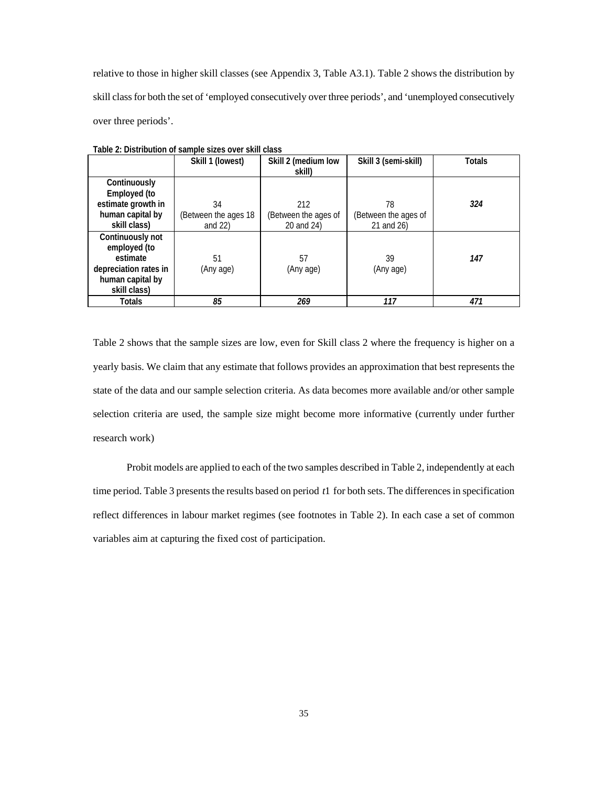relative to those in higher skill classes (see Appendix 3, Table A3.1). Table 2 shows the distribution by skill class for both the set of 'employed consecutively over three periods', and 'unemployed consecutively over three periods'.

|                       | Skill 1 (lowest)     | Skill 2 (medium low  | Skill 3 (semi-skill) | <b>Totals</b> |
|-----------------------|----------------------|----------------------|----------------------|---------------|
|                       |                      | skill)               |                      |               |
| Continuously          |                      |                      |                      |               |
| Employed (to          |                      |                      |                      |               |
| estimate growth in    | 34                   | 212                  | 78                   | 324           |
| human capital by      | (Between the ages 18 | (Between the ages of | (Between the ages of |               |
| skill class)          | and $22$ )           | 20 and 24)           | 21 and 26)           |               |
| Continuously not      |                      |                      |                      |               |
| employed (to          |                      |                      |                      |               |
| estimate              | 51                   | 57                   | 39                   | 147           |
| depreciation rates in | (Any age)            | (Any age)            | (Any age)            |               |
| human capital by      |                      |                      |                      |               |
| skill class)          |                      |                      |                      |               |
| <b>Totals</b>         | 85                   | 269                  | 117                  | 471           |

**Table 2: Distribution of sample sizes over skill class** 

Table 2 shows that the sample sizes are low, even for Skill class 2 where the frequency is higher on a yearly basis. We claim that any estimate that follows provides an approximation that best represents the state of the data and our sample selection criteria. As data becomes more available and/or other sample selection criteria are used, the sample size might become more informative (currently under further research work)

Probit models are applied to each of the two samples described in Table 2, independently at each time period. Table 3 presents the results based on period *t*1 for both sets. The differences in specification reflect differences in labour market regimes (see footnotes in Table 2). In each case a set of common variables aim at capturing the fixed cost of participation.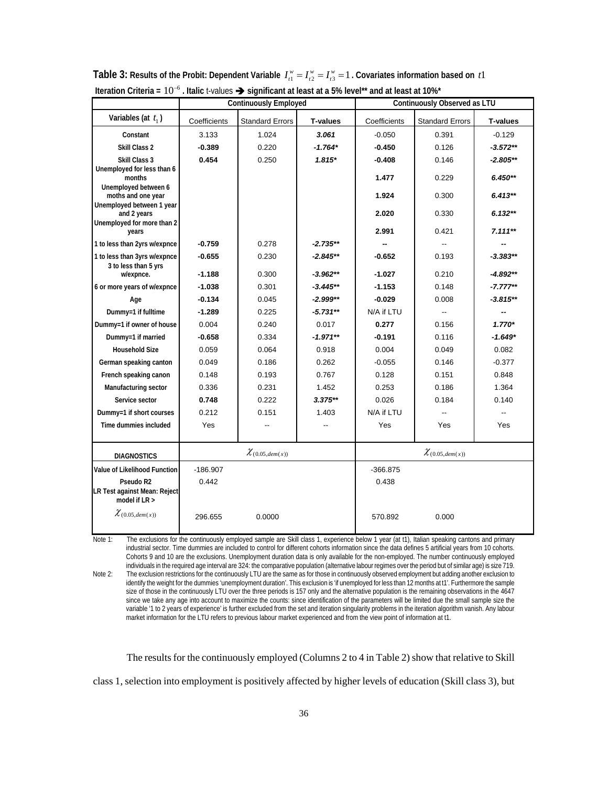| Iteration Criteria = $10^{-6}$ . Italic t-values $\rightarrow$ significant at least at a 5% level** and at least at 10%* |                              |                        |                              |                         |                        |                 |
|--------------------------------------------------------------------------------------------------------------------------|------------------------------|------------------------|------------------------------|-------------------------|------------------------|-----------------|
|                                                                                                                          | <b>Continuously Employed</b> |                        | Continuously Observed as LTU |                         |                        |                 |
| Variables (at $t_1$ )                                                                                                    | Coefficients                 | <b>Standard Errors</b> | <b>T-values</b>              | Coefficients            | <b>Standard Errors</b> | <b>T-values</b> |
| Constant                                                                                                                 | 3.133                        | 1.024                  | 3.061                        | $-0.050$                | 0.391                  | $-0.129$        |
| Skill Class 2                                                                                                            | $-0.389$                     | 0.220                  | $-1.764*$                    | $-0.450$                | 0.126                  | $-3.572**$      |
| Skill Class 3                                                                                                            | 0.454                        | 0.250                  | $1.815*$                     | $-0.408$                | 0.146                  | $-2.805**$      |
| Unemployed for less than 6<br>months<br>Unemployed between 6                                                             |                              |                        |                              | 1.477                   | 0.229                  | $6.450**$       |
| moths and one year<br>Unemployed between 1 year                                                                          |                              |                        |                              | 1.924                   | 0.300                  | $6.413**$       |
| and 2 years<br>Unemployed for more than 2                                                                                |                              |                        |                              | 2.020                   | 0.330                  | $6.132**$       |
| years                                                                                                                    |                              |                        |                              | 2.991                   | 0.421                  | $7.111**$       |
| 1 to less than 2yrs w/expnce                                                                                             | $-0.759$                     | 0.278                  | $-2.735**$                   |                         |                        |                 |
| 1 to less than 3yrs w/expnce<br>3 to less than 5 yrs                                                                     | $-0.655$                     | 0.230                  | $-2.845**$                   | $-0.652$                | 0.193                  | $-3.383**$      |
| w/expnce.                                                                                                                | $-1.188$                     | 0.300                  | $-3.962**$                   | $-1.027$                | 0.210                  | -4.892**        |
| 6 or more years of w/expnce                                                                                              | $-1.038$                     | 0.301                  | $-3.445**$                   | $-1.153$                | 0.148                  | $-7.777**$      |
| Age                                                                                                                      | $-0.134$                     | 0.045                  | $-2.999**$                   | $-0.029$                | 0.008                  | $-3.815**$      |
| Dummy=1 if fulltime                                                                                                      | $-1.289$                     | 0.225                  | $-5.731**$                   | N/A if LTU              |                        |                 |
| Dummy=1 if owner of house                                                                                                | 0.004                        | 0.240                  | 0.017                        | 0.277                   | 0.156                  | $1.770*$        |
| Dummy=1 if married                                                                                                       | $-0.658$                     | 0.334                  | $-1.971**$                   | $-0.191$                | 0.116                  | $-1.649*$       |
| <b>Household Size</b>                                                                                                    | 0.059                        | 0.064                  | 0.918                        | 0.004                   | 0.049                  | 0.082           |
| German speaking canton                                                                                                   | 0.049                        | 0.186                  | 0.262                        | $-0.055$                | 0.146                  | $-0.377$        |
| French speaking canon                                                                                                    | 0.148                        | 0.193                  | 0.767                        | 0.128                   | 0.151                  | 0.848           |
| Manufacturing sector                                                                                                     | 0.336                        | 0.231                  | 1.452                        | 0.253                   | 0.186                  | 1.364           |
| Service sector                                                                                                           | 0.748                        | 0.222                  | $3.375**$                    | 0.026                   | 0.184                  | 0.140           |
| Dummy=1 if short courses                                                                                                 | 0.212                        | 0.151                  | 1.403                        | N/A if LTU              |                        |                 |
| Time dummies included                                                                                                    | Yes                          |                        |                              | Yes                     | Yes                    | Yes             |
| <b>DIAGNOSTICS</b>                                                                                                       | $\chi_{(0.05, dem(x))}$      |                        |                              | $\chi_{(0.05, dem(x))}$ |                        |                 |
| Value of Likelihood Function                                                                                             | $-186.907$                   |                        |                              | $-366.875$              |                        |                 |
| Pseudo R2<br>LR Test against Mean: Reject<br>model if $LR >$                                                             | 0.442                        |                        |                              | 0.438                   |                        |                 |
| $\chi_{(0.05, dem(x))}$                                                                                                  | 296.655                      | 0.0000                 |                              | 570.892                 | 0.000                  |                 |

**Table 3:** Results of the Probit: Dependent Variable  $I_{t1}^w = I_{t2}^w = I_{t3}^w = 1$ . Covariates information based on  $t1$ 

Note 1: The exclusions for the continuously employed sample are Skill class 1, experience below 1 year (at t1), Italian speaking cantons and primary industrial sector. Time dummies are included to control for different cohorts information since the data defines 5 artificial years from 10 cohorts. Cohorts 9 and 10 are the exclusions. Unemployment duration data is only available for the non-employed. The number continuously employed individuals in the required age interval are 324: the comparative population (alternative labour regimes over the period but of similar age) is size 719. Note 2: The exclusion restrictions for the continuously LTU are the same as for those in continuously observed employment but adding another exclusion to identify the weight for the dummies 'unemployment duration'. This exclusion is 'if unemployed for less than 12 months at t1'. Furthermore the sample size of those in the continuously LTU over the three periods is 157 only and the alternative population is the remaining observations in the 4647 since we take any age into account to maximize the counts: since identification of the parameters will be limited due the small sample size the variable '1 to 2 years of experience' is further excluded from the set and iteration singularity problems in the iteration algorithm vanish. Any labour market information for the LTU refers to previous labour market experienced and from the view point of information at t1.

 The results for the continuously employed (Columns 2 to 4 in Table 2) show that relative to Skill class 1, selection into employment is positively affected by higher levels of education (Skill class 3), but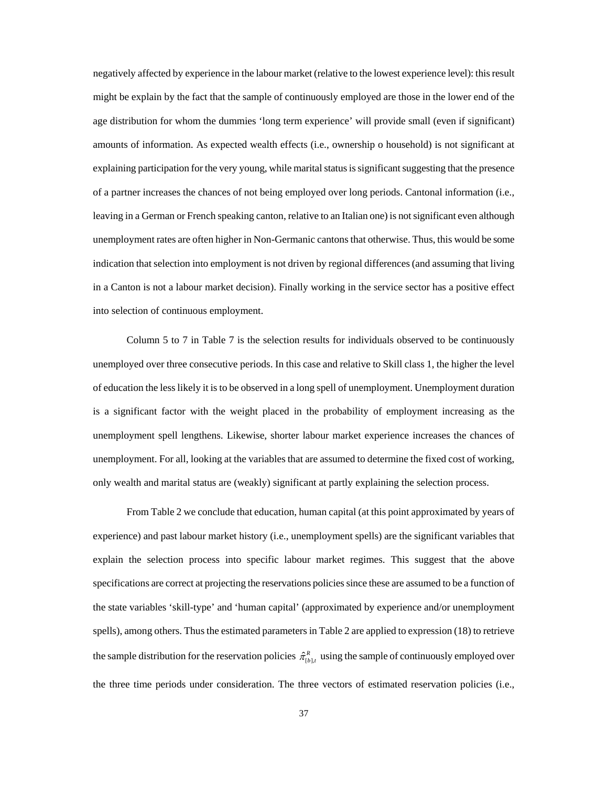negatively affected by experience in the labour market (relative to the lowest experience level): this result might be explain by the fact that the sample of continuously employed are those in the lower end of the age distribution for whom the dummies 'long term experience' will provide small (even if significant) amounts of information. As expected wealth effects (i.e., ownership o household) is not significant at explaining participation for the very young, while marital status is significant suggesting that the presence of a partner increases the chances of not being employed over long periods. Cantonal information (i.e., leaving in a German or French speaking canton, relative to an Italian one) is not significant even although unemployment rates are often higher in Non-Germanic cantons that otherwise. Thus, this would be some indication that selection into employment is not driven by regional differences (and assuming that living in a Canton is not a labour market decision). Finally working in the service sector has a positive effect into selection of continuous employment.

Column 5 to 7 in Table 7 is the selection results for individuals observed to be continuously unemployed over three consecutive periods. In this case and relative to Skill class 1, the higher the level of education the less likely it is to be observed in a long spell of unemployment. Unemployment duration is a significant factor with the weight placed in the probability of employment increasing as the unemployment spell lengthens. Likewise, shorter labour market experience increases the chances of unemployment. For all, looking at the variables that are assumed to determine the fixed cost of working, only wealth and marital status are (weakly) significant at partly explaining the selection process.

From Table 2 we conclude that education, human capital (at this point approximated by years of experience) and past labour market history (i.e., unemployment spells) are the significant variables that explain the selection process into specific labour market regimes. This suggest that the above specifications are correct at projecting the reservations policies since these are assumed to be a function of the state variables 'skill-type' and 'human capital' (approximated by experience and/or unemployment spells), among others. Thus the estimated parameters in Table 2 are applied to expression (18) to retrieve the sample distribution for the reservation policies  $\hat{\pi}_{b}^R$  using the sample of continuously employed over the three time periods under consideration. The three vectors of estimated reservation policies (i.e.,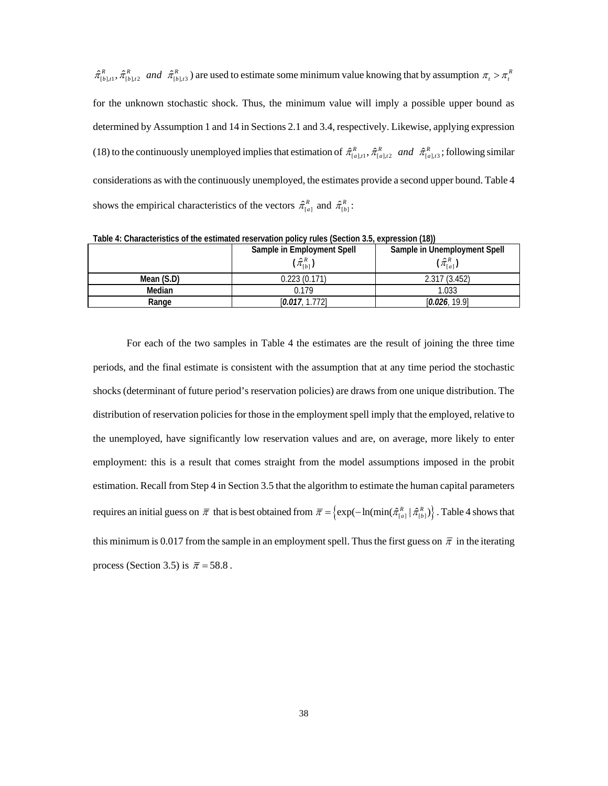$\hat{\pi}_{[b],t}^R$ ,  $\hat{\pi}_{[b],t^2}^R$  and  $\hat{\pi}_{[b],t^3}^R$ ) are used to estimate some minimum value knowing that by assumption  $\pi_t > \pi_t^R$ for the unknown stochastic shock. Thus, the minimum value will imply a possible upper bound as determined by Assumption 1 and 14 in Sections 2.1 and 3.4, respectively. Likewise, applying expression (18) to the continuously unemployed implies that estimation of  $\hat{\pi}_{[a],i}^R$ ,  $\hat{\pi}_{[a],i}^R$  *and*  $\hat{\pi}_{[a],i}^R$ ; following similar considerations as with the continuously unemployed, the estimates provide a second upper bound. Table 4 shows the empirical characteristics of the vectors  $\hat{\pi}_{[a]}^R$  and  $\hat{\pi}_{[b]}^R$ :

|            | Sample in Employment Spell<br>$(\hat{\pi}_{\scriptscriptstyle\!(B)}^{\scriptscriptstyle R})$ | Sample in Unemployment Spell<br>$(\hat{\pi}_{\text{\tiny{[a]}}}^{\scriptscriptstyle R})$ |
|------------|----------------------------------------------------------------------------------------------|------------------------------------------------------------------------------------------|
| Mean (S.D) | 0.223(0.171)                                                                                 | 2.317(3.452)                                                                             |
| Median     | 0.179                                                                                        | 1.033                                                                                    |
| Range      | [0.017, 1.772]                                                                               | [0.026, 19.9]                                                                            |

**Table 4: Characteristics of the estimated reservation policy rules (Section 3.5, expression (18))** 

For each of the two samples in Table 4 the estimates are the result of joining the three time periods, and the final estimate is consistent with the assumption that at any time period the stochastic shocks (determinant of future period's reservation policies) are draws from one unique distribution. The distribution of reservation policies for those in the employment spell imply that the employed, relative to the unemployed, have significantly low reservation values and are, on average, more likely to enter employment: this is a result that comes straight from the model assumptions imposed in the probit estimation. Recall from Step 4 in Section 3.5 that the algorithm to estimate the human capital parameters requires an initial guess on  $\bar{\pi}$  that is best obtained from  $\bar{\pi} = \{ \exp(-\ln(\min(\hat{\pi}_{[a]}^R | \hat{\pi}_{[b]}^R)) \}$ . Table 4 shows that this minimum is 0.017 from the sample in an employment spell. Thus the first guess on  $\bar{\pi}$  in the iterating process (Section 3.5) is  $\bar{\pi} = 58.8$ .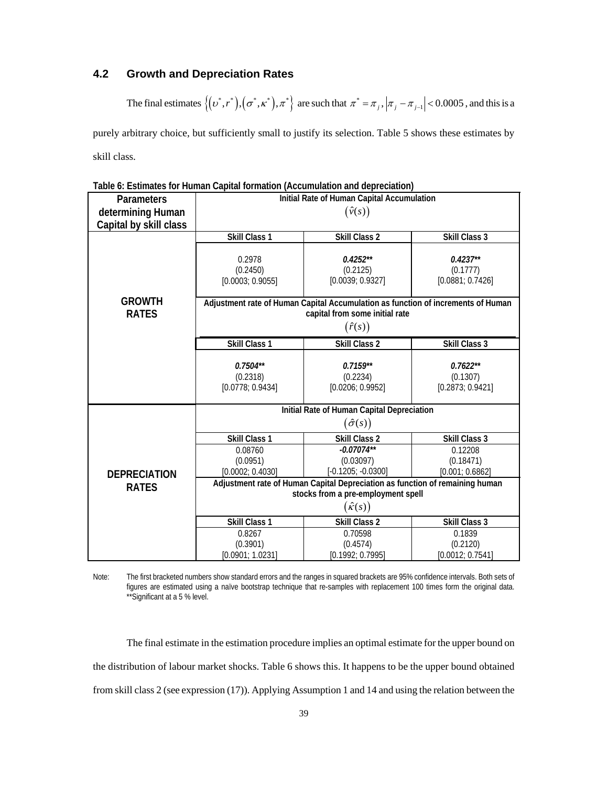## **4.2 Growth and Depreciation Rates**

The final estimates  $\{(v^*, r^*), (\sigma^*, \kappa^*)$ ,  $\pi^*\}$  are such that  $\pi^* = \pi_{j}$ ,  $|\pi_{j} - \pi_{j-1}| < 0.0005$ , and this is a purely arbitrary choice, but sufficiently small to justify its selection. Table 5 shows these estimates by skill class.

| <b>Parameters</b>      | Initial Rate of Human Capital Accumulation                                                     |                                                                                                                                                                                   |                                                                                         |  |  |  |
|------------------------|------------------------------------------------------------------------------------------------|-----------------------------------------------------------------------------------------------------------------------------------------------------------------------------------|-----------------------------------------------------------------------------------------|--|--|--|
| determining Human      | $(\hat{v}(s))$                                                                                 |                                                                                                                                                                                   |                                                                                         |  |  |  |
| Capital by skill class |                                                                                                |                                                                                                                                                                                   |                                                                                         |  |  |  |
|                        | Skill Class 1                                                                                  | Skill Class 2                                                                                                                                                                     | Skill Class 3                                                                           |  |  |  |
|                        | 0.2978<br>(0.2450)<br>[0.0003; 0.9055]                                                         | $0.4252**$<br>(0.2125)<br>[0.0039; 0.9327]                                                                                                                                        | $0.4237**$<br>(0.1777)<br>[0.0881; 0.7426]                                              |  |  |  |
| <b>GROWTH</b>          | Adjustment rate of Human Capital Accumulation as function of increments of Human               |                                                                                                                                                                                   |                                                                                         |  |  |  |
| <b>RATES</b>           |                                                                                                | capital from some initial rate                                                                                                                                                    |                                                                                         |  |  |  |
|                        | $(\hat{r}(s))$                                                                                 |                                                                                                                                                                                   |                                                                                         |  |  |  |
|                        | Skill Class 1                                                                                  | Skill Class 2                                                                                                                                                                     | Skill Class 3                                                                           |  |  |  |
|                        | $0.7504**$<br>(0.2318)<br>[0.0778; 0.9434]                                                     | $0.7159**$<br>(0.2234)<br>[0.0206; 0.9952]                                                                                                                                        | $0.7622**$<br>(0.1307)<br>[0.2873; 0.9421]                                              |  |  |  |
|                        | Initial Rate of Human Capital Depreciation                                                     |                                                                                                                                                                                   |                                                                                         |  |  |  |
|                        | $(\hat{\sigma}(s))$                                                                            |                                                                                                                                                                                   |                                                                                         |  |  |  |
|                        | Skill Class 1                                                                                  | Skill Class 2                                                                                                                                                                     | Skill Class 3                                                                           |  |  |  |
|                        | 0.08760                                                                                        |                                                                                                                                                                                   | 0.12208                                                                                 |  |  |  |
|                        |                                                                                                |                                                                                                                                                                                   |                                                                                         |  |  |  |
|                        |                                                                                                |                                                                                                                                                                                   |                                                                                         |  |  |  |
| <b>RATES</b>           | Adjustment rate of Human Capital Depreciation as function of remaining human                   |                                                                                                                                                                                   |                                                                                         |  |  |  |
|                        |                                                                                                |                                                                                                                                                                                   |                                                                                         |  |  |  |
|                        |                                                                                                |                                                                                                                                                                                   |                                                                                         |  |  |  |
|                        |                                                                                                |                                                                                                                                                                                   |                                                                                         |  |  |  |
|                        |                                                                                                |                                                                                                                                                                                   |                                                                                         |  |  |  |
|                        |                                                                                                |                                                                                                                                                                                   |                                                                                         |  |  |  |
| <b>DEPRECIATION</b>    | (0.0951)<br>[0.0002; 0.4030]<br><b>Skill Class 1</b><br>0.8267<br>(0.3901)<br>[0.0901; 1.0231] | $-0.07074**$<br>(0.03097)<br>$[-0.1205; -0.0300]$<br>stocks from a pre-employment spell<br>$(\hat{\kappa}(s))$<br><b>Skill Class 2</b><br>0.70598<br>(0.4574)<br>[0.1992; 0.7995] | (0.18471)<br>[0.001; 0.6862]<br>Skill Class 3<br>0.1839<br>(0.2120)<br>[0.0012; 0.7541] |  |  |  |

**Table 6: Estimates for Human Capital formation (Accumulation and depreciation)** 

The final estimate in the estimation procedure implies an optimal estimate for the upper bound on the distribution of labour market shocks. Table 6 shows this. It happens to be the upper bound obtained from skill class 2 (see expression (17)). Applying Assumption 1 and 14 and using the relation between the

Note: The first bracketed numbers show standard errors and the ranges in squared brackets are 95% confidence intervals. Both sets of figures are estimated using a naïve bootstrap technique that re-samples with replacement 100 times form the original data. \*\*Significant at a 5 % level.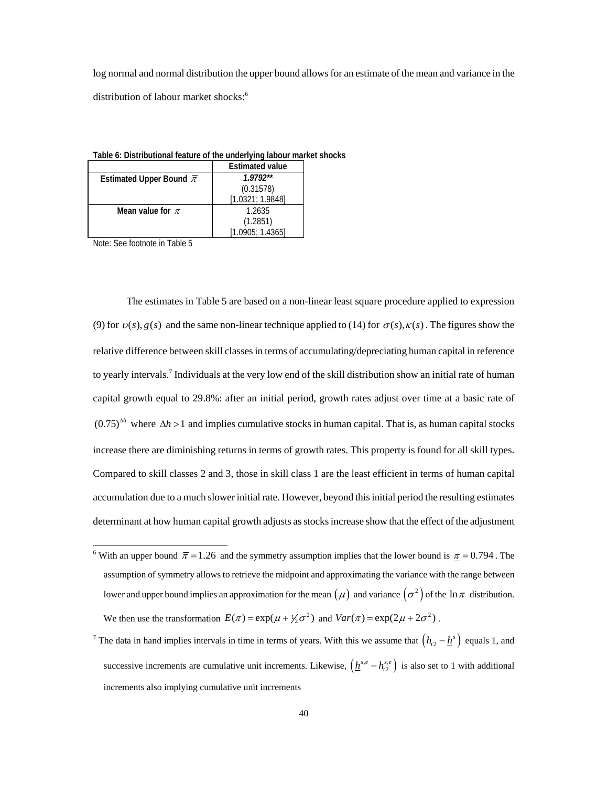log normal and normal distribution the upper bound allows for an estimate of the mean and variance in the distribution of labour market shocks:<sup>6</sup>

|                                   | <b>Estimated value</b> |
|-----------------------------------|------------------------|
| Estimated Upper Bound $\bar{\pi}$ | $1.9792**$             |
|                                   | (0.31578)              |
|                                   | [1.0321; 1.9848]       |
| Mean value for $\pi$              | 1.2635                 |
|                                   | (1.2851)               |
|                                   | [1.0905; 1.4365]       |

**Table 6: Distributional feature of the underlying labour market shocks** 

Note: See footnote in Table 5

The estimates in Table 5 are based on a non-linear least square procedure applied to expression (9) for  $v(s)$ ,  $g(s)$  and the same non-linear technique applied to (14) for  $\sigma(s)$ ,  $\kappa(s)$ . The figures show the relative difference between skill classes in terms of accumulating/depreciating human capital in reference to yearly intervals.<sup>7</sup> Individuals at the very low end of the skill distribution show an initial rate of human capital growth equal to 29.8%: after an initial period, growth rates adjust over time at a basic rate of  $(0.75)^{\Delta h}$  where  $\Delta h > 1$  and implies cumulative stocks in human capital. That is, as human capital stocks increase there are diminishing returns in terms of growth rates. This property is found for all skill types. Compared to skill classes 2 and 3, those in skill class 1 are the least efficient in terms of human capital accumulation due to a much slower initial rate. However, beyond this initial period the resulting estimates determinant at how human capital growth adjusts as stocks increase show that the effect of the adjustment

<sup>&</sup>lt;sup>6</sup> With an upper bound  $\bar{\pi}$  = 1.26 and the symmetry assumption implies that the lower bound is  $\bar{\pi}$  = 0.794. The assumption of symmetry allows to retrieve the midpoint and approximating the variance with the range between lower and upper bound implies an approximation for the mean  $(\mu)$  and variance  $(\sigma^2)$  of the  $\ln \pi$  distribution. We then use the transformation  $E(\pi) = \exp(\mu + \frac{1}{2}\sigma^2)$  and  $Var(\pi) = \exp(2\mu + 2\sigma^2)$ .

<sup>&</sup>lt;sup>7</sup> The data in hand implies intervals in time in terms of years. With this we assume that  $(h_{t2} - \underline{h}^s)$  equals 1, and successive increments are cumulative unit increments. Likewise,  $(\underline{h}^{s,e} - h^{s,e}_{t2})$  is also set to 1 with additional increments also implying cumulative unit increments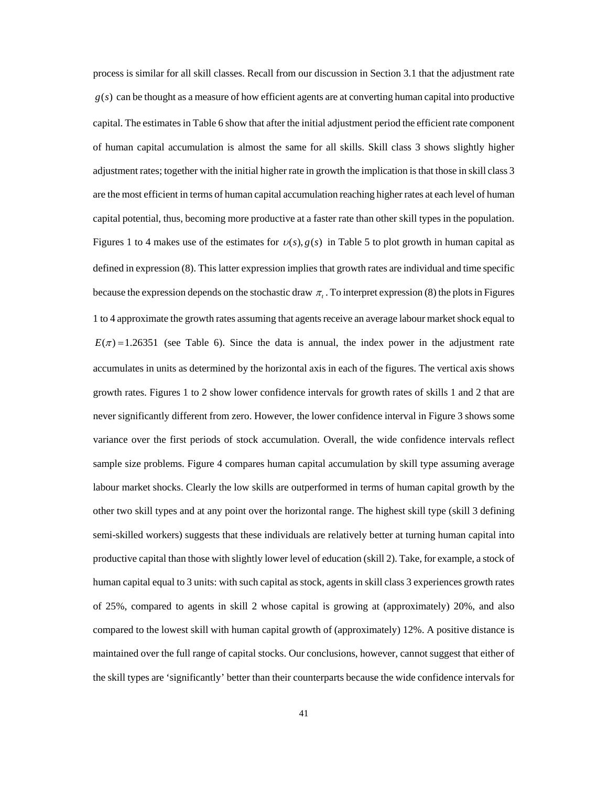process is similar for all skill classes. Recall from our discussion in Section 3.1 that the adjustment rate  $g(s)$  can be thought as a measure of how efficient agents are at converting human capital into productive capital. The estimates in Table 6 show that after the initial adjustment period the efficient rate component of human capital accumulation is almost the same for all skills. Skill class 3 shows slightly higher adjustment rates; together with the initial higher rate in growth the implication is that those in skill class 3 are the most efficient in terms of human capital accumulation reaching higher rates at each level of human capital potential, thus, becoming more productive at a faster rate than other skill types in the population. Figures 1 to 4 makes use of the estimates for  $v(s)$ ,  $g(s)$  in Table 5 to plot growth in human capital as defined in expression (8). This latter expression implies that growth rates are individual and time specific because the expression depends on the stochastic draw <sup>π</sup> *<sup>t</sup>* . To interpret expression (8) the plots in Figures 1 to 4 approximate the growth rates assuming that agents receive an average labour market shock equal to  $E(\pi) = 1.26351$  (see Table 6). Since the data is annual, the index power in the adjustment rate accumulates in units as determined by the horizontal axis in each of the figures. The vertical axis shows growth rates. Figures 1 to 2 show lower confidence intervals for growth rates of skills 1 and 2 that are never significantly different from zero. However, the lower confidence interval in Figure 3 shows some variance over the first periods of stock accumulation. Overall, the wide confidence intervals reflect sample size problems. Figure 4 compares human capital accumulation by skill type assuming average labour market shocks. Clearly the low skills are outperformed in terms of human capital growth by the other two skill types and at any point over the horizontal range. The highest skill type (skill 3 defining semi-skilled workers) suggests that these individuals are relatively better at turning human capital into productive capital than those with slightly lower level of education (skill 2). Take, for example, a stock of human capital equal to 3 units: with such capital as stock, agents in skill class 3 experiences growth rates of 25%, compared to agents in skill 2 whose capital is growing at (approximately) 20%, and also compared to the lowest skill with human capital growth of (approximately) 12%. A positive distance is maintained over the full range of capital stocks. Our conclusions, however, cannot suggest that either of the skill types are 'significantly' better than their counterparts because the wide confidence intervals for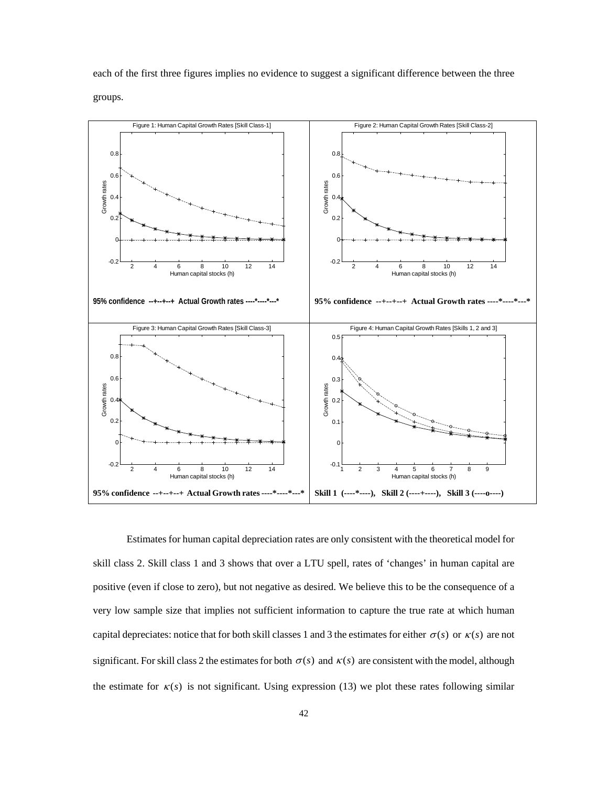each of the first three figures implies no evidence to suggest a significant difference between the three groups.



Estimates for human capital depreciation rates are only consistent with the theoretical model for skill class 2. Skill class 1 and 3 shows that over a LTU spell, rates of 'changes' in human capital are positive (even if close to zero), but not negative as desired. We believe this to be the consequence of a very low sample size that implies not sufficient information to capture the true rate at which human capital depreciates: notice that for both skill classes 1 and 3 the estimates for either  $\sigma(s)$  or  $\kappa(s)$  are not significant. For skill class 2 the estimates for both  $\sigma(s)$  and  $\kappa(s)$  are consistent with the model, although the estimate for  $\kappa(s)$  is not significant. Using expression (13) we plot these rates following similar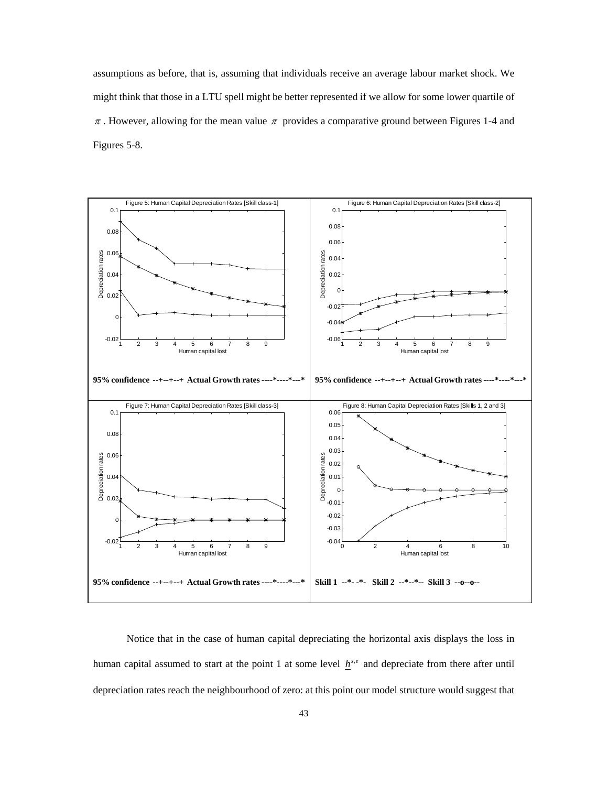assumptions as before, that is, assuming that individuals receive an average labour market shock. We might think that those in a LTU spell might be better represented if we allow for some lower quartile of  $\pi$ . However, allowing for the mean value  $\pi$  provides a comparative ground between Figures 1-4 and Figures 5-8.



Notice that in the case of human capital depreciating the horizontal axis displays the loss in human capital assumed to start at the point 1 at some level  $h^{s,e}$  and depreciate from there after until depreciation rates reach the neighbourhood of zero: at this point our model structure would suggest that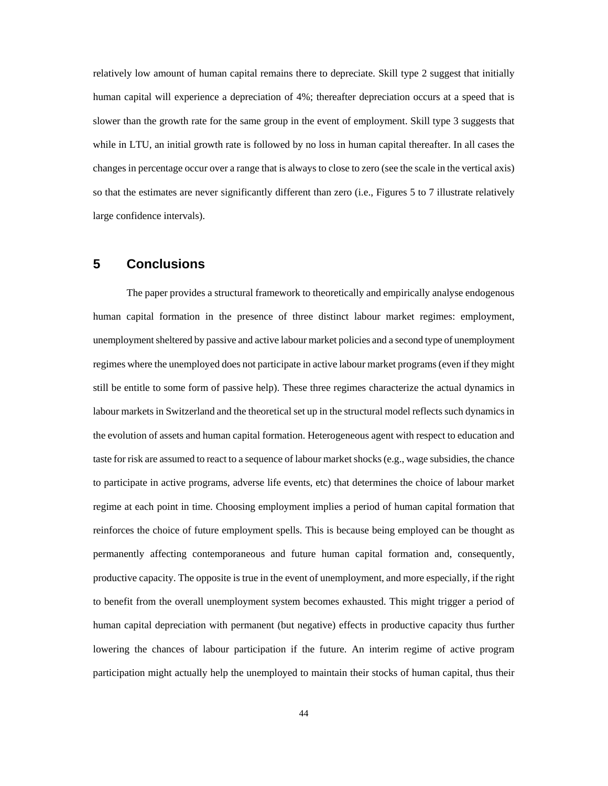relatively low amount of human capital remains there to depreciate. Skill type 2 suggest that initially human capital will experience a depreciation of 4%; thereafter depreciation occurs at a speed that is slower than the growth rate for the same group in the event of employment. Skill type 3 suggests that while in LTU, an initial growth rate is followed by no loss in human capital thereafter. In all cases the changes in percentage occur over a range that is always to close to zero (see the scale in the vertical axis) so that the estimates are never significantly different than zero (i.e., Figures 5 to 7 illustrate relatively large confidence intervals).

# **5 Conclusions**

The paper provides a structural framework to theoretically and empirically analyse endogenous human capital formation in the presence of three distinct labour market regimes: employment, unemployment sheltered by passive and active labour market policies and a second type of unemployment regimes where the unemployed does not participate in active labour market programs (even if they might still be entitle to some form of passive help). These three regimes characterize the actual dynamics in labour markets in Switzerland and the theoretical set up in the structural model reflects such dynamics in the evolution of assets and human capital formation. Heterogeneous agent with respect to education and taste for risk are assumed to react to a sequence of labour market shocks (e.g., wage subsidies, the chance to participate in active programs, adverse life events, etc) that determines the choice of labour market regime at each point in time. Choosing employment implies a period of human capital formation that reinforces the choice of future employment spells. This is because being employed can be thought as permanently affecting contemporaneous and future human capital formation and, consequently, productive capacity. The opposite is true in the event of unemployment, and more especially, if the right to benefit from the overall unemployment system becomes exhausted. This might trigger a period of human capital depreciation with permanent (but negative) effects in productive capacity thus further lowering the chances of labour participation if the future. An interim regime of active program participation might actually help the unemployed to maintain their stocks of human capital, thus their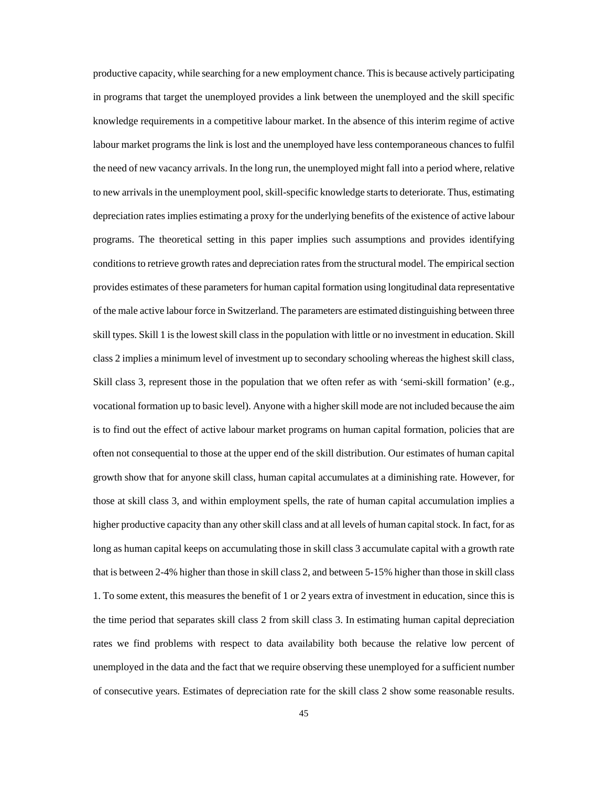productive capacity, while searching for a new employment chance. This is because actively participating in programs that target the unemployed provides a link between the unemployed and the skill specific knowledge requirements in a competitive labour market. In the absence of this interim regime of active labour market programs the link is lost and the unemployed have less contemporaneous chances to fulfil the need of new vacancy arrivals. In the long run, the unemployed might fall into a period where, relative to new arrivals in the unemployment pool, skill-specific knowledge starts to deteriorate. Thus, estimating depreciation rates implies estimating a proxy for the underlying benefits of the existence of active labour programs. The theoretical setting in this paper implies such assumptions and provides identifying conditions to retrieve growth rates and depreciation rates from the structural model. The empirical section provides estimates of these parameters for human capital formation using longitudinal data representative of the male active labour force in Switzerland. The parameters are estimated distinguishing between three skill types. Skill 1 is the lowest skill class in the population with little or no investment in education. Skill class 2 implies a minimum level of investment up to secondary schooling whereas the highest skill class, Skill class 3, represent those in the population that we often refer as with 'semi-skill formation' (e.g., vocational formation up to basic level). Anyone with a higher skill mode are not included because the aim is to find out the effect of active labour market programs on human capital formation, policies that are often not consequential to those at the upper end of the skill distribution. Our estimates of human capital growth show that for anyone skill class, human capital accumulates at a diminishing rate. However, for those at skill class 3, and within employment spells, the rate of human capital accumulation implies a higher productive capacity than any other skill class and at all levels of human capital stock. In fact, for as long as human capital keeps on accumulating those in skill class 3 accumulate capital with a growth rate that is between 2-4% higher than those in skill class 2, and between 5-15% higher than those in skill class 1. To some extent, this measures the benefit of 1 or 2 years extra of investment in education, since this is the time period that separates skill class 2 from skill class 3. In estimating human capital depreciation rates we find problems with respect to data availability both because the relative low percent of unemployed in the data and the fact that we require observing these unemployed for a sufficient number of consecutive years. Estimates of depreciation rate for the skill class 2 show some reasonable results.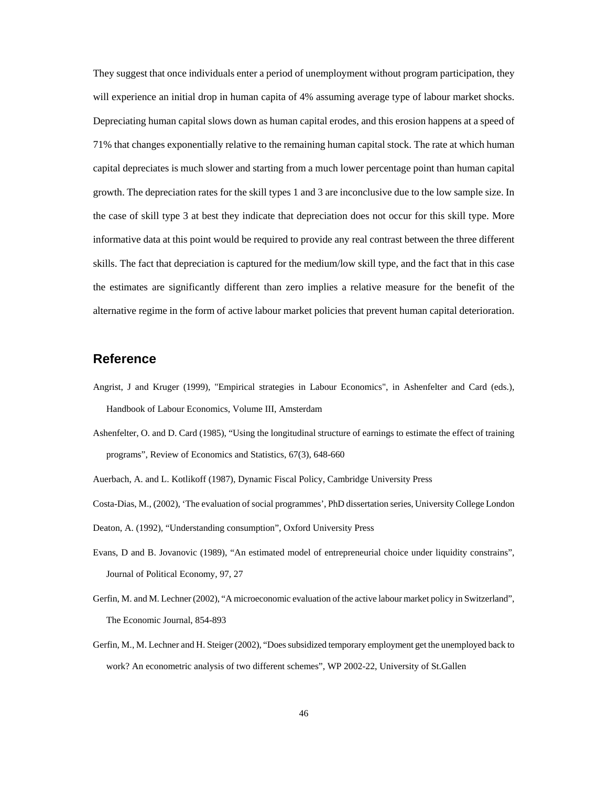They suggest that once individuals enter a period of unemployment without program participation, they will experience an initial drop in human capita of 4% assuming average type of labour market shocks. Depreciating human capital slows down as human capital erodes, and this erosion happens at a speed of 71% that changes exponentially relative to the remaining human capital stock. The rate at which human capital depreciates is much slower and starting from a much lower percentage point than human capital growth. The depreciation rates for the skill types 1 and 3 are inconclusive due to the low sample size. In the case of skill type 3 at best they indicate that depreciation does not occur for this skill type. More informative data at this point would be required to provide any real contrast between the three different skills. The fact that depreciation is captured for the medium/low skill type, and the fact that in this case the estimates are significantly different than zero implies a relative measure for the benefit of the alternative regime in the form of active labour market policies that prevent human capital deterioration.

## **Reference**

- Angrist, J and Kruger (1999), "Empirical strategies in Labour Economics", in Ashenfelter and Card (eds.), Handbook of Labour Economics, Volume III, Amsterdam
- Ashenfelter, O. and D. Card (1985), "Using the longitudinal structure of earnings to estimate the effect of training programs", Review of Economics and Statistics, 67(3), 648-660
- Auerbach, A. and L. Kotlikoff (1987), Dynamic Fiscal Policy, Cambridge University Press
- Costa-Dias, M., (2002), 'The evaluation of social programmes', PhD dissertation series, University College London Deaton, A. (1992), "Understanding consumption", Oxford University Press
- Evans, D and B. Jovanovic (1989), "An estimated model of entrepreneurial choice under liquidity constrains", Journal of Political Economy, 97, 27
- Gerfin, M. and M. Lechner (2002), "A microeconomic evaluation of the active labour market policy in Switzerland", The Economic Journal, 854-893
- Gerfin, M., M. Lechner and H. Steiger (2002), "Does subsidized temporary employment get the unemployed back to work? An econometric analysis of two different schemes", WP 2002-22, University of St.Gallen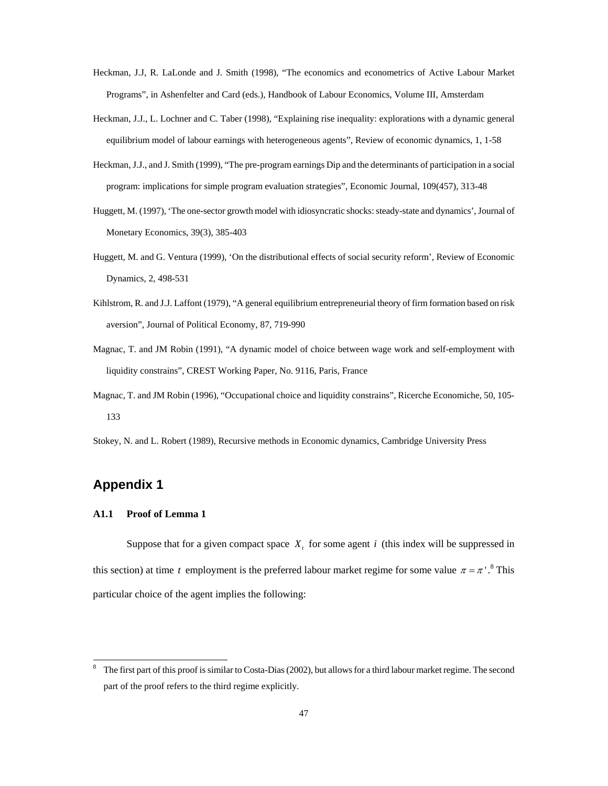- Heckman, J.J, R. LaLonde and J. Smith (1998), "The economics and econometrics of Active Labour Market Programs", in Ashenfelter and Card (eds.), Handbook of Labour Economics, Volume III, Amsterdam
- Heckman, J.J., L. Lochner and C. Taber (1998), "Explaining rise inequality: explorations with a dynamic general equilibrium model of labour earnings with heterogeneous agents", Review of economic dynamics, 1, 1-58
- Heckman, J.J., and J. Smith (1999), "The pre-program earnings Dip and the determinants of participation in a social program: implications for simple program evaluation strategies", Economic Journal, 109(457), 313-48
- Huggett, M. (1997), 'The one-sector growth model with idiosyncratic shocks: steady-state and dynamics', Journal of Monetary Economics, 39(3), 385-403
- Huggett, M. and G. Ventura (1999), 'On the distributional effects of social security reform', Review of Economic Dynamics, 2, 498-531
- Kihlstrom, R. and J.J. Laffont (1979), "A general equilibrium entrepreneurial theory of firm formation based on risk aversion", Journal of Political Economy, 87, 719-990
- Magnac, T. and JM Robin (1991), "A dynamic model of choice between wage work and self-employment with liquidity constrains", CREST Working Paper, No. 9116, Paris, France
- Magnac, T. and JM Robin (1996), "Occupational choice and liquidity constrains", Ricerche Economiche, 50, 105- 133
- Stokey, N. and L. Robert (1989), Recursive methods in Economic dynamics, Cambridge University Press

# **Appendix 1**

-

#### **A1.1 Proof of Lemma 1**

Suppose that for a given compact space  $X_t$ , for some agent  $i$  (this index will be suppressed in this section) at time *t* employment is the preferred labour market regime for some value  $\pi = \pi'$ .<sup>8</sup> This particular choice of the agent implies the following:

<sup>8</sup> The first part of this proof is similar to Costa-Dias (2002), but allows for a third labour market regime. The second part of the proof refers to the third regime explicitly.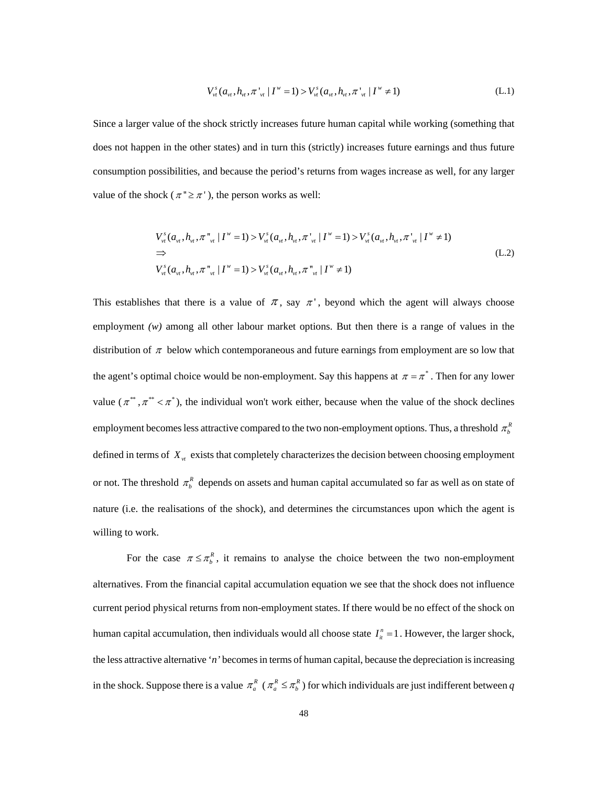$$
V_{vt}^s(a_{vt}, h_{vt}, \pi'_{vt} | I^w = 1) > V_{vt}^s(a_{vt}, h_{vt}, \pi'_{vt} | I^w \neq 1)
$$
 (L.1)

Since a larger value of the shock strictly increases future human capital while working (something that does not happen in the other states) and in turn this (strictly) increases future earnings and thus future consumption possibilities, and because the period's returns from wages increase as well, for any larger value of the shock ( $\pi$ "  $\geq \pi$ "), the person works as well:

$$
V_{vt}^{s}(a_{vt}, h_{vt}, \pi^{v}_{vt} | I^{w} = 1) > V_{vt}^{s}(a_{vt}, h_{vt}, \pi^{v}_{vt} | I^{w} = 1) > V_{vt}^{s}(a_{vt}, h_{vt}, \pi^{v}_{vt} | I^{w} \neq 1)
$$
  
\n
$$
\Rightarrow
$$
\n
$$
V_{vt}^{s}(a_{vt}, h_{vt}, \pi^{v}_{vt} | I^{w} = 1) > V_{vt}^{s}(a_{vt}, h_{vt}, \pi^{v}_{vt} | I^{w} \neq 1)
$$
\n
$$
(L.2)
$$

This establishes that there is a value of  $\pi$ , say  $\pi'$ , beyond which the agent will always choose employment *(w)* among all other labour market options. But then there is a range of values in the distribution of  $\pi$  below which contemporaneous and future earnings from employment are so low that the agent's optimal choice would be non-employment. Say this happens at  $\pi = \pi^*$ . Then for any lower value ( $\pi^*$ ,  $\pi^*$  <  $\pi^*$ ), the individual won't work either, because when the value of the shock declines employment becomes less attractive compared to the two non-employment options. Thus, a threshold  $\pi_h^R$ defined in terms of  $X_{\nu t}$  exists that completely characterizes the decision between choosing employment or not. The threshold  $\pi_h^R$  depends on assets and human capital accumulated so far as well as on state of nature (i.e. the realisations of the shock), and determines the circumstances upon which the agent is willing to work.

For the case  $\pi \leq \pi_b^R$ , it remains to analyse the choice between the two non-employment alternatives. From the financial capital accumulation equation we see that the shock does not influence current period physical returns from non-employment states. If there would be no effect of the shock on human capital accumulation, then individuals would all choose state  $I_{ii}^n = 1$ . However, the larger shock, the less attractive alternative '*n'* becomes in terms of human capital, because the depreciation is increasing in the shock. Suppose there is a value  $\pi_a^R$  ( $\pi_a^R \leq \pi_b^R$ ) for which individuals are just indifferent between *q*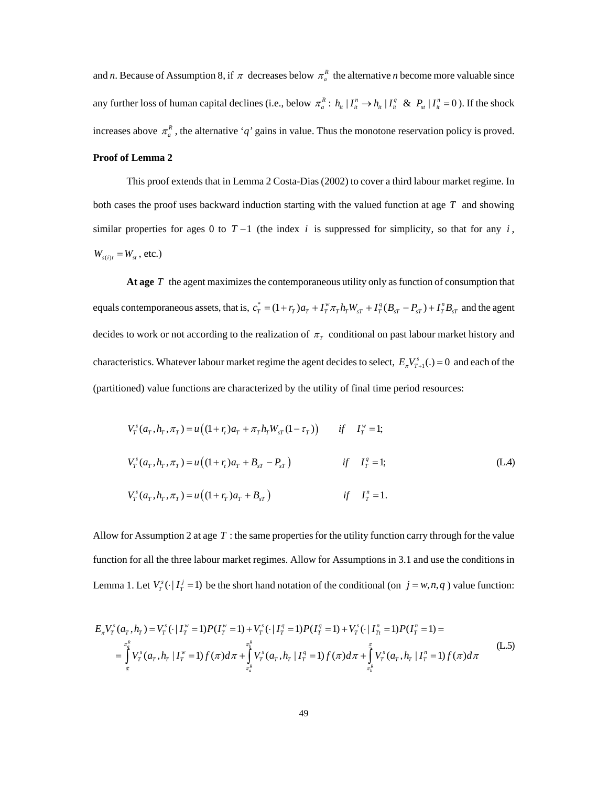and *n*. Because of Assumption 8, if  $\pi$  decreases below  $\pi_a^R$  the alternative *n* become more valuable since any further loss of human capital declines (i.e., below  $\pi_a^R$ :  $h_i \mid I_i^n \to h_i \mid I_i^q \& P_{st} \mid I_i^n = 0$ ). If the shock increases above  $\pi_a^R$ , the alternative '*q*' gains in value. Thus the monotone reservation policy is proved. **Proof of Lemma 2** 

This proof extends that in Lemma 2 Costa-Dias (2002) to cover a third labour market regime. In both cases the proof uses backward induction starting with the valued function at age *T* and showing similar properties for ages 0 to *T* −1 (the index *i* is suppressed for simplicity, so that for any *i* ,  $W_{s(i)t} = W_{st}$ , etc.)

**At age** *T* the agent maximizes the contemporaneous utility only as function of consumption that equals contemporaneous assets, that is,  $c_T^* = (1 + r_T) a_T + I_T^* \pi_T h_T W_{ST} + I_T^q (B_{ST} - P_{ST}) + I_T^* B_{ST}$  and the agent decides to work or not according to the realization of  $\pi$ <sup>*T*</sup> conditional on past labour market history and characteristics. Whatever labour market regime the agent decides to select,  $E_x V_{T+1}^s(.) = 0$  and each of the (partitioned) value functions are characterized by the utility of final time period resources:

$$
V_r^s(a_r, h_r, \pi_r) = u((1 + r_t)a_r + \pi_r h_r W_{sT}(1 - \tau_r)) \qquad \text{if} \qquad I_r^w = 1;
$$
  
\n
$$
V_r^s(a_r, h_r, \pi_r) = u((1 + r_t)a_r + B_{sT} - P_{sT}) \qquad \text{if} \qquad I_r^q = 1;
$$
  
\n
$$
V_r^s(a_r, h_r, \pi_r) = u((1 + r_r)a_r + B_{sT}) \qquad \text{if} \qquad I_r^w = 1.
$$
  
\n(1.4)

Allow for Assumption 2 at age *T* : the same properties for the utility function carry through for the value function for all the three labour market regimes. Allow for Assumptions in 3.1 and use the conditions in Lemma 1. Let  $V_T^s(\cdot | I_T^j = 1)$  be the short hand notation of the conditional (on  $j = w, n, q$ ) value function:

$$
E_{\pi}V_{T}^{s}(a_{T}, h_{T}) = V_{T}^{s}(\cdot | I_{T}^{w} = 1)P(I_{T}^{w} = 1) + V_{T}^{s}(\cdot | I_{T}^{q} = 1)P(I_{T}^{q} = 1) + V_{T}^{s}(\cdot | I_{T}^{n} = 1)P(I_{T}^{n} = 1) =
$$
  
\n
$$
= \int_{\frac{\pi}{a}}^{\frac{\pi}{a}} V_{T}^{s}(a_{T}, h_{T} | I_{T}^{w} = 1) f(\pi) d\pi + \int_{\frac{\pi}{a}}^{\frac{\pi}{b}} V_{T}^{s}(a_{T}, h_{T} | I_{T}^{q} = 1) f(\pi) d\pi + \int_{\frac{\pi}{b}}^{\frac{\pi}{a}} V_{T}^{s}(a_{T}, h_{T} | I_{T}^{n} = 1) f(\pi) d\pi
$$
 (L.5)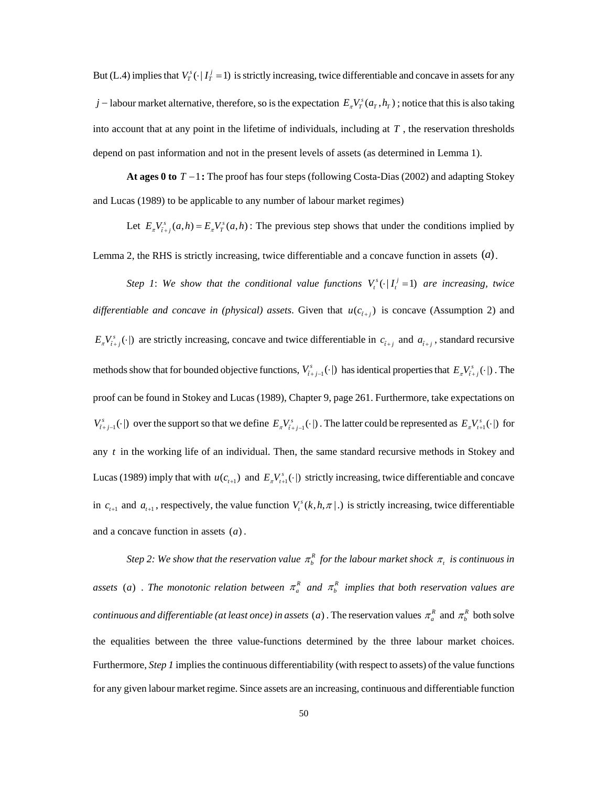But (L.4) implies that  $V_T^s(\cdot | I_T^j = 1)$  is strictly increasing, twice differentiable and concave in assets for any *j* − labour market alternative, therefore, so is the expectation  $E_x V_r^s(a_r, h_r)$ ; notice that this is also taking into account that at any point in the lifetime of individuals, including at *T* , the reservation thresholds depend on past information and not in the present levels of assets (as determined in Lemma 1).

**At ages 0 to** *T* −1**:** The proof has four steps (following Costa-Dias (2002) and adapting Stokey and Lucas (1989) to be applicable to any number of labour market regimes)

Let  $E_{\pi} V_{\tilde{i}+1}^s(a,h) = E_{\pi} V_{\tilde{i}}^s(a,h)$ : The previous step shows that under the conditions implied by Lemma 2, the RHS is strictly increasing, twice differentiable and a concave function in assets  $(a)$ .

*Step 1: We show that the conditional value functions*  $V_t^s(\cdot | I_t^j = 1)$  *are increasing, twice differentiable and concave in (physical) assets.* Given that  $u(c_{i+1})$  is concave (Assumption 2) and  $E_{\pi}V_{\tilde{i}+j}^s(\cdot)$  are strictly increasing, concave and twice differentiable in  $c_{\tilde{i}+j}$  and  $a_{\tilde{i}+j}$ , standard recursive methods show that for bounded objective functions,  $V_{\tilde{i}+j-1}^s(\cdot)$  has identical properties that  $E_{\pi}V_{\tilde{i}+j}^s(\cdot)$ . The proof can be found in Stokey and Lucas (1989), Chapter 9, page 261. Furthermore, take expectations on  $V_{\tilde{t}+j-1}^s(\cdot)$  over the support so that we define  $E_{\pi}V_{\tilde{t}+j-1}^s(\cdot)$ . The latter could be represented as  $E_{\pi}V_{t+1}^s(\cdot)$  for any *t* in the working life of an individual. Then, the same standard recursive methods in Stokey and Lucas (1989) imply that with  $u(c_{t+1})$  and  $E_{\pi} V_{t+1}^s(\cdot)$  strictly increasing, twice differentiable and concave in  $c_{t+1}$  and  $a_{t+1}$ , respectively, the value function  $V_t^s(k, h, \pi | \cdot)$  is strictly increasing, twice differentiable and a concave function in assets  $(a)$ .

*Step 2: We show that the reservation value*  $\pi_h^R$  *for the labour market shock*  $\pi_t$  *is continuous in assets* (*a*) *a* . The monotonic relation between  $\pi_a^R$  and  $\pi_b^R$  implies that both reservation values are *continuous and differentiable (at least once) in assets (a). The reservation values*  $\pi_a^R$  *and*  $\pi_b^R$  *both solve* the equalities between the three value-functions determined by the three labour market choices. Furthermore, *Step 1* implies the continuous differentiability (with respect to assets) of the value functions for any given labour market regime. Since assets are an increasing, continuous and differentiable function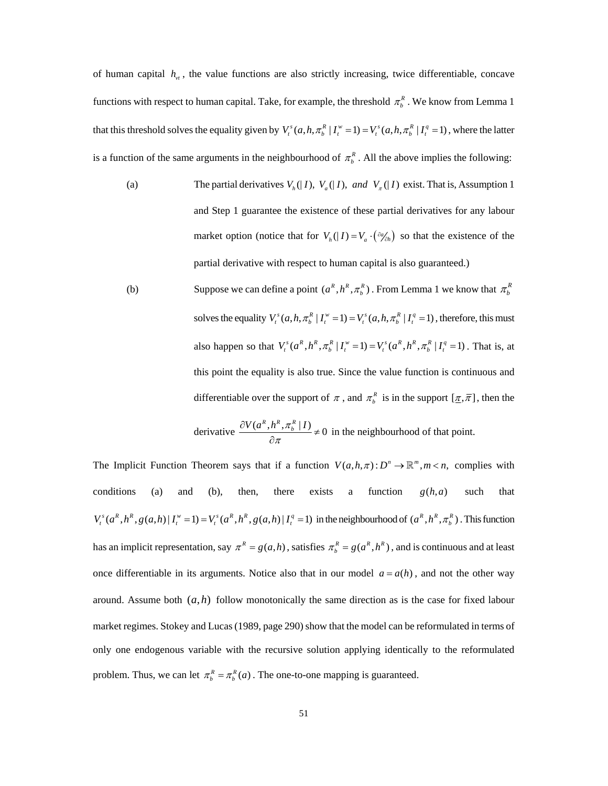of human capital  $h_{\nu}$ , the value functions are also strictly increasing, twice differentiable, concave functions with respect to human capital. Take, for example, the threshold  $\pi_h^R$ . We know from Lemma 1 that this threshold solves the equality given by  $V_t^s(a, h, \pi_b^R | I_t^w = 1) = V_t^s(a, h, \pi_b^R | I_t^q = 1)$ , where the latter is a function of the same arguments in the neighbourhood of  $\pi_h^R$ . All the above implies the following:

- (a) The partial derivatives  $V_h(| I)$ ,  $V_a(| I)$ , and  $V_{\pi}(I)$  exist. That is, Assumption 1 and Step 1 guarantee the existence of these partial derivatives for any labour market option (notice that for  $V_h(|I) = V_a \cdot (\partial z_h)$  so that the existence of the partial derivative with respect to human capital is also guaranteed.)
- (b) Suppose we can define a point  $(a^R, h^R, \pi_b^R)$ . From Lemma 1 we know that  $\pi_b^R$ solves the equality  $V_i^s(a, h, \pi_b^R | I_i^w = 1) = V_i^s(a, h, \pi_b^R | I_i^q = 1)$ , therefore, this must also happen so that  $V_t^s(a^R, h^R, \pi_h^R | I_t^w = 1) = V_t^s(a^R, h^R, \pi_h^R | I_t^q = 1)$ . That is, at this point the equality is also true. Since the value function is continuous and differentiable over the support of  $\pi$ , and  $\pi_h^R$  is in the support  $[\underline{\pi}, \overline{\pi}]$ , then the

derivative 
$$
\frac{\partial V(a^R, h^R, \pi_b^R | I)}{\partial \pi} \neq 0
$$
 in the neighbourhood of that point.

The Implicit Function Theorem says that if a function  $V(a, h, \pi) : D^n \to \mathbb{R}^m, m < n$ , complies with conditions (a) and (b), then, there exists a function  $g(h,a)$  such that  $V_t^s(a^R, h^R, g(a, h) | I_t^w = 1) = V_t^s(a^R, h^R, g(a, h) | I_t^q = 1)$  in the neighbourhood of  $(a^R, h^R, \pi_b^R)$ . This function has an implicit representation, say  $\pi^R = g(a,h)$ , satisfies  $\pi^R = g(a^R, h^R)$ , and is continuous and at least once differentiable in its arguments. Notice also that in our model  $a = a(h)$ , and not the other way around. Assume both  $(a,h)$  follow monotonically the same direction as is the case for fixed labour market regimes. Stokey and Lucas (1989, page 290) show that the model can be reformulated in terms of only one endogenous variable with the recursive solution applying identically to the reformulated problem. Thus, we can let  $\pi_h^R = \pi_h^R(a)$ . The one-to-one mapping is guaranteed.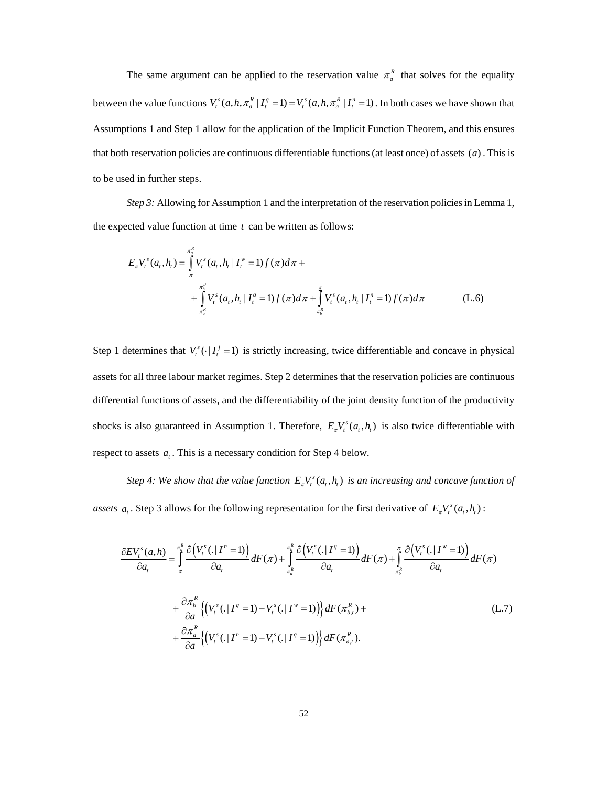The same argument can be applied to the reservation value  $\pi_a^R$  that solves for the equality between the value functions  $V_t^s(a, h, \pi_a^R | I_t^q = 1) = V_t^s(a, h, \pi_a^R | I_t^q = 1)$ . In both cases we have shown that Assumptions 1 and Step 1 allow for the application of the Implicit Function Theorem, and this ensures that both reservation policies are continuous differentiable functions (at least once) of assets  $(a)$ . This is to be used in further steps.

*Step 3:* Allowing for Assumption 1 and the interpretation of the reservation policies in Lemma 1, the expected value function at time *t* can be written as follows:

$$
E_{\pi}V_{t}^{s}(a_{t},h_{t}) = \int_{\pi}^{\pi_{a}^{R}} V_{t}^{s}(a_{t},h_{t} | I_{t}^{w} = 1) f(\pi) d\pi + + \int_{\pi_{a}^{R}}^{R} V_{t}^{s}(a_{t},h_{t} | I_{t}^{q} = 1) f(\pi) d\pi + \int_{\pi_{b}^{R}}^{\pi} V_{t}^{s}(a_{t},h_{t} | I_{t}^{n} = 1) f(\pi) d\pi
$$
 (L.6)

Step 1 determines that  $V_i^s(\cdot | I_i^j = 1)$  is strictly increasing, twice differentiable and concave in physical assets for all three labour market regimes. Step 2 determines that the reservation policies are continuous differential functions of assets, and the differentiability of the joint density function of the productivity shocks is also guaranteed in Assumption 1. Therefore,  $E_{\pi} V_i^s(a_t, h_t)$  is also twice differentiable with respect to assets  $a_t$ . This is a necessary condition for Step 4 below.

#### *Step 4: We show that the value function*  $E_x V_t^s (a_t, h_t)$  *is an increasing and concave function of*

*assets a<sub>t</sub>*. Step 3 allows for the following representation for the first derivative of  $E_{\pi} V_i^s(a_t, h_t)$ :

$$
\frac{\partial EV_i^s(a,h)}{\partial a_t} = \int_{\frac{\pi}{a}}^{\frac{\pi}{a}} \frac{\partial (V_i^s(.|I^n=1))}{\partial a_t} dF(\pi) + \int_{\frac{\pi}{a}}^{\frac{\pi}{a}} \frac{\partial (V_i^s(.|I^n=1))}{\partial a_t} dF(\pi) + \int_{\frac{\pi}{a}}^{\frac{\pi}{a}} \frac{\partial (V_i^s(.|I^n=1))}{\partial a_t} dF(\pi) + \frac{\partial \pi_k^R}{\partial a} \left\{ \left(V_i^s(.|I^n=1) - V_i^s(.|I^n=1)\right) \right\} dF(\pi_{b,t}^R) + \frac{\partial \pi_a^R}{\partial a} \left\{ \left(V_i^s(.|I^n=1) - V_i^s(.|I^n=1)\right) \right\} dF(\pi_{a,t}^R).
$$
\n(L.7)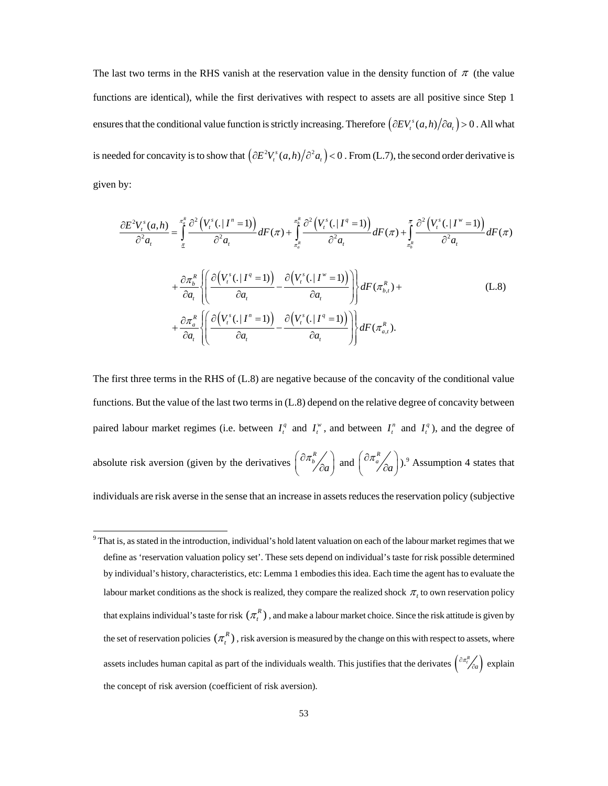The last two terms in the RHS vanish at the reservation value in the density function of  $\pi$  (the value functions are identical), while the first derivatives with respect to assets are all positive since Step 1 ensures that the conditional value function is strictly increasing. Therefore  $(\partial EV^s_i(a,h)/\partial a_i) > 0$ . All what is needed for concavity is to show that  $\left(\frac{\partial E^2 V_t^s(a,h)}{\partial a_t}\right) < 0$ . From (L.7), the second order derivative is given by:

$$
\frac{\partial E^2 V_i^s(a,h)}{\partial^2 a_i} = \int_{\frac{\pi}{a}}^{\frac{\pi}{a}} \frac{\partial^2 (V_i^s(.|I^n = 1))}{\partial^2 a_i} dF(\pi) + \int_{\frac{\pi}{a}}^{\frac{\pi}{a}} \frac{\partial^2 (V_i^s(.|I^n = 1))}{\partial^2 a_i} dF(\pi) + \int_{\frac{\pi}{a}}^{\frac{\pi}{a}} \frac{\partial^2 (V_i^s(.|I^n = 1))}{\partial^2 a_i} dF(\pi) + \frac{\partial \pi}{\partial a_i} \left\{ \left( \frac{\partial (V_i^s(.|I^n = 1))}{\partial a_i} - \frac{\partial (V_i^s(.|I^n = 1))}{\partial a_i} \right) \right\} dF(\pi_{b,t}^R) + \frac{\partial \pi_a^R}{\partial a_i} \left\{ \left( \frac{\partial (V_i^s(.|I^n = 1))}{\partial a_i} - \frac{\partial (V_i^s(.|I^n = 1))}{\partial a_i} \right) \right\} dF(\pi_{a,t}^R).
$$
\n(L.8)

The first three terms in the RHS of (L.8) are negative because of the concavity of the conditional value functions. But the value of the last two terms in (L.8) depend on the relative degree of concavity between paired labour market regimes (i.e. between  $I_t^q$  and  $I_t^w$ , and between  $I_t^n$  and  $I_t^q$ ), and the degree of absolute risk aversion (given by the derivatives  $\begin{pmatrix} \frac{\partial \pi_b^R}{\partial a} \end{pmatrix}$  $\left(\begin{array}{c} \frac{\partial \pi_b^R}{\partial a} \end{array}\right)$  and  $\left(\begin{array}{c} \frac{\partial \pi_a^R}{\partial a} \end{array}\right)$  $\left(\begin{array}{c} \frac{\partial \pi_a^R}{\partial a} \end{array}\right)$ . Assumption 4 states that

individuals are risk averse in the sense that an increase in assets reduces the reservation policy (subjective

That is, as stated in the introduction, individual's hold latent valuation on each of the labour market regimes that we define as 'reservation valuation policy set'. These sets depend on individual's taste for risk possible determined by individual's history, characteristics, etc: Lemma 1 embodies this idea. Each time the agent has to evaluate the labour market conditions as the shock is realized, they compare the realized shock  $\pi$ , to own reservation policy that explains individual's taste for risk  $(\pi_k^R)$ , and make a labour market choice. Since the risk attitude is given by the set of reservation policies  $(\pi^R)$ , risk aversion is measured by the change on this with respect to assets, where assets includes human capital as part of the individuals wealth. This justifies that the derivates  $\binom{\partial \pi_i^R}{\partial a}$  explain the concept of risk aversion (coefficient of risk aversion).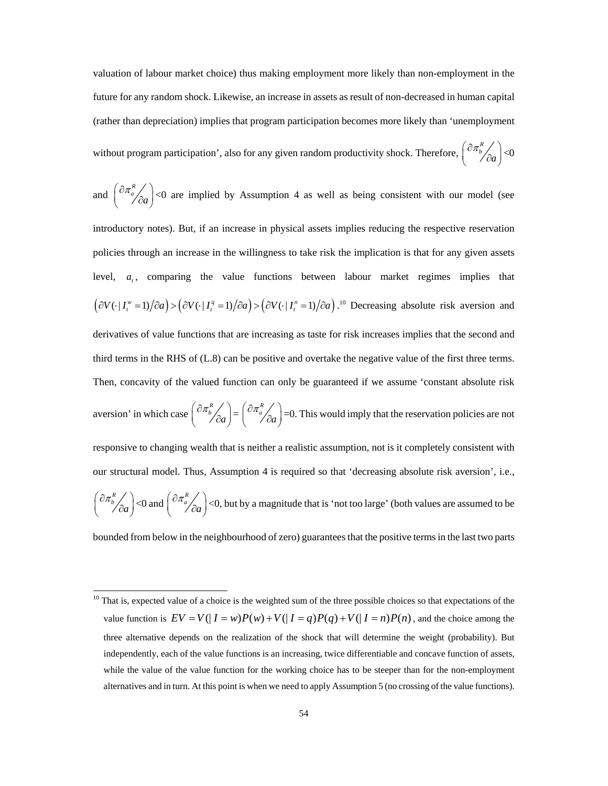valuation of labour market choice) thus making employment more likely than non-employment in the future for any random shock. Likewise, an increase in assets as result of non-decreased in human capital (rather than depreciation) implies that program participation becomes more likely than 'unemployment without program participation', also for any given random productivity shock. Therefore,  $\left(\frac{\partial \pi_b^R}{\partial a}\right)$  $\left(\frac{\partial \pi_b^R}{\partial a}\right) < 0$ 

and  $\left(\frac{\partial \pi_a^R}{\partial a}\right)$  $\left(\frac{\partial \pi_a^R}{\partial a}\right)$  <0 are implied by Assumption 4 as well as being consistent with our model (see introductory notes). But, if an increase in physical assets implies reducing the respective reservation policies through an increase in the willingness to take risk the implication is that for any given assets level, *a<sub>i</sub>*, comparing the value functions between labour market regimes implies that  $(\partial V(\cdot | I_t^w = 1) / \partial a) > (\partial V(\cdot | I_t^q = 1) / \partial a) > (\partial V(\cdot | I_t^q = 1) / \partial a)$ .<sup>10</sup> Decreasing absolute risk aversion and derivatives of value functions that are increasing as taste for risk increases implies that the second and third terms in the RHS of (L.8) can be positive and overtake the negative value of the first three terms. Then, concavity of the valued function can only be guaranteed if we assume 'constant absolute risk aversion' in which case  $\left(\frac{\partial \pi_b^R}{\partial a}\right)$  $\left(\begin{array}{c}\n\frac{\partial \pi_b^R}{\partial a}\n\end{array}\right) = \left(\begin{array}{c}\n\frac{\partial \pi_a^R}{\partial a}\n\end{array}\right)$  $\left(\begin{array}{c} \partial \pi_a^R \\ \partial a \end{array}\right) = 0$ . This would imply that the reservation policies are not responsive to changing wealth that is neither a realistic assumption, not is it completely consistent with our structural model. Thus, Assumption 4 is required so that 'decreasing absolute risk aversion', i.e., *R b a*  $\left(\frac{\partial \pi_b^R}{\partial a}\right)$  < 0 and  $\left(\frac{\partial \pi_a^R}{\partial a}\right)$  $\left(\frac{\partial \pi_a^R}{\partial a}\right)$ <0, but by a magnitude that is 'not too large' (both values are assumed to be

bounded from below in the neighbourhood of zero) guarantees that the positive terms in the last two parts

-

 $10$  That is, expected value of a choice is the weighted sum of the three possible choices so that expectations of the value function is  $EV = V(|I = w)P(w) + V(|I = q)P(q) + V(|I = n)P(n)$ , and the choice among the three alternative depends on the realization of the shock that will determine the weight (probability). But independently, each of the value functions is an increasing, twice differentiable and concave function of assets, while the value of the value function for the working choice has to be steeper than for the non-employment alternatives and in turn. At this point is when we need to apply Assumption 5 (no crossing of the value functions).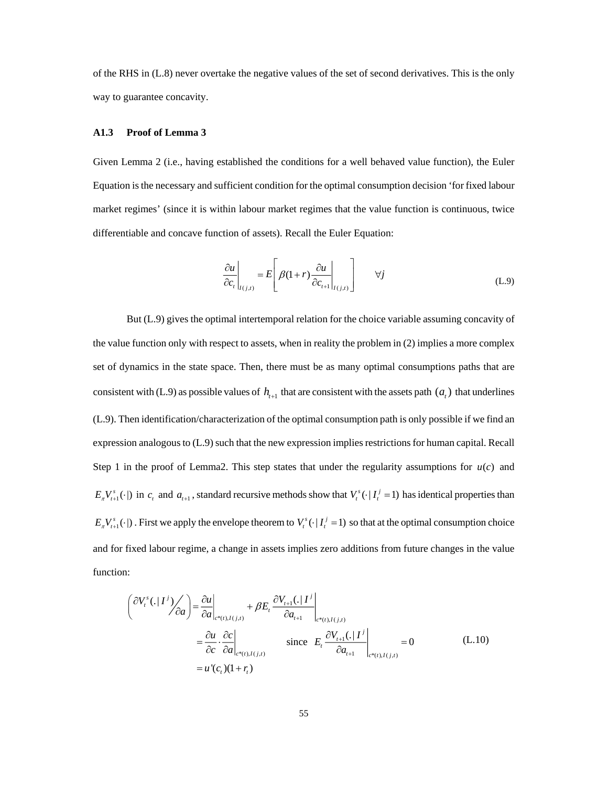of the RHS in (L.8) never overtake the negative values of the set of second derivatives. This is the only way to guarantee concavity.

#### **A1.3 Proof of Lemma 3**

Given Lemma 2 (i.e., having established the conditions for a well behaved value function), the Euler Equation is the necessary and sufficient condition for the optimal consumption decision 'for fixed labour market regimes' (since it is within labour market regimes that the value function is continuous, twice differentiable and concave function of assets). Recall the Euler Equation:

$$
\left. \frac{\partial u}{\partial c_i} \right|_{I(j,t)} = E \left[ \beta (1+r) \frac{\partial u}{\partial c_{i+1}} \bigg|_{I(j,t)} \right] \qquad \forall j \tag{L.9}
$$

But (L.9) gives the optimal intertemporal relation for the choice variable assuming concavity of the value function only with respect to assets, when in reality the problem in (2) implies a more complex set of dynamics in the state space. Then, there must be as many optimal consumptions paths that are consistent with (L.9) as possible values of  $h_{t+1}$  that are consistent with the assets path  $(a_t)$  that underlines (L.9). Then identification/characterization of the optimal consumption path is only possible if we find an expression analogous to (L.9) such that the new expression implies restrictions for human capital. Recall Step 1 in the proof of Lemma2. This step states that under the regularity assumptions for  $u(c)$  and  $E_{\pi}V_{t+1}^s(\cdot)$  in  $c_t$  and  $a_{t+1}$ , standard recursive methods show that  $V_t^s(\cdot | I_t^j = 1)$  has identical properties than  $E_{\pi}V_{t+1}^s(\cdot)$ . First we apply the envelope theorem to  $V_t^s(\cdot | I_t^j = 1)$  so that at the optimal consumption choice and for fixed labour regime, a change in assets implies zero additions from future changes in the value function:

$$
\left(\frac{\partial V_t^s(.|I^j)}{\partial a}\right) = \frac{\partial u}{\partial a}\Big|_{c^*(t),I(j,t)} + \beta E_t \frac{\partial V_{t+1}(.|I^j)}{\partial a_{t+1}}\Big|_{c^*(t),I(j,t)} \n= \frac{\partial u}{\partial c} \cdot \frac{\partial c}{\partial a}\Big|_{c^*(t),I(j,t)} \quad \text{since } E_t \frac{\partial V_{t+1}(.|I^j)}{\partial a_{t+1}}\Big|_{c^*(t),I(j,t)} = 0 \tag{L.10} \n= u'(c_t)(1+r_t)
$$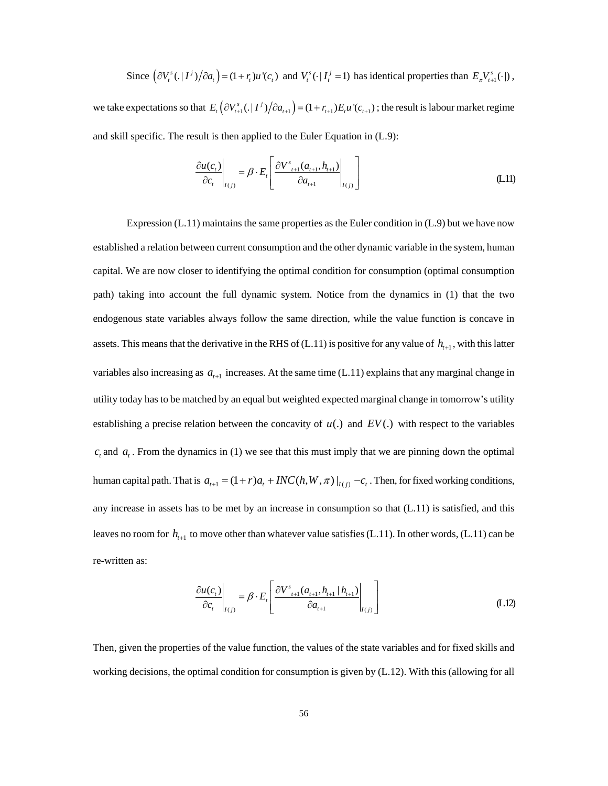Since 
$$
(\partial V_t^s(. | I^j)/\partial a_t) = (1 + r_t)u'(c_t)
$$
 and  $V_t^s(. | I_t^j = 1)$  has identical properties than  $E_{\pi}V_{t+1}^s(. | )$ ,

we take expectations so that  $E_t\left(\frac{\partial V_{t+1}^s}{\partial q_{t+1}}\right) = (1 + r_{t+1})E_t u'(c_{t+1})$ ; the result is labour market regime and skill specific. The result is then applied to the Euler Equation in (L.9):

$$
\left. \frac{\partial u(c_i)}{\partial c_i} \right|_{I(j)} = \beta \cdot E_i \left[ \left. \frac{\partial V^s_{t+1}(a_{t+1}, h_{t+1})}{\partial a_{t+1}} \right|_{I(j)} \right] \tag{L11}
$$

Expression (L.11) maintains the same properties as the Euler condition in (L.9) but we have now established a relation between current consumption and the other dynamic variable in the system, human capital. We are now closer to identifying the optimal condition for consumption (optimal consumption path) taking into account the full dynamic system. Notice from the dynamics in (1) that the two endogenous state variables always follow the same direction, while the value function is concave in assets. This means that the derivative in the RHS of (L.11) is positive for any value of  $h_{n+1}$ , with this latter variables also increasing as  $a_{t+1}$  increases. At the same time (L.11) explains that any marginal change in utility today has to be matched by an equal but weighted expected marginal change in tomorrow's utility establishing a precise relation between the concavity of  $u(.)$  and  $EV(.)$  with respect to the variables  $c_i$  and  $a_i$ . From the dynamics in (1) we see that this must imply that we are pinning down the optimal human capital path. That is  $a_{t+1} = (1 + r)a_t + INC(h, W, \pi) \big|_{I(j)} - c_t$ . Then, for fixed working conditions, any increase in assets has to be met by an increase in consumption so that (L.11) is satisfied, and this leaves no room for  $h_{t+1}$  to move other than whatever value satisfies (L.11). In other words, (L.11) can be re-written as:

$$
\left. \frac{\partial u(c_t)}{\partial c_t} \right|_{I(j)} = \beta \cdot E_t \left[ \frac{\partial V^s_{t+1}(a_{t+1}, h_{t+1} | h_{t+1})}{\partial a_{t+1}} \Big|_{I(j)} \right]
$$
(L12)

Then, given the properties of the value function, the values of the state variables and for fixed skills and working decisions, the optimal condition for consumption is given by (L.12). With this (allowing for all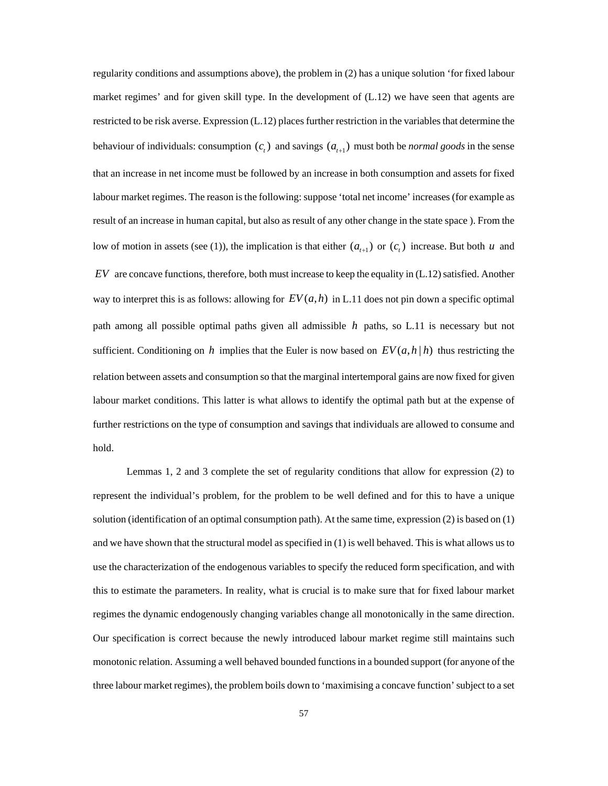regularity conditions and assumptions above), the problem in (2) has a unique solution 'for fixed labour market regimes' and for given skill type. In the development of (L.12) we have seen that agents are restricted to be risk averse. Expression (L.12) places further restriction in the variables that determine the behaviour of individuals: consumption  $(c_i)$  and savings  $(a_{i+1})$  must both be *normal goods* in the sense that an increase in net income must be followed by an increase in both consumption and assets for fixed labour market regimes. The reason is the following: suppose 'total net income' increases (for example as result of an increase in human capital, but also as result of any other change in the state space ). From the low of motion in assets (see (1)), the implication is that either  $(a_{i+1})$  or  $(c_i)$  increase. But both *u* and *EV* are concave functions, therefore, both must increase to keep the equality in (L.12) satisfied. Another way to interpret this is as follows: allowing for  $EV(a, h)$  in L.11 does not pin down a specific optimal path among all possible optimal paths given all admissible *h* paths, so L.11 is necessary but not sufficient. Conditioning on *h* implies that the Euler is now based on  $EV(a, h | h)$  thus restricting the relation between assets and consumption so that the marginal intertemporal gains are now fixed for given labour market conditions. This latter is what allows to identify the optimal path but at the expense of further restrictions on the type of consumption and savings that individuals are allowed to consume and hold.

Lemmas 1, 2 and 3 complete the set of regularity conditions that allow for expression (2) to represent the individual's problem, for the problem to be well defined and for this to have a unique solution (identification of an optimal consumption path). At the same time, expression (2) is based on (1) and we have shown that the structural model as specified in (1) is well behaved. This is what allows us to use the characterization of the endogenous variables to specify the reduced form specification, and with this to estimate the parameters. In reality, what is crucial is to make sure that for fixed labour market regimes the dynamic endogenously changing variables change all monotonically in the same direction. Our specification is correct because the newly introduced labour market regime still maintains such monotonic relation. Assuming a well behaved bounded functions in a bounded support (for anyone of the three labour market regimes), the problem boils down to 'maximising a concave function' subject to a set